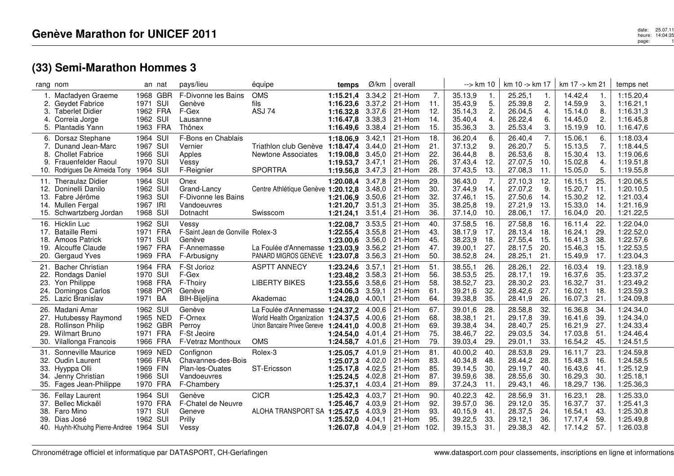| rang nom                        |                                                                                                                             |                                                          | an nat          | pays/lieu                                                                         | équipe                                                                                                     | temps                                                                | Ø/km                                           | overall                                                   |                                  | $\rightarrow$ km 10                                 |                                 | km 10 -> km 17                                      |                                  | km 17 -> km 21                                      |                                  | temps net                                                     |
|---------------------------------|-----------------------------------------------------------------------------------------------------------------------------|----------------------------------------------------------|-----------------|-----------------------------------------------------------------------------------|------------------------------------------------------------------------------------------------------------|----------------------------------------------------------------------|------------------------------------------------|-----------------------------------------------------------|----------------------------------|-----------------------------------------------------|---------------------------------|-----------------------------------------------------|----------------------------------|-----------------------------------------------------|----------------------------------|---------------------------------------------------------------|
| 3.<br>4.<br>5.                  | Macfadyen Graeme<br>Geydet Fabrice<br><b>Taberlet Didier</b><br>Correia Jorge<br><b>Plantadis Yann</b>                      | 1971<br>1962 FRA<br>1962 SUI<br>1963 FRA                 | 1968 GBR<br>SUI | F-Divonne les Bains<br>Genève<br>F-Gex<br>Lausanne<br>Thônex                      | <b>OMS</b><br>fils<br><b>ASJ 74</b>                                                                        | 1:15.21,4<br>1:16.23,6<br>1:16.32,8<br>1:16.47.8<br>1:16.49,6        | 3.34,2<br>3.37,2<br>3.37,6<br>3.38,3<br>3.38,4 | 21-Hom<br>21-Hom<br>21-Hom<br>21-Hom<br>21-Hom            | 7.<br>11.<br>12.<br>14.<br>15.   | 35.13,9<br>35.43,9<br>35.14,3<br>35.40,4<br>35.36,3 | 1.<br>5.<br>2.<br>4.<br>3.      | 25.25,1<br>25.39,8<br>26.04,5<br>26.22,4<br>25.53,4 | 1.<br>2.<br>4.<br>6.<br>3.       | 14.42,4<br>14.59,9<br>15.14,0<br>14.45,0<br>15.19,9 | -1.<br>3.<br>8.<br>2.<br>10.     | 1:15.20,4<br>1:16.21,1<br>1:16.31,3<br>1:16.45,8<br>1:16.47,6 |
| 6.<br>7.<br>8.                  | Dorsaz Stephane<br>Dunand Jean-Marc<br><b>Chollet Fabrice</b><br><b>Frauenfelder Raoul</b><br>10. Rodrigues De Almeida Tony | 1964 SUI<br>1967 SUI<br>1966 SUI<br>1970 SUI<br>1964 SUI |                 | F-Bons en Chablais<br>Vernier<br>Apples<br>Vessy<br>F-Reignier                    | Triathlon club Genève<br>Newtone Associates<br><b>SPORTRA</b>                                              | 1:18.06.9<br>1:18.47,4<br>1:19.08,8<br>1:19.53,7<br>1:19.56,8        | 3.42,1<br>3.44.0<br>3.45,0<br>3.47,1<br>3.47,3 | 21-Hom<br>21-Hom<br>21-Hom<br>21-Hom<br>21-Hom            | 18.<br>21.<br>22.<br>26.<br>28.  | 36.20,4<br>37.13,2<br>36.44,8<br>37.43,4<br>37.43,5 | 6.<br>9.<br>8.<br>12.<br>13.    | 26.40,4<br>26.20,7<br>26.53,6<br>27.07,5<br>27.08,3 | 7.<br>5.<br>8.<br>10.<br>11.     | 15.06,1<br>15.13,5<br>15.30,4<br>15.02,8<br>15.05,0 | 6.<br>7.<br>13.<br>4.<br>5.      | 1:18.03,4<br>1:18.44,5<br>1:19.06,6<br>1:19.51,8<br>1:19.55,8 |
| 13.<br>15.                      | 11. Theraulaz Didier<br>12. Doninelli Danilo<br>Fabre Jérôme<br>14. Mullen Fergal<br>Schwartzberg Jordan                    | 1964 SUI<br>1962 SUI<br>1963 SUI<br>1967 IRI<br>1968 SUI |                 | Onex<br>Grand-Lancy<br>F-Divonne les Bains<br>Vandoeuvres<br>Dotnacht             | Centre Athlétique Genève 1:20.12,8<br>Swisscom                                                             | 1:20.08.4<br>1:21.06,9<br>1:21.20,7<br>1:21.24,1                     | 3.47,8<br>3.48,0<br>3.50,6<br>3.51,3<br>3.51,4 | 21-Hom<br>21-Hom<br>21-Hom<br>21-Hom<br>21-Hom            | 29.<br>30.<br>32.<br>35.<br>36.  | 36.43,0<br>37.44,9<br>37.46,1<br>38.25,8<br>37.14,0 | 7.<br>14.<br>15.<br>19.<br>10.  | 27.10,3<br>27.07,2<br>27.50,6<br>27.21,9<br>28.06,1 | 12.<br>9.<br>14.<br>13.<br>17.   | 16.15,1<br>15.20,7<br>15.30,2<br>15.33,0<br>16.04,0 | 25.<br>11.<br>12.<br>14.<br>20.  | 1:20.06,5<br>1:20.10,5<br>1:21.03,4<br>1:21.16,9<br>1:21.22,5 |
| 17.<br>18.<br>19.<br>20.        | 16. Hicklin Luc<br><b>Bataille Remi</b><br>Amoos Patrick<br>Alcouffe Claude<br>Gergaud Yves                                 | 1962 SUI<br>1971 FRA<br>1971 SUI<br>1967 FRA<br>1969 FRA |                 | Vessy<br>F-Saint Jean de Gonville Rolex-3<br>Genève<br>F-Annemasse<br>F-Arbusigny | La Foulée d'Annemasse 1:23.03,9<br>PANARD MIGROS GENEVE                                                    | 1:22.08.7<br>1:22.55,4<br>1:23.00.6<br>1:23.07,8                     | 3.53,5<br>3.55,8<br>3.56,0<br>3.56,2<br>3.56,3 | 21-Hom<br>21-Hom<br>21-Hom<br>21-Hom<br>21-Hom            | 40.<br>43.<br>45.<br>47.<br>50.  | 37.58,5<br>38.17,9<br>38.23,9<br>39.00,1<br>38.52,8 | 16.<br>17.<br>18.<br>27.<br>24. | 27.58,8<br>28.13,4<br>27.55,4<br>28.17,5<br>28.25,1 | 16.<br>18.<br>-15.<br>20.<br>21. | 16.11,4<br>16.24,1<br>16.41,3<br>15.46,3<br>15.49,9 | 22.<br>29.<br>38.<br>15.<br>17.  | 1:22.04,0<br>1:22.52,0<br>1:22.57,6<br>1:22.53,5<br>1:23.04,3 |
| 21.<br>22.<br>23.<br>24.<br>25. | <b>Bacher Christian</b><br>Rondags Daniel<br>Yon Philippe<br>Domingos Carlos<br>Lazic Branislav                             | 1964 FRA<br>1970 SUI<br>1968 FRA<br>1971 BA              | 1968 POR        | F-St Jorioz<br>F-Gex<br>F-Thoiry<br>Genève<br>BIH-Bijeljina                       | <b>ASPTT ANNECY</b><br><b>LIBERTY BIKES</b><br>Akademac                                                    | 1:23.24,6<br>1:23.48,2 3.58,3<br>1:23.55,6<br>1:24.06,3<br>1:24.28.0 | 3.57,1<br>3.58.6<br>3.59,1<br>4.00,1           | 21-Hom<br>21-Hom<br>21-Hom<br>21-Hom<br>21-Hom            | 51.<br>56.<br>58.<br>61.<br>64.  | 38.55,1<br>38.53,5<br>38.52,7<br>39.21,6<br>39.38,8 | 26.<br>25.<br>23.<br>32.<br>35. | 28.26,1<br>28.17,1<br>28.30,2<br>28.42,6<br>28.41,9 | 22.<br>19.<br>23.<br>27.<br>26.  | 16.03,4<br>16.37,6<br>16.32,7<br>16.02,1<br>16.07,3 | 19.<br>35.<br>31.<br>18.<br>21.  | 1:23.18,9<br>1:23.37,2<br>1:23.49,2<br>1:23.59,3<br>1:24.09,8 |
| 27.<br>28.<br>29.<br>30.        | 26. Madani Amar<br>Hutubessy Raymond<br><b>Rollinson Philip</b><br><b>Wilmart Bruno</b><br>Vilallonga Francois              | 1962 SUI<br>1965 NED<br>1971 FRA<br>1966 FRA             | 1962 GBR        | Genève<br>F-Ornex<br>Perroy<br>F-St Jeoire<br>F-Vetraz Monthoux                   | La Foulée d'Annemasse 1:24.37,2<br>World Health Organization<br>Union Bancaire Privee Geneve<br><b>OMS</b> | 1:24.37.5<br>1:24.41,0<br>1:24.54.0<br>1:24.58.7                     | 4.00,6<br>4.00.6<br>4.00,8<br>4.01,4<br>4.01.6 | 21-Hom<br>21-Hom<br>21-Hom<br>21-Hom<br>21-Hom            | 67.<br>68.<br>69.<br>75.<br>79.  | 39.01,6<br>38.38,1<br>39.38,4<br>38.46,7<br>39.03,4 | 28.<br>21.<br>34.<br>22.<br>29. | 28.58,8<br>29.17,8<br>28.40,7<br>29.03,5<br>29.01,1 | 32.<br>39.<br>25.<br>34.<br>33.  | 16.36,8<br>16.41,6<br>16.21,9<br>17.03,8<br>16.54,2 | 34.<br>39.<br>27.<br>51.<br>45.  | 1:24.34,0<br>1:24.34,0<br>1:24.33,4<br>1:24.46.4<br>1:24.51,5 |
| 31.<br>33.<br>34.<br>35.        | Sonneville Maurice<br>32. Oudin Laurent<br>Hyyppa Olli<br>Jenny Christian<br>Fages Jean-Philippe                            | 1969 NED<br>1966 FRA<br>1969 FIN<br>1966 SUI<br>1970 FRA |                 | Confignon<br>Chavannes-des-Bois<br>Plan-les-Ouates<br>Vandoeuvres<br>F-Chambery   | Rolex-3<br>ST-Ericsson                                                                                     | 1:25.05.7<br>1:25.07,3<br>1:25.17,8<br>1:25.24,5<br>1:25.37,1        | 4.01,9<br>4.02,0<br>4.02,5<br>4.02,8<br>4.03,4 | 21-Hom<br>21-Hom<br>21-Hom<br>21-Hom<br>21-Hom            | 81.<br>83.<br>85.<br>87.<br>89.  | 40.00,2<br>40.34,8<br>39.14,5<br>39.59,6<br>37.24,3 | 40.<br>48.<br>30.<br>38.<br>11. | 28.53,8<br>28.44,2<br>29.19,7<br>28.55,6<br>29.43,1 | 29.<br>28.<br>40.<br>30.<br>46.  | 16.11,7<br>15.48,3<br>16.43,6<br>16.29,3<br>18.29,7 | 23.<br>16.<br>41.<br>30.<br>136. | 1:24.59,8<br>1:24.58,5<br>1:25.12,9<br>1:25.18,1<br>1:25.36,3 |
| 36.<br>37.<br>38.<br>39.        | <b>Fellay Laurent</b><br>Bellec Mickaël<br>Faro Mino<br>Dias José<br>40. Huyhh-Khuohg Pierre-Andree 1964 SUI                | 1964 SUI<br>1970 FRA<br>1971 SUI<br>1962 SUI             |                 | Genève<br>F-Chatel de Neuvre<br>Geneve<br>Prilly<br>Vessy                         | <b>CICR</b><br>ALOHA TRANSPORT SA 1:25.47,5                                                                | 1:25.42,3<br>1:25.46,7<br>1:25.52.0<br>1:26.07.8                     | 4.03,7<br>4.03,9<br>4.03,9<br>4.04.1           | 21-Hom<br>21-Hom<br>21-Hom<br>21-Hom<br>$4.04,9$   21-Hom | 90.<br>92.<br>93.<br>95.<br>102. | 40.22,3<br>39.57,0<br>40.15,9<br>39.22,5<br>39.15,3 | 42.<br>36.<br>41.<br>33.<br>31. | 28.56,9<br>29.12,0<br>28.37,5<br>29.12,1<br>29.38,3 | 31.<br>35.<br>24.<br>36.<br>42.  | 16.23,1<br>16.37,7<br>16.54,1<br>17.17,4<br>17.14,2 | 28.<br>37.<br>43.<br>59.<br>57.  | 1:25.33,0<br>1:25.41,3<br>1:25.30,8<br>1:25.49,8<br>1:26.03,8 |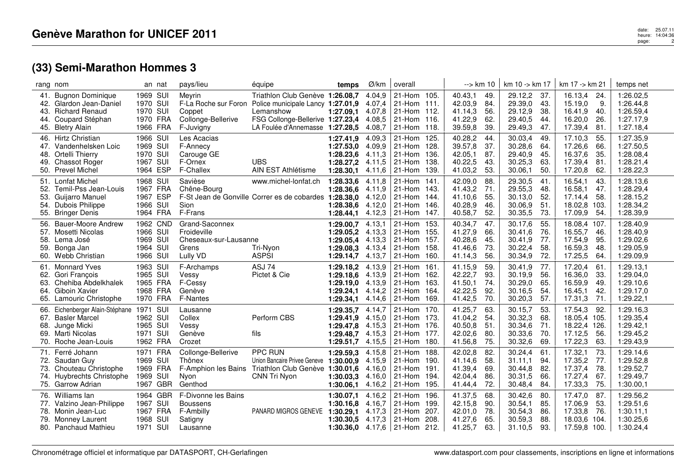|                                 | rang nom                                                                                                           | an nat                                                   | pays/lieu                                                                   | équipe                                                                                                                                                                        | temps                                                                | Ø/km                                           | overall                                                                              | --> km 10                                           |                                 | km 10 -> km 17                                      |                                  | km 17 -> km 21                                                |                                  | temps net                                                     |
|---------------------------------|--------------------------------------------------------------------------------------------------------------------|----------------------------------------------------------|-----------------------------------------------------------------------------|-------------------------------------------------------------------------------------------------------------------------------------------------------------------------------|----------------------------------------------------------------------|------------------------------------------------|--------------------------------------------------------------------------------------|-----------------------------------------------------|---------------------------------|-----------------------------------------------------|----------------------------------|---------------------------------------------------------------|----------------------------------|---------------------------------------------------------------|
| 41.<br>43.<br>44.               | <b>Bugnon Dominique</b><br>42. Glardon Jean-Daniel<br><b>Richard Renaud</b><br>Coupard Stéphan<br>45. Bletry Alain | 1969 SUI<br>1970 SUI<br>1970 SUI<br>1970 FRA<br>1966 FRA | Meyrin<br>Coppet<br>Collonge-Bellerive<br>F-Juvigny                         | Triathlon Club Genève 1:26.08,7<br>F-La Roche sur Foron Police municipale Lancy 1:27.01,9<br>Lemanshow<br>FSG Collonge-Bellerive 1:27.23,4<br>LA Foulée d'Annemasse 1:27.28,5 | 1:27.09.1 4.07.8                                                     | 4.04.9<br>4.07,4<br>4.08,5<br>4.08,7           | 21-Hom 105.<br>21-Hom 111.<br>21-Hom 112.<br>21-Hom 116.<br>21-Hom 118.              | 40.43,1<br>42.03,9<br>41.14,3<br>41.22,9<br>39.59,8 | 49.<br>84.<br>56.<br>62.<br>39. | 29.12,2<br>29.39,0<br>29.12,9<br>29.40,5<br>29.49,3 | -37.<br>43.<br>38.<br>44.<br>47. | 16.13,4<br>15.19,0<br>16.41,9<br>16.20,0<br>17.39,4           | 24.<br>9.<br>40.<br>26.<br>81    | 1:26.02,5<br>1:26.44,8<br>1:26.59,4<br>1:27.17,9<br>1:27.18,4 |
| 48.<br>49.                      | 46. Hirtz Christian<br>47. Vandenhelsken Loic<br>Ortelli Thierry<br><b>Chassot Roger</b><br>50. Prevel Michel      | 1966 SUI<br>1969 SUI<br>1970 SUI<br>1967 SUI<br>1964 ESP | Les Acacias<br>F-Annecy<br>Carouge GE<br>F-Ornex<br>F-Challex               | <b>UBS</b><br>AIN EST Athlétisme                                                                                                                                              | 1:27.41.9<br>1:27.53,0<br>1:28.23,6<br>1:28.27,2<br>1:28.30,1        | 4.09.3<br>4.09.9<br>4.11,3<br>4.11,5<br>4.11,6 | 21-Hom 125.<br>21-Hom 128.<br>21-Hom 136.<br>21-Hom 138.<br>21-Hom 139.              | 40.28,2<br>39.57,8<br>42.05,1<br>40.22,5<br>41.03,2 | 44.<br>37.<br>87.<br>43.<br>53. | 30.03,4<br>30.28,6<br>29.40,9<br>30.25,3<br>30.06,1 | 49.<br>64.<br>45.<br>63.<br>50.  | 17.10,3<br>17.26,6<br>16.37,6<br>17.39,4<br>17.20,8           | 55.<br>66.<br>35.<br>81.<br>62.  | 1:27.35,9<br>1:27.50,5<br>1:28.08,4<br>1:28.21,4<br>1:28.22,3 |
| 51.<br>52.<br>53.<br>54.<br>55. | <b>Lonfat Michel</b><br>Temil-Pss Jean-Louis<br>Guijarro Manuel<br><b>Dubois Philippe</b><br><b>Bringer Denis</b>  | 1968 SUI<br>1967 FRA<br>1967 ESP<br>1966 SUI<br>1964 FRA | Savièse<br>Chêne-Bourg<br>Sion<br>F-Frans                                   | www.michel-lonfat.ch<br>F-St Jean de Gonville Correr es de cobardes                                                                                                           | 1:28.33,6<br>1:28.36,6<br>1:28.38,0<br>1:28.38,6<br>1:28.44,1        | 4.11,8<br>4.11,9<br>4.12,0<br>4.12,0<br>4.12,3 | 21-Hom 141<br>21-Hom 143.<br>21-Hom 144.<br>21-Hom 146.<br>21-Hom 147.               | 42.09,0<br>41.43,2<br>41.10,6<br>40.28,9<br>40.58,7 | 88.<br>71.<br>55.<br>46.<br>52. | 29.30,5<br>29.55,3<br>30.13,0<br>30.06,9<br>30.35,5 | 41.<br>48.<br>52.<br>51.<br>73.  | 16.54,1<br>16.58,1<br>17.14.4<br>18.02,8<br>17.09,9           | 43.<br>47.<br>58.<br>103.<br>54. | 1:28.13,6<br>1:28.29,4<br>1:28.15,2<br>1:28.34,2<br>1:28.39,9 |
| 56.<br>57.<br>58.<br>59.        | <b>Bauer-Moore Andrew</b><br>Mosetti Nicolas<br>Lema José<br>Bonga Jan<br>60. Webb Christian                       | 1962 CND<br>1966 SUI<br>1969 SUI<br>1964 SUI<br>1966 SUI | Grand-Saconnex<br>Froideville<br>Cheseaux-sur-Lausanne<br>Grens<br>Lully VD | Tri-Nyon<br><b>ASPSI</b>                                                                                                                                                      | 1:29.00,7<br>1:29.05,2<br>1:29.05,4<br>1:29.08,3<br>1:29.14,7        | 4.13,1<br>4.13,3<br>4.13,3<br>4.13,4<br>4.13,7 | 21-Hom 153.<br>21-Hom 155.<br>21-Hom 157.<br>21-Hom 158.<br>21-Hom 160.              | 40.34,7<br>41.27,9<br>40.28,6<br>41.46,6<br>41.14,3 | 47.<br>66.<br>45.<br>73.<br>56. | 30.17,6<br>30.41,6<br>30.41,9<br>30.22,4<br>30.34,9 | 55.<br>76.<br>77.<br>58.<br>72.  | 18.08,4<br>16.55,7<br>17.54,9<br>16.59,3<br>17.25,5           | 107.<br>46.<br>95.<br>48.<br>64. | 1:28.40,9<br>1:28.40,9<br>1:29.02,6<br>1:29.05,9<br>1:29.09,9 |
| 63.                             | 61. Monnard Yves<br>62. Gori François<br>Chehiba Abdelkhalek<br>64. Giboin Xavier<br>65. Lamouric Christophe       | 1963 SUI<br>1965 SUI<br>1965 FRA<br>1968 FRA<br>1970 FRA | F-Archamps<br>Vessy<br>F-Cessy<br>Genève<br><b>F-Nantes</b>                 | ASJ 74<br>Pictet & Cie                                                                                                                                                        | 1:29.18,2<br>1:29.18,6<br>1:29.19,0<br>1:29.24.1<br>1:29.34,1        | 4.13,9<br>4.13,9<br>4.13,9<br>4.14,2<br>4.14,6 | 21-Hom 161<br>21-Hom 162.<br>21-Hom 163.<br>21-Hom 164.<br>21-Hom 169.               | 41.15,9<br>42.22,7<br>41.50,1<br>42.22,5<br>41.42,5 | 59.<br>93.<br>74.<br>92.<br>70. | 30.41,9<br>30.19,9<br>30.29,0<br>30.16,5<br>30.20,3 | 77.<br>56.<br>65.<br>54.<br>57.  | 17.20,4<br>16.36,0<br>16.59,9<br>16.45,1<br>17.31,3           | 61.<br>33.<br>49.<br>42.<br>71.  | 1:29.13,1<br>1:29.04,0<br>1:29.10,6<br>1:29.17,0<br>1:29.22,1 |
| 66.<br>67.<br>68.               | Eichenberger Alain-Stéphane<br><b>Basler Marcel</b><br>Junge Micki<br>69. Marti Nicolas<br>70. Roche Jean-Louis    | 1971 SUI<br>1962 SUI<br>1965 SUI<br>1971 SUI<br>1962 FRA | Lausanne<br>Collex<br>Vessy<br>Genève<br>Crozet                             | Perform CBS<br>fils                                                                                                                                                           | 1:29.35,7<br>1:29.41,9<br>1:29.47,8<br>1:29.48,7 4.15,3<br>1:29.51,7 | 4.14,7<br>4.15,0<br>4.15,3<br>4.15,5           | 21-Hom 170.<br>21-Hom 173.<br>21-Hom 176.<br>21-Hom 177.<br>21-Hom 180.              | 41.25,7<br>41.04,2<br>40.50,8<br>42.02,6<br>41.56,8 | 63.<br>54.<br>51.<br>80.<br>75. | 30.15,7<br>30.32,3<br>30.34,6<br>30.33,6<br>30.32,6 | 53.<br>68.<br>71.<br>70.<br>69.  | 17.54,3<br>18.05,4 105.<br>18.22,4 126.<br>17.12,5<br>17.22,3 | 92.<br>56.<br>63.                | 1:29.16,3<br>1:29.35,4<br>1:29.42,1<br>1:29.45,2<br>1:29.43,9 |
| 72.<br>73.                      | 71. Ferré Johann<br>Saudan Guy<br>Chouteau Christophe<br>74. Huybrechts Christophe<br>75. Garrow Adrian            | 1971 FRA<br>1969 SUI<br>1969 FRA<br>1969 SUI<br>1967 GBR | Collonge-Bellerive<br>Thônex<br>Nyon<br>Genthod                             | PPC RUN<br>Union Bancaire Privee Geneve<br>F-Amphion les Bains Triathlon Club Genève<br><b>CNN Tri Nvon</b>                                                                   | 1:29.59.3<br>1:30.00,9<br>1:30.01.6<br>1:30.03.3<br>1:30.06,1        | 4.15,8<br>4.15,9<br>4.16,0<br>4.16,0<br>4.16,2 | 21-Hom 188.<br>21-Hom 190.<br>21-Hom 191<br>21-Hom 194.<br>21-Hom 195.               | 42.02,8<br>41.14,6<br>41.39,4<br>42.04,4<br>41.44,4 | 82.<br>58.<br>69.<br>86.<br>72. | 30.24,4<br>31.11,1<br>30.44,8<br>30.31,5<br>30.48,4 | 61.<br>94.<br>82.<br>66.<br>84.  | 17.32,1<br>17.35,2<br>17.37,4<br>17.27,4<br>17.33,3           | 73.<br>77.<br>78.<br>67.<br>75.  | 1:29.14,6<br>1:29.52,8<br>1:29.52,7<br>1:29.49.7<br>1:30.00,1 |
|                                 | 76. Williams lan<br>77. Valzino Jean-Philippe<br>78. Monin Jean-Luc<br>79. Monney Laurent<br>80. Panchaud Mathieu  | 1964 GBR<br>1967 SUI<br>1967 FRA<br>1968 SUI<br>1971 SUI | F-Divonne les Bains<br><b>Boussens</b><br>F-Ambilly<br>Satigny<br>Lausanne  | PANARD MIGROS GENEVE                                                                                                                                                          | 1:30.07,1<br>1:30.16.8<br>1:30.29,1<br>1:30.30,5<br>1:30.36.0        | 4.16,2<br>4.16,7<br>4.17,3<br>4.17,3           | 21-Hom 196.<br>21-Hom 199.<br>207.<br>21-Hom<br>21-Hom<br>208.<br>4.17,6 21-Hom 212. | 41.37,5<br>42.15,8<br>42.01,0<br>41.27,6<br>41.25,7 | 68.<br>90.<br>78.<br>65.<br>63. | 30.42,6<br>30.54,1<br>30.54,3<br>30.59,3<br>31.10,5 | 80.<br>85.<br>86.<br>88.<br>93.  | 17.47,0<br>17.06,9<br>17.33,8<br>18.03,6 104.<br>17.59,8 100. | 87.<br>53.<br>76.                | 1:29.56,2<br>1:29.51,6<br>1:30.11,1<br>1:30.25,6<br>1:30.24,4 |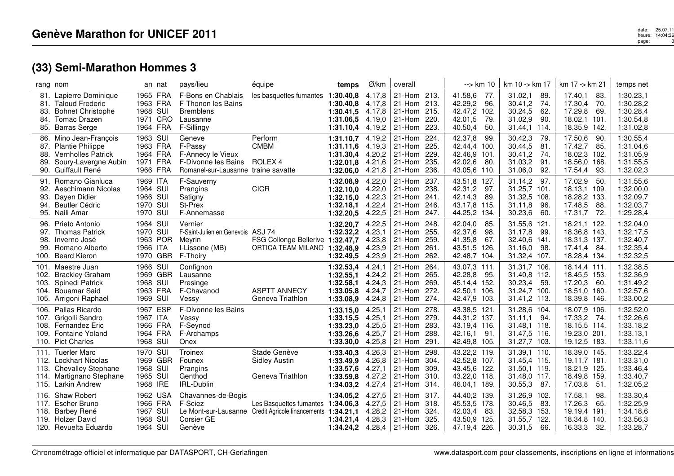## date: 25.07.11<br>heure: 14:04:36<br>page: 14:04:36 page:3

|                                      | rang nom                                                                                                                   | an nat                                                      | pays/lieu                                                                                            | équipe                                                                                           | temps                                                         | Ø/km                                           | overall                                                                                       | --> km 10                                                                                 | km 10 -> km 17                                                                        | km 17 -> km 21                                                                        | temps net                                                     |
|--------------------------------------|----------------------------------------------------------------------------------------------------------------------------|-------------------------------------------------------------|------------------------------------------------------------------------------------------------------|--------------------------------------------------------------------------------------------------|---------------------------------------------------------------|------------------------------------------------|-----------------------------------------------------------------------------------------------|-------------------------------------------------------------------------------------------|---------------------------------------------------------------------------------------|---------------------------------------------------------------------------------------|---------------------------------------------------------------|
| 81.<br>83.<br>84.<br>85.             | 81. Lapierre Dominique<br><b>Taloud Frederic</b><br><b>Bohnet Christophe</b><br><b>Tomac Drazen</b><br><b>Barras Serge</b> | 1965 FRA<br>1963 FRA<br>1968 SUI<br>1971 CRO<br>1964 FRA    | F-Bons en Chablais<br>F-Thonon les Bains<br>Bremblens<br>Lausanne<br>F-Sillingy                      | les basquettes fumantes 1:30.40,8                                                                | 1:30.40.8<br>1:30.41.5<br>1:31.06,5<br>1:31.10,4              | 4.17,8<br>4.17,8<br>4.17,8<br>4.19,0<br>4.19,2 | 21-Hom 213.<br>213.<br>21-Hom<br>21-Hom 215.<br>21-Hom 220.<br>223.<br>21-Hom                 | 41.58,6<br>77.<br>42.29,2<br>96.<br>42.47,2<br>102.<br>42.01,5<br>79.<br>40.50,4<br>50.   | 31.02,1<br>89.<br>30.41,2<br>-74.<br>30.24,5<br>62.<br>90.<br>31.02,9<br>31.44,1 114. | 17.40,1<br>83.<br>17.30,4<br>70.<br>17.29,8<br>69.<br>18.02,1<br>101.<br>18.35,9 142. | 1:30.23,1<br>1:30.28,2<br>1:30.28,4<br>1:30.54,8<br>1:31.02,8 |
| 86.<br>87.<br>88.<br>89.             | Mino Jean-Francois<br><b>Plantie Philippe</b><br><b>Vernholles Patrick</b><br>Soury-Lavergne Aubin<br>90. Guiffault René   | 1963 SUI<br>1963 FRA<br>1964 FRA<br>1971<br>FRA<br>1966 FRA | Geneve<br>F-Passy<br>F-Annecy le Vieux<br>F-Divonne les Bains<br>Romanel-sur-Lausanne traine savatte | Perform<br><b>CMBM</b><br>ROLEX <sub>4</sub>                                                     | 1:31.10,7<br>1:31.11,6<br>1:31.30.4<br>1:32.01,8<br>1:32.06,0 | 4.19,2<br>4.19,3<br>4.20,2<br>4.21,6<br>4.21,8 | 21-Hom 224.<br>225.<br>21-Hom<br>229.<br>21-Hom<br>235.<br>21-Hom<br>236.<br>21-Hom           | 42.37,8<br>99.<br>42.44,4<br>100.<br>42.46,9<br>101.<br>42.02,6<br>80.<br>43.05,6<br>110. | 30.42,3<br>79.<br>30.44,5<br>81.<br>30.41,2<br>-74<br>31.03,2<br>91<br>31.06,0<br>92. | 17.50,6<br>90.<br>17.42,7<br>85.<br>18.02,3 102.<br>18.56,0 168.<br>17.54,4<br>93.    | 1:30.55,4<br>1:31.04,6<br>1:31.05.9<br>1:31.55,5<br>1:32.02,3 |
| 91.<br>92.<br>93.<br>94.             | Romano Gianluca<br>Aeschimann Nicolas<br>Dayen Didier<br><b>Beutler Cédric</b><br>95. Naili Amar                           | 1969 ITA<br>1964 SUI<br>1966 SUI<br>1970 SUI<br>1970 SUI    | F-Sauverny<br>Prangins<br>Satigny<br>St-Prex<br>F-Annemasse                                          | <b>CICR</b>                                                                                      | 1:32.08,9<br>1:32.10,0<br>1:32.15.0<br>1:32.18,1<br>1:32.20,5 | 4.22,0<br>4.22,0<br>4.22,3<br>4.22,4<br>4.22,5 | 21-Hom<br>237.<br>21-Hom 238.<br>241.<br>21-Hom<br>246.<br>21-Hom<br>21-Hom<br>247.           | 43.51,8<br>127.<br>42.31,2<br>97.<br>42.14,3<br>89.<br>43.17,8<br>115.<br>44.25,2<br>134. | 31.14,2<br>97.<br>31.25,7 101.<br>31.32,5 108.<br>96.<br>31.11,8<br>30.23,6<br>60.    | 17.02,9<br>50.<br>18.13,1 109.<br>18.28,2 133.<br>17.48,5<br>88.<br>17.31,7<br>-72.   | 1:31.55,6<br>1:32.00,0<br>1:32.09,7<br>1:32.03,7<br>1:29.28,4 |
| 96.<br>98.<br>99.<br>100.            | Prieto Antonio<br>97. Thomas Patrick<br>Inverno José<br>Romano Alberto<br><b>Beard Kieron</b>                              | 1964 SUI<br>1970 SUI<br>1963 POR<br>1966 ITA<br>1970 GBR    | Vernier<br>F-Saint-Julien en Genevois ASJ 74<br>Mevrin<br>I-Lissone (MB)<br>F-Thoiry                 | FSG Collonge-Bellerive 1:32.47,7<br>ORTICA TEAM MILANO 1:32.48,9                                 | 1:32.20,7<br>1:32.32,2<br>1:32.49,5                           | 4.22,5<br>4.23,1<br>4.23,8<br>4.23,9<br>4.23,9 | 21-Hom<br>248.<br>21-Hom 255.<br>259.<br>21-Hom<br>21-Hom<br>261.<br>21-Hom 262.              | 42.04,0<br>85.<br>98.<br>42.37,6<br>41.35,8<br>67.<br>43.51,5<br>126.<br>42.48,7 104.     | 31.55,6 121.<br>31.17,8<br>99.<br>32.40,6 141.<br>31.16,0<br>98.<br>31.32,4 107.      | 18.21,1 122.<br>18.36,8 143.<br>18.31,3 137.<br>17.41,4<br>-84.<br>18.28,4 134.       | 1:32.04,0<br>1:32.17,5<br>1:32.40,7<br>1:32.35,4<br>1:32.32,5 |
| 101.<br>102.<br>103.<br>104.<br>105. | Maestre Juan<br><b>Brackley Graham</b><br>Spinedi Patrick<br><b>Bouamar Said</b><br>Arrigoni Raphael                       | 1966 SUI<br>1969 GBR<br>1968 SUI<br>1963 FRA<br>1969 SUI    | Confignon<br>Lausanne<br>Presinge<br>F-Chavanod<br>Vessv                                             | <b>ASPTT ANNECY</b><br>Geneva Triathlon                                                          | 1:32.53,4<br>1:32.55.1<br>1:32.58,1<br>1:33.05,8<br>1:33.08,9 | 4.24,1<br>4.24,2<br>4.24,3<br>4.24,7<br>4.24,8 | 21-Hom<br>264.<br>265.<br>21-Hom<br>21-Hom<br>269.<br>272.<br>21-Hom<br>21-Hom 274.           | 43.07,3 111.<br>42.28,8<br>95.<br>45.14,4 152.<br>42.50,1<br>106.<br>42.47,9 103.         | 31.31,7 106.<br>31.40,8 112.<br>30.23,4<br>59.<br>31.24,7 100.<br>31.41,2 113.        | 18.14,4 111.<br>18.45,5 153.<br>17.20,3<br>-60.<br>18.51,0 160.<br>18.39,8 146.       | 1:32.38,5<br>1:32.36,9<br>1:31.49,2<br>1:32.57,6<br>1:33.00,2 |
| 106.                                 | Pallas Ricardo<br>107. Grigolli Sandro<br>108. Fernandez Eric<br>109. Fontaine Yoland<br>110. Pict Charles                 | 1967<br>ESP<br>1967 ITA<br>1966 FRA<br>1964 FRA<br>1968 SUI | F-Divonne les Bains<br>Vessy<br>F-Seynod<br>F-Archamps<br>Onex                                       |                                                                                                  | 1:33.15,0<br>1:33.15.5<br>1:33.23,0<br>1:33.26,6<br>1:33.30,0 | 4.25,1<br>4.25,1<br>4.25,5<br>4.25.7<br>4.25,8 | 21-Hom<br>278.<br>279.<br>21-Hom<br>21-Hom 283.<br>288.<br>21-Hom<br>21-Hom<br>291.           | 43.38,5 121.<br>44.31,2 137.<br>43.19.4 116.<br>42.16,1<br>91.<br>42.49,8<br>105.         | 31.28,6 104.<br>31.11.1<br>-94.<br>31.48,1 118.<br>31.47,5 116.<br>31.27,7 103.       | 18.07,9 106.<br>17.33,2<br>-74.<br>18.15,5 114.<br>19.23,0 201.<br>19.12,5 183.       | 1:32.52,0<br>1:32.26,6<br>1:33.18,2<br>1:33.13,1<br>1:33.11,6 |
|                                      | 111. Tuerler Marc<br>112. Lockhart Nicolas<br>113. Chevalley Stephane<br>114. Martignano Stephane<br>115. Larkin Andrew    | 1970 SUI<br>1969 GBR<br>1968 SUI<br>1965 SUI<br>1968 IRE    | Troinex<br>Founex<br>Prangins<br>Genthod<br>IRL-Dublin                                               | Stade Genève<br><b>Sidley Austin</b><br>Geneva Triathlon                                         | 1:33.40,3<br>1:33.49.9<br>1:33.57,6<br>1:33.59,8<br>1:34.03,2 | 4.26,3<br>4.26,8<br>4.27,1<br>4.27,2<br>4.27,4 | 21-Hom<br>298.<br>21-Hom<br>304.<br>309.<br>21-Hom<br>21-Hom<br>310.<br>314.<br>21-Hom        | 43.22,2 119.<br>42.52,8<br>107.<br>43.45,6 122.<br>43.22,0 118.<br>46.04,1<br>189.        | 31.39,1 110.<br>31.45,4 115.<br>31.50,1 119.<br>31.48,0 117.<br>30.55,3<br>87.        | 18.39,0 145.<br>19.11,7 181<br>18.21,9 125.<br>18.49,8 159.<br>17.03,8<br>51.         | 1:33.22,4<br>1:33.31,0<br>1:33.46,4<br>1:33.40,7<br>1:32.05,2 |
| 118.                                 | 116. Shaw Robert<br>117. Escher Bruno<br>Barbey René<br>119. Holzer David<br>120. Revuelta Eduardo                         | 1962 USA<br>1966 FRA<br>1967 SUI<br>1968 SUI<br>1964 SUI    | Chavannes-de-Bogis<br>F-Sciez<br>Corsier GE<br>Genève                                                | Les Basquettes fumantes 1:34.06,3<br>Le Mont-sur-Lausanne Credit Agricole financements 1:34.21,1 | 1:34.05.2<br>1:34.21.4                                        | 4.27,5<br>4.27,5<br>4.28,2<br>4.28,3           | 21-Hom 317.<br>21-Hom 318.<br>21-Hom<br>324.<br>21-Hom 325.<br>1:34.24,2 $4.28,4$ 21-Hom 326. | 44.40,2 139.<br>45.53,5 178.<br>42.03,4<br>83.<br>43.50,9<br>125.<br>47.19,4 226.         | 31.26,9 102.<br>30.46,5<br>-83.<br>32.58,3 153.<br>31.55.7 122.<br>30.31,5<br>66.     | 17.58,1<br>98.<br>17.26,3<br>65.<br>19.19,4 191.<br>18.34,8 140.<br>16.33,3<br>32.    | 1:33.30,4<br>1:32.25,9<br>1:34.18,6<br>1:33.56.3<br>1:33.28,7 |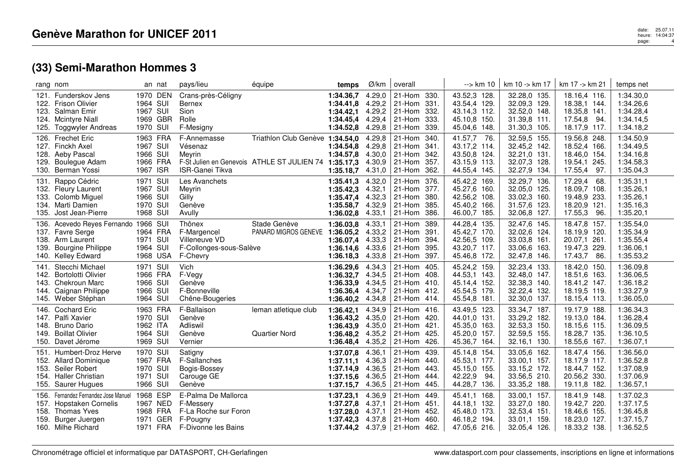|                      | rang nom                                                                                                                       |                                                          | an nat               | pays/lieu                                                                                   | équipe                                                                                  | temps                                                                                              | Ø/km                                           | overall                                                            |                                      | $\rightarrow$ km 10                                                              | km 10 -> km 17                                                               | km 17 -> km 21                                                                   | temps net                                                     |
|----------------------|--------------------------------------------------------------------------------------------------------------------------------|----------------------------------------------------------|----------------------|---------------------------------------------------------------------------------------------|-----------------------------------------------------------------------------------------|----------------------------------------------------------------------------------------------------|------------------------------------------------|--------------------------------------------------------------------|--------------------------------------|----------------------------------------------------------------------------------|------------------------------------------------------------------------------|----------------------------------------------------------------------------------|---------------------------------------------------------------|
|                      | 121. Funderskov Jens<br>122. Frison Olivier<br>123. Salman Emir<br>124. Mcintyre Niall<br>125. Toggwyler Andreas               | 1964 SUI<br>1967 SUI<br>1970 SUI                         | 1970 DEN<br>1969 GBR | Crans-près-Céligny<br><b>Bernex</b><br>Sion<br>Rolle<br>F-Mesigny                           |                                                                                         | 1:34.36,7<br>1:34.41,8<br>$1:34.42,1$ 4.29,2<br>1:34.45.4<br>1:34.52,8                             | 4.29,0<br>4.29,2<br>4.29,4<br>4.29,8           | 21-Hom 330.<br>21-Hom<br>21-Hom<br>21-Hom<br>$ 21-Hom$             | 331.<br>332.<br>333.<br>339.         | 43.52,3 128.<br>43.54,4 129.<br>43.14,3 112.<br>45.10,8 150.<br>45.04,6 148.     | 32.28,0 135.<br>32.09,3 129.<br>32.52,0 148.<br>31.39,8 111.<br>31.30,3 105. | 18.16,4 116.<br>18.38,1 144.<br>18.35,8 141.<br>17.54,8<br>-94.<br>18.17,9 117.  | 1:34.30,0<br>1:34.26,6<br>1:34.28,4<br>1:34.14,5<br>1:34.18,2 |
| 129.                 | 126. Frechet Eric<br>127. Finckh Axel<br>128. Aeby Pascal<br>Boulegue Adam<br>130. Berman Yossi                                | 1963 FRA<br>1967 SUI<br>1966 SUI<br>1966 FRA<br>1967 ISR |                      | F-Annemasse<br>Vésenaz<br>Meyrin<br><b>ISR-Ganei Tikva</b>                                  | Triathlon Club Genève 1:34.54,0<br>F-St Julien en Genevois ATHLE ST JULIEN 74 1:35.17,3 | 1:34.54,8<br>1:34.57,8 4.30,0<br>1:35.18,7                                                         | 4.29,8<br>4.29,8<br>4.30,9<br>4.31,0           | 21-Hom<br>21-Hom<br>21-Hom<br>21-Hom<br>21-Hom                     | 340.<br>341.<br>342.<br>357.<br>362. | 41.57,7<br>- 76.<br>43.17,2 114.<br>43.50,8 124.<br>43.15.9 113.<br>44.55,4 145. | 32.59,5 155.<br>32.45,2 142.<br>32.21,0 131.<br>32.07,3 128.<br>32.27,9 134. | 19.56,8 248.<br>18.52,4 166.<br>18.46,0 154.<br>19.54,1 245.<br>17.55,4<br>97.   | 1:34.50,9<br>1:34.49,5<br>1:34.16,8<br>1:34.58,3<br>1:35.04,3 |
|                      | 131. Rappo Cédric<br>132. Fleury Laurent<br>133. Colomb Miguel<br>134. Marti Damien<br>135. Jost Jean-Pierre                   | 1971 SUI<br>1967 SUI<br>1966 SUI<br>1970 SUI<br>1968 SUI |                      | Les Avanchets<br>Meyrin<br>Gilly<br>Genève<br>Avully                                        |                                                                                         | 1:35.41.3<br>1:35.42.3<br>1:35.47,4<br>1:35.58.7<br>1:36.02,8                                      | 4.32,0<br>4.32.1<br>4.32,3<br>4.32,9<br>4.33,1 | 21-Hom 376.<br>21-Hom<br>21-Hom<br>21-Hom<br>21-Hom                | 377.<br>380.<br>385.<br>386.         | 45.42,2 169.<br>45.27,6 160.<br>42.56,2 108.<br>45.40,2 166.<br>46.00,7 185.     | 32.29,7 136.<br>32.05,0 125.<br>33.02,3 160.<br>31.57,6 123.<br>32.06,8 127. | 17.29,4<br>68.<br>18.09,7 108.<br>19.48,9 233.<br>18.20,9 121.<br>17.55,3<br>96. | 1:35.31,1<br>1:35.26,1<br>1:35.26,1<br>1:35.16,3<br>1:35.20,1 |
| 139.                 | 136. Acevedo Reyes Fernando 1966 SUI<br>137. Favre Serge<br>138. Arm Laurent<br><b>Bourgine Philippe</b><br>140. Kelley Edward | 1964 FRA<br>1971 SUI<br>1964 SUI<br>1968 USA             |                      | Thônex<br>F-Margencel<br>Villeneuve VD<br>F-Collonges-sous-Salève<br>F-Chevry               | Stade Genève<br>PANARD MIGROS GENEVE                                                    | 1:36.03,8<br>1:36.05,2<br>1:36.07,4<br>1:36.14,6 4.33,6<br>1:36.18,3                               | 4.33,1<br>4.33,2<br>4.33,3<br>4.33,8           | 21-Hom<br>21-Hom<br>21-Hom<br>21-Hom<br>21-Hom                     | 389.<br>391.<br>394.<br>395.<br>397. | 44.28,4 135.<br>45.42,7 170.<br>42.56,5 109.<br>43.20,7 117.<br>45.46,8 172.     | 32.47,6 145.<br>32.02,6 124.<br>33.03,8 161.<br>33.06,6 163.<br>32.47,8 146. | 18.47,8 157.<br>18.19,9 120.<br>20.07,1 261.<br>19.47,3 229.<br>17.43,7 86.      | 1:35.54,0<br>1:35.34,9<br>1:35.55,4<br>1:36.06,1<br>1:35.53,2 |
|                      | 141. Stecchi Michael<br>142. Bortolotti Olivier<br>143. Chekroun Marc<br>144. Caignan Philippe<br>145. Weber Stéphan           | 1971 SUI<br>1966 FRA<br>1966 SUI<br>1966 SUI<br>1964 SUI |                      | Vich<br>F-Vegy<br>Genève<br>F-Bonneville<br>Chêne-Bougeries                                 |                                                                                         | 1:36.29,6<br>1:36.32,7<br>1:36.33,9<br>1:36.36,4 4.34,7<br>1:36.40,2                               | 4.34,3<br>4.34,5<br>4.34,5<br>4.34,8           | 21-Hom<br>21-Hom 408.<br>21-Hom 410.<br>21-Hom 412.<br>21-Hom 414. | 405.                                 | 45.24,2 159.<br>44.53,1 143.<br>45.14,4 152.<br>45.54,5 179.<br>45.54,8 181.     | 32.23,4 133.<br>32.48,0 147.<br>32.38,3 140.<br>32.22,4 132.<br>32.30,0 137. | 18.42,0 150.<br>18.51,6 163.<br>18.41,2 147.<br>18.19,5 119.<br>18.15,4 113.     | 1:36.09,8<br>1:36.06,5<br>1:36.18,2<br>1:33.27,9<br>1:36.05,0 |
| 148.<br>149.         | 146. Cochard Eric<br>147. Palfi Xavier<br>Bruno Dario<br><b>Boillat Olivier</b><br>150. Davet Jérome                           | 1963 FRA<br>1970 SUI<br>1962 ITA<br>1964 SUI<br>1969 SUI |                      | F-Ballaison<br>Genève<br>Adliswil<br>Genève<br>Vernier                                      | leman atletique club<br><b>Quartier Nord</b>                                            | 1:36.42,1<br>1:36.43,2<br>1:36.43.9<br>1:36.48,2 4.35,2<br>1:36.48,4                               | 4.34,9<br>4.35,0<br>4.35,0<br>4.35,2           | 21-Hom 416.<br>21-Hom 420.<br>21-Hom 421.<br>21-Hom<br>21-Hom      | 425.<br>426.                         | 43.49,5 123.<br>44.01,0 131.<br>45.35,0 163.<br>45.20,0 157.<br>45.36,7 164.     | 33.34,7 187.<br>33.29,2 182.<br>32.53,3 150.<br>32.59,5 155.<br>32.16,1 130. | 19.17,9 188.<br>19.13,0 184.<br>18.15.6 115.<br>18.28,7 135.<br>18.55,6 167.     | 1:36.34,3<br>1:36.28,4<br>1:36.09,5<br>1:36.10,5<br>1:36.07,1 |
| 153.                 | 151. Humbert-Droz Herve<br>152. Allard Dominique<br>Seiler Robert<br>154. Haller Christian<br>155. Saurer Hugues               | 1970 SUI<br>1967 FRA<br>1970 SUI<br>1971 SUI<br>1966 SUI |                      | Satigny<br>F-Sallanches<br>Bogis-Bossey<br>Carouge GE<br>Genève                             |                                                                                         | 1:37.07.8<br>1:37.11,1<br>1:37.14,9<br>1:37.15,6<br>1:37.15,7                                      | 4.36,1<br>4.36,3<br>4.36,5<br>4.36,5<br>4.36,5 | 21-Hom<br>21-Hom<br>21-Hom<br>21-Hom<br>21-Hom                     | 439.<br>440.<br>443.<br>444.<br>445. | 45.14,8 154.<br>45.53,1 177.<br>45.15,0 155.<br>42.22,9<br>94.<br>44.28,7 136.   | 33.05,6 162.<br>33.00,1 157.<br>33.15,2 172.<br>33.56,5 210.<br>33.35,2 188. | 18.47,4 156.<br>18.17,9 117.<br>18.44,7 152.<br>20.56,2 330.<br>19.11,8 182.     | 1:36.56,0<br>1:36.52,8<br>1:37.08,9<br>1:37.06,9<br>1:36.57,1 |
| 156.<br>158.<br>159. | Fernandez Fernandez Jose Manuel<br>157. Hopstaken Cornelis<br>Thomas Yves<br>Burger Juergen<br>160. Milhe Richard              | 1968 ESP<br>1968 FRA<br>1971 FRA                         | 1967 NED<br>1971 GER | E-Palma De Mallorca<br>F-Messery<br>F-La Roche sur Foron<br>F-Pougny<br>F-Divonne les Bains |                                                                                         | 1:37.23,1<br>1:37.27,8<br>1:37.28,0<br>1:37.42,3 4.37,8<br><b>1:37.44,2</b> $4.37,9$   21-Hom 462. | 4.36,9<br>4.37,1<br>4.37,1                     | 21-Hom<br>21-Hom<br>21-Hom<br>21-Hom                               | 449.<br>451.<br>452.<br>460.         | 45.41,1 168.<br>44.18,1 132.<br>45.48,0 173.<br>46.18,2 194.<br>47.05,6 216.     | 33.00,1 157.<br>33.27,0 180.<br>32.53,4 151.<br>33.01.1 159.<br>32.05,4 126. | 18.41,9 148.<br>19.42,7 220.<br>18.46,6 155.<br>18.23,0 127.<br>18.33,2 138.     | 1:37.02,3<br>1:37.17,5<br>1:36.45,8<br>1:37.15,7<br>1:36.52,5 |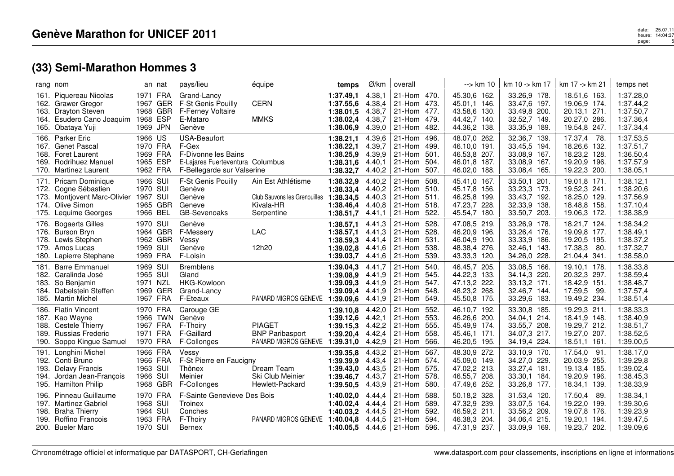|                      | rang nom                                                                                                                         |                                                          | an nat               | pays/lieu                                                                                                             | équipe                                                                        | temps                                                         | Ø/km                                           | overall                                                       |                                      | --> km 10                                                                    | km 10 -> km 17                                                               | km 17 -> km 21                                                                  | temps net                                                     |
|----------------------|----------------------------------------------------------------------------------------------------------------------------------|----------------------------------------------------------|----------------------|-----------------------------------------------------------------------------------------------------------------------|-------------------------------------------------------------------------------|---------------------------------------------------------------|------------------------------------------------|---------------------------------------------------------------|--------------------------------------|------------------------------------------------------------------------------|------------------------------------------------------------------------------|---------------------------------------------------------------------------------|---------------------------------------------------------------|
| 163.                 | 161. Piquereau Nicolas<br>162. Grawer Gregor<br><b>Drayton Steven</b><br>164. Esudero Cano Joaquim 1968 ESP<br>165. Obataya Yuji | 1971 FRA<br>1969 JPN                                     | 1967 GER<br>1968 GBR | Grand-Lancy<br>F-St Genis Pouilly<br><b>F-Ferney Voltaire</b><br>E-Mataro<br>Genève                                   | <b>CERN</b><br><b>MMKS</b>                                                    | 1:37.49,1<br>1:37.55,6<br>1:38.01,5<br>1:38.02,4<br>1:38.06,9 | 4.38,1<br>4.38,4<br>4.38,7<br>4.38,7<br>4.39,0 | 21-Hom 470.<br>21-Hom 473.<br>21-Hom 477.<br>21-Hom<br>21-Hom | 479.<br>482.                         | 45.30,6 162.<br>45.01.1 146.<br>43.58,6 130.<br>44.42,7 140.<br>44.36,2 138. | 33.26,9 178.<br>33.47,6 197.<br>33.49,8 200.<br>32.52,7 149.<br>33.35,9 189. | 18.51,6 163.<br>19.06,9 174.<br>20.13,1 271<br>20.27,0 286.<br>19.54,8 247.     | 1:37.28,0<br>1:37.44,2<br>1:37.50,7<br>1:37.36,4<br>1:37.34,4 |
| 169.                 | 166. Parker Eric<br>167. Genet Pascal<br>168. Foret Laurent<br>Rodrihuez Manuel<br>170. Martinez Laurent                         | 1966 US<br>1970 FRA<br>1969 FRA<br>1965 ESP<br>1962 FRA  |                      | <b>USA-Beaufort</b><br>F-Gex<br>F-Divonne les Bains<br>E-Lajares Fuerteventura Columbus<br>F-Bellegarde sur Valserine |                                                                               | 1:38.21,1<br>1:38.22,1<br>1:38.25.9<br>1:38.31,6<br>1:38.32,7 | 4.39,6<br>4.39,7<br>4.39,9<br>4.40,1<br>4.40,2 | 21-Hom<br>21-Hom<br>21-Hom<br>21-Hom<br>21-Hom                | 496.<br>499.<br>501.<br>504.<br>507. | 48.07,0 262.<br>46.10,0 191.<br>46.53,8 207.<br>46.01.8 187.<br>46.02,0 188. | 32.36,7 139.<br>33.45,5 194.<br>33.08,9 167.<br>33.08,9 167.<br>33.08,4 165. | 17.37,4 78.<br>18.26,6 132.<br>18.23,2 128.<br>19.20,9 196.<br>19.22,3 200.     | 1:37.53,5<br>1:37.51,7<br>1:36.50,4<br>1:37.57,9<br>1:38.05,1 |
| 171.<br>172.<br>174. | <b>Pricam Dominique</b><br>Cogne Sébastien<br>173. Montjovent Marc-Olivier<br>Olive Simon<br>175. Lequime Georges                | 1966 SUI<br>1970 SUI<br>1967 SUI<br>1966 BEL             | 1965 GBR             | F-St Genis Pouilly<br>Genève<br>Genève<br>Geneve<br>GB-Sevenoaks                                                      | Ain Est Athlétisme<br>Club Sauvons les Grenouilles<br>Kivala-HR<br>Serpentine | 1:38.32,9<br>1:38.33,4<br>1:38.34,5<br>1:38.46,4<br>1:38.51,7 | 4.40,2<br>4.40,2<br>4.40,3<br>4.40,8<br>4.41,1 | 21-Hom<br>21-Hom<br>21-Hom<br>21-Hom<br>21-Hom                | 508.<br>510.<br>511.<br>518.<br>522. | 45.41,0 167.<br>45.17,8 156.<br>46.25,8 199.<br>47.23,7 228.<br>45.54,7 180. | 33.50,1 201.<br>33.23,3 173.<br>33.43,7 192.<br>32.33,9 138.<br>33.50,7 203. | 19.01,8 171<br>19.52,3 241.<br>18.25,0 129.<br>18.48,8 158.<br>19.06,3 172.     | 1:38.12,1<br>1:38.20,6<br>1:37.56,9<br>1:37.10,4<br>1:38.38,9 |
| 176.<br>179.         | <b>Bogaerts Gilles</b><br>176. Burson Bryn<br>178. Lewis Stephen<br>Amos Lucas<br>180. Lapierre Stephane                         | 1970 SUI<br>1969 SUI<br>1969 FRA                         | 1964 GBR<br>1962 GBR | Genève<br>F-Messery<br>Vessy<br>Genève<br>F-Loisin                                                                    | <b>LAC</b><br>12h20                                                           | 1:38.57,1<br>1:38.57,1<br>1:38.59,3<br>1:39.02,8<br>1:39.03,7 | 4.41,3<br>4.41,3<br>4.41,4<br>4.41,6<br>4.41,6 | 21-Hom<br>21-Hom<br>21-Hom<br>21-Hom<br>21-Hom                | 528.<br>528.<br>531.<br>538.<br>539. | 47.08,5 219.<br>46.20,9 196.<br>46.04,9 190.<br>48.38,4 276.<br>43.33,3 120. | 33.26,9 178.<br>33.26,4 176.<br>33.33,9 186.<br>32.46,1 143.<br>34.26,0 228. | 18.21,7 124.<br>19.09,8 177.<br>19.20,5 195.<br>17.38,3<br>-80.<br>21.04,4 341. | 1:38.34,2<br>1:38.49,1<br>1:38.37,2<br>1:37.32,7<br>1:38.58,0 |
| 181.<br>183.<br>184. | <b>Barre Emmanuel</b><br>182. Caralinda José<br>So Benjamin<br>Dabelstein Steffen<br>185. Martin Michel                          | 1969 SUI<br>1965 SUI<br>1971 NZL<br>1967 FRA             | 1969 GER             | <b>Bremblens</b><br>Gland<br>HKG-Kowloon<br>Grand-Lancy<br>F-Eteaux                                                   | PANARD MIGROS GENEVE                                                          | 1:39.04,3<br>1:39.08.9<br>1:39.09,3<br>1:39.09,4<br>1:39.09,6 | 4.41,7<br>4.41,9<br>4.41,9<br>4.41,9<br>4.41,9 | 21-Hom<br>21-Hom<br>21-Hom<br>21-Hom<br>21-Hom                | 540.<br>545.<br>547.<br>548.<br>549. | 46.45,7 205.<br>44.22,3 133.<br>47.13,2 222.<br>48.23,2 268.<br>45.50,8 175. | 33.08,5 166.<br>34.14,3 220.<br>33.13,2 171.<br>32.46,7 144.<br>33.29,6 183. | 19.10,1 178.<br>20.32,3 297.<br>18.42,9 151.<br>17.59,5<br>99.<br>19.49,2 234.  | 1:38.33,8<br>1:38.59,4<br>1:38.48,7<br>1:37.57,4<br>1:38.51,4 |
| 188.<br>189.<br>190. | 186. Flatin Vincent<br>187. Kao Wayne<br>Cestele Thierry<br><b>Russias Frederic</b><br>Soppo Kingue Samuel                       | 1970 FRA<br>1967 FRA<br>1971 FRA<br>1970 FRA             | 1966 TWN             | Carouge GE<br>Genève<br>F-Thoiry<br>F-Gaillard<br>F-Collonges                                                         | <b>PIAGET</b><br><b>BNP Paribasport</b><br>PANARD MIGROS GENEVE               | 1:39.10,8<br>1:39.12,6<br>1:39.15,3<br>1:39.20,4<br>1:39.31,0 | 4.42,0<br>4.42,1<br>4.42,2<br>4.42,4<br>4.42,9 | 21-Hom<br>21-Hom<br>21-Hom<br>21-Hom<br>21-Hom                | 552.<br>553.<br>555.<br>558.<br>566. | 46.10,7 192.<br>46.26,6 200.<br>45.49,9 174.<br>45.46,1 171.<br>46.20,5 195. | 33.30,8 185.<br>34.04.1 214.<br>33.55,7 208.<br>34.07,3 217.<br>34.19,4 224. | 19.29,3 211.<br>18.41,9 148.<br>19.29,7 212.<br>19.27,0 207.<br>18.51,1 161.    | 1:38.33,3<br>1:38.40,9<br>1:38.51,7<br>1:38.52,5<br>1:39.00,5 |
| 191.<br>193.         | Longhini Michel<br>192. Conti Bruno<br><b>Delavy Francis</b><br>194. Jordan Jean-François<br>195. Hamilton Philip                | 1966 FRA<br>1966 FRA<br>1963 SUI<br>1966 SUI<br>1968 GBR |                      | Vessy<br>F-St Pierre en Faucigny<br>Thônex<br>Meinier<br>F-Collonges                                                  | Dream Team<br>Ski Club Meinier<br>Hewlett-Packard                             | 1:39.35,8<br>1:39.39.9<br>1:39.43,0<br>1:39.46,7<br>1:39.50,5 | 4.43,2<br>4.43,4<br>4.43,5<br>4.43,7<br>4.43,9 | 21-Hom<br>21-Hom<br>21-Hom<br>21-Hom<br>21-Hom                | 567.<br>574.<br>575.<br>578.<br>580. | 48.30,9 272.<br>45.09,0 149.<br>47.02,2 213.<br>46.55,7 208.<br>47.49,6 252. | 33.10,9 170.<br>34.27,0 229.<br>33.27,4 181.<br>33.30,1 184.<br>33.26,8 177. | 17.54,0<br>91.<br>20.03,9 255.<br>19.13,4 185.<br>19.20,9 196.<br>18.34,1 139.  | 1:38.17,0<br>1:39.29,8<br>1:39.02,4<br>1:38.45,3<br>1:38.33,9 |
| 196.<br>198.<br>199. | Pinneau Guillaume<br>197. Martinez Gabriel<br><b>Braha Thierry</b><br><b>Roffino Francois</b><br>200. Bueler Marc                | 1970 FRA<br>1968 SUI<br>1964 SUI<br>1963 FRA<br>1970 SUI |                      | F-Sainte Genevieve Des Bois<br>Troinex<br>Conches<br>F-Thoiry<br><b>Bernex</b>                                        | PANARD MIGROS GENEVE                                                          | 1:40.02.0<br>1:40.02.4<br>1:40.03.2<br>1:40.04.8<br>1:40.05,5 | 4.44.4<br>4.44,4<br>4.44,5<br>4.44,5           | 21-Hom<br>21-Hom<br>21-Hom<br>21-Hom<br>4.44,6 21-Hom         | 588.<br>589.<br>592.<br>594.<br>596. | 50.18,2 328.<br>47.32,9 239.<br>46.59,2 211.<br>46.38,3 204.<br>47.31,9 237. | 31.53,4 120.<br>33.07,5 164.<br>33.56,2 209.<br>34.06,4 215.<br>33.09,9 169. | 17.50,4<br>-89.<br>19.22,0 199.<br>19.07,8 176.<br>19.20,1 194.<br>19.23,7 202. | 1:38.34,1<br>1:39.30.6<br>1:39.23,9<br>1:39.47.5<br>1:39.09,6 |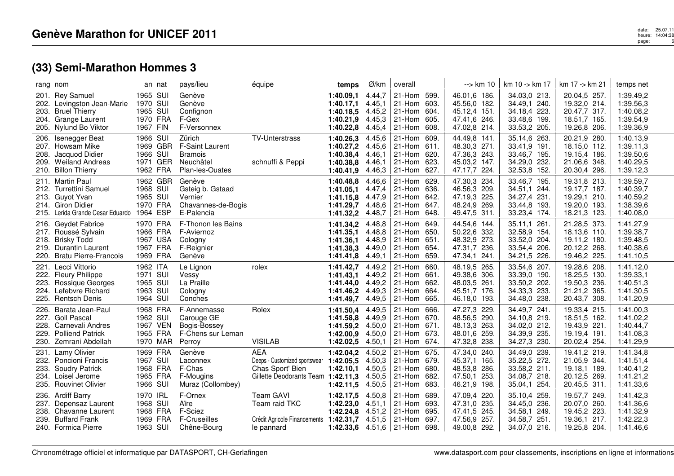|                      | rang nom                                                                                                               |                                                          | an nat   | pays/lieu                                                                          | équipe                                                                                                | temps                                                                                       | Ø/km                                           | overall                                                                 |                              | $\rightarrow$ km 10                                                             | km 10 -> km 17                                                               | km 17 -> km 21                                                               | temps net                                                     |
|----------------------|------------------------------------------------------------------------------------------------------------------------|----------------------------------------------------------|----------|------------------------------------------------------------------------------------|-------------------------------------------------------------------------------------------------------|---------------------------------------------------------------------------------------------|------------------------------------------------|-------------------------------------------------------------------------|------------------------------|---------------------------------------------------------------------------------|------------------------------------------------------------------------------|------------------------------------------------------------------------------|---------------------------------------------------------------|
| 201.                 | <b>Rey Samuel</b><br>202. Levingston Jean-Marie<br>203. Bruel Thierry<br>204. Grange Laurent<br>205. Nylund Bo Viktor  | 1965 SUI<br>1970 SUI<br>1965 SUI<br>1970 FRA<br>1967 FIN |          | Genève<br>Genève<br>Confignon<br>F-Gex<br>F-Versonnex                              |                                                                                                       | 1:40.09,1<br>1:40.17,1<br>1:40.18,5 4.45,2<br>1:40.21.9<br>1:40.22,8                        | 4.44,7<br>4.45,1<br>4.45,3<br>4.45,4           | 21-Hom<br>21-Hom<br>21-Hom 604.<br>21-Hom 605.<br>21-Hom 608.           | 599.<br>603.                 | 46.01,6 186.<br>45.56,0 182.<br>45.12,4 151.<br>47.41,6 246.<br>47.02,8 214.    | 34.03,0 213.<br>34.49,1 240.<br>34.18,4 223.<br>33.48,6 199.<br>33.53,2 205. | 20.04,5 257.<br>19.32,0 214.<br>20.47,7 317.<br>18.51,7 165.<br>19.26,8 206. | 1:39.49,2<br>1:39.56,3<br>1:40.08,2<br>1:39.54,9<br>1:39.36,9 |
| 206.                 | Isenegger Beat<br>207. Howsam Mike<br>208. Jacquod Didier<br>209. Weiland Andreas<br>210. Billon Thierry               | 1966 SUI<br>1969 GBR<br>1966 SUI<br>1962 FRA             | 1971 GER | Zürich<br><b>F-Saint Laurent</b><br><b>Bramois</b><br>Neuchâtel<br>Plan-les-Ouates | <b>TV-Unterstrass</b><br>schnuffi & Peppi                                                             | 1:40.26,3<br>1:40.27,2<br>1:40.38,4<br>1:40.38.8<br>1:40.41,9                               | 4.45,6<br>4.45,6<br>4.46,1<br>4.46,1           | 21-Hom 609.<br>21-Hom 611.<br>21-Hom 620.<br>21-Hom<br>4.46,3 21-Hom    | 623.<br>627.                 | 44.49,8 141.<br>48.30,3 271.<br>47.36,3 243.<br>45.03,2 147.<br>47.17,7 224.    | 35.14,6 263.<br>33.41,9 191.<br>33.46,7 195.<br>34.29,0 232.<br>32.53,8 152. | 20.21,9 280.<br>18.15,0 112.<br>19.15,4 186.<br>21.06.6 348.<br>20.30,4 296. | 1:40.13,9<br>1:39.11,3<br>1:39.50,6<br>1:40.29,5<br>1:39.12,3 |
|                      | 211. Martin Paul<br>212. Turrettini Samuel<br>213. Guyot Yvan<br>214. Giron Didier<br>215. Lerida Grande Cesar Eduardo | 1962 GBR<br>1968 SUI<br>1965 SUI<br>1970 FRA<br>1964 ESP |          | Genève<br>Gsteig b. Gstaad<br>Vernier<br>Chavannes-de-Bogis<br>E-Palencia          |                                                                                                       | 1:40.48.8<br>1:41.05.1<br>1:41.15,8<br>1:41.29,7<br>1:41.32,2                               | 4.46,6<br>4.47,4<br>4.47,9<br>4.48,6<br>4.48,7 | 21-Hom 629.<br>21-Hom 636.<br>21-Hom 642.<br>21-Hom 647.<br>21-Hom      | 648.                         | 47.30,3 234.<br>46.56,3 209.<br>47.19,3 225.<br>48.24,9 269.<br>49.47,5 311.    | 33.46,7 195.<br>34.51,1 244.<br>34.27,4 231.<br>33.44,8 193.<br>33.23,4 174. | 19.31,8 213.<br>19.17,7 187.<br>19.29,1 210.<br>19.20,0 193.<br>18.21,3 123. | 1:39.59,7<br>1:40.39,7<br>1:40.59,2<br>1:38.39,6<br>1:40.08,0 |
|                      | 216. Geydet Fabrice<br>217. Roussé Sylvain<br>218. Brisky Todd<br>219. Durantin Laurent<br>220. Bratu Pierre-Francois  | 1970 FRA<br>1966 FRA<br>1967 USA<br>1967 FRA<br>1969 FRA |          | F-Thonon les Bains<br>F-Aviernoz<br>Cologny<br>F-Reignier<br>Genève                |                                                                                                       | 1:41.34,2<br>1:41.35,1<br>1:41.36,1<br>1:41.38,3<br>1:41.41.8                               | 4.48,8<br>4.48,8<br>4.48,9<br>4.49,0<br>4.49,1 | 21-Hom 649.<br>21-Hom 650.<br>21-Hom 651.<br>21-Hom 654.<br>21-Hom      | 659.                         | 44.54,6 144.<br>50.22,6 332.<br>48.32,9 273.<br>47.31,7 236.<br>47.34,1<br>241. | 35.11,1 261.<br>32.58,9 154.<br>33.52,0 204.<br>33.54,4 206.<br>34.21,5 226. | 21.28,5 373.<br>18.13,6 110.<br>19.11,2 180.<br>20.12,2 268.<br>19.46,2 225. | 1:41.27,9<br>1:39.38,7<br>1:39.48,5<br>1:40.38,6<br>1:41.10,5 |
| 221.<br>223.<br>224. | Lecci Vittorio<br>222. Fleury Philippe<br>Rossique Georges<br>Lefebvre Richard<br>225. Rentsch Denis                   | 1962 ITA<br>1971 SUI<br>1965 SUI<br>1963 SUI<br>1964 SUI |          | Le Lignon<br>Vessy<br>La Praille<br>Cologny<br>Conches                             | rolex                                                                                                 | 1:41.42,7<br>1:41.43,1 4.49,2<br>1:41.44,0 $4.49,2$ 21-Hom<br>1:41.46,2 4.49,3<br>1:41.49,7 | 4.49,2<br>4.49,5                               | 21-Hom<br>21-Hom 661.<br>$ 21-Hom $<br>21-Hom                           | 660.<br>662.<br>664.<br>665. | 48.19,5 265.<br>49.38,6 306.<br>48.03,5 261.<br>45.51,7 176.<br>46.18,0 193.    | 33.54,6 207.<br>33.39,0 190.<br>33.50,2 202.<br>34.33,3 233.<br>34.48,0 238. | 19.28,6 208.<br>18.25,5 130.<br>19.50,3 236.<br>21.21,2 365.<br>20.43,7 308. | 1:41.12,0<br>1:39.33,1<br>1:40.51,3<br>1:41.30,5<br>1:41.20,9 |
| 226.<br>228.<br>229. | Barata Jean-Paul<br>227. Goll Pascal<br>Carnevali Andres<br><b>Polliend Patrick</b><br>230. Zemrani Abdellah           | 1968 FRA<br>1962 SUI<br>1967 VEN<br>1965 FRA             | 1970 MAR | F-Annemasse<br>Carouge GE<br>Bogis-Bossey<br>F-Chens sur Leman<br>Perroy           | Rolex<br><b>VISILAB</b>                                                                               | 1:41.50,4<br>1:41.58,8<br>1:41.59.2<br>1:42.00.9<br>1:42.02,5                               | 4.49,5<br>4.49,9<br>4.50,0<br>4.50,0<br>4.50,1 | 21-Hom 666.<br>21-Hom 670.<br>21-Hom 671.<br>21-Hom 673.<br>21-Hom 674. |                              | 47.27,3 229.<br>48.56,5 290.<br>48.13.3 263.<br>48.01,6 259.<br>47.32,8 238.    | 34.49,7 241<br>34.10,8 219.<br>34.02,0 212.<br>34.39,9 235.<br>34.27,3 230.  | 19.33,4 215.<br>18.51,5 162.<br>19.43,9 221.<br>19.19,4 191.<br>20.02,4 254. | 1:41.00,3<br>1:41.02,2<br>1:40.44,7<br>1:41.08,3<br>1:41.29,9 |
| 231.<br>233.         | Lamy Olivier<br>232. Poncioni Francis<br><b>Soudry Patrick</b><br>234. Loisel Jerome<br>235. Rouvinet Olivier          | 1969 FRA<br>1967 SUI<br>1968 FRA<br>1965 FRA<br>1966 SUI |          | Genève<br>Laconnex<br>F-Chas<br>F-Mougins<br>Muraz (Collombey)                     | <b>AEA</b><br>Deeps - Customized sportswear<br>Chas Sport' Bien<br>Gillette Deodorants Team 1:42.11,3 | 1:42.04,2<br>1:42.05,5<br>1:42.10,1<br>1:42.11,5                                            | 4.50,2<br>4.50,3<br>4.50,5<br>4.50,5<br>4.50,5 | 21-Hom 675.<br>21-Hom 679.<br>21-Hom 680.<br>21-Hom<br>21-Hom           | 682.<br>683.                 | 47.34,0 240.<br>45.37,1 165.<br>48.53,8 286.<br>47.50,1 253.<br>46.21,9 198.    | 34.49,0 239.<br>35.22,5 272.<br>33.58,2 211.<br>34.08,7 218.<br>35.04,1 254. | 19.41,2 219.<br>21.05,9 344.<br>19.18.1 189.<br>20.12,5 269.<br>20.45,5 311. | 1:41.34,8<br>1:41.51,4<br>1:40.41,2<br>1:41.21,2<br>1:41.33,6 |
| 236.                 | <b>Ardiff Barry</b><br>237. Depensaz Laurent<br>238. Chavanne Laurent<br>239. Buffard Frank<br>240. Formica Pierre     | 1970 IRL<br>1968 SUI<br>1968 FRA<br>1969 FRA<br>1963 SUI |          | F-Ornex<br>Aïre<br>F-Sciez<br>F-Cruseilles<br>Chêne-Bourg                          | <b>Team GAVI</b><br>Team raid TKC<br>Crédit Agricole Financements<br>le pannard                       | 1:42.17,5<br>1:42.23,0<br>1:42.24,8<br>1:42.31,7<br>1:42.33,6 $4.51,6$ 21-Hom 698.          | 4.50,8<br>4.51,1<br>4.51,2<br>4.51,5           | 21-Hom 689.<br>21-Hom 693.<br>21-Hom 695.<br>21-Hom 697.                |                              | 47.09,4 220.<br>47.31,0 235.<br>47.41,5 245.<br>47.56,9 257.<br>49.00,8 292.    | 35.10,4 259.<br>34.45,0 236.<br>34.58,1 249.<br>34.58,7 251.<br>34.07,0 216. | 19.57,7 249.<br>20.07,0 260.<br>19.45,2 223.<br>19.36,1 217.<br>19.25,8 204. | 1:41.42,3<br>1:41.36,6<br>1:41.32,9<br>1:42.22,3<br>1:41.46,6 |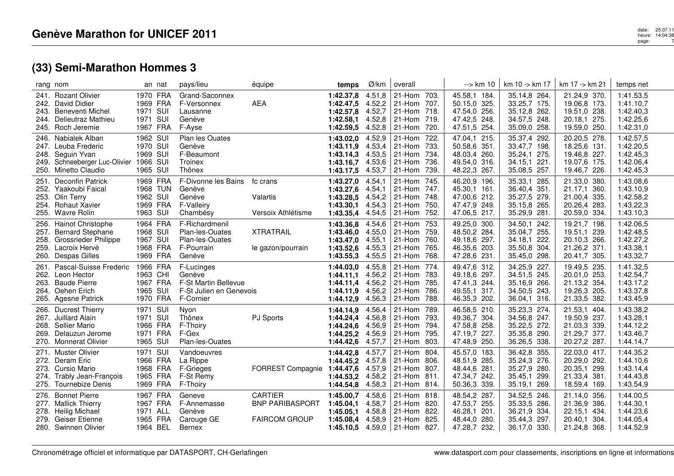|              | rang nom                                                                                                                         | an nat                                                   | pays/lieu                                                                            | équipe                                                           | temps                                                                              | Ø/km                                           | overall                                                  |                                      | --> km 10                                                                    | km 10 -> km 17                                                               | km 17 -> km 21                                                               | temps net                                                     |
|--------------|----------------------------------------------------------------------------------------------------------------------------------|----------------------------------------------------------|--------------------------------------------------------------------------------------|------------------------------------------------------------------|------------------------------------------------------------------------------------|------------------------------------------------|----------------------------------------------------------|--------------------------------------|------------------------------------------------------------------------------|------------------------------------------------------------------------------|------------------------------------------------------------------------------|---------------------------------------------------------------|
|              | 241. Rozant Olivier<br>242. David Didier<br>243. Beneventi Michel<br>244. Delieutraz Mathieu<br>245. Roch Jeremie                | 1970 FRA<br>1969 FRA<br>1971 SUI<br>1971 SUI<br>1967 FRA | Grand-Saconnex<br>F-Versonnex<br>Lausanne<br>Genève<br>F-Ayse                        | <b>AEA</b>                                                       | 1:42.37,8<br>1:42.47,5<br>1:42.57,8<br>1:42.58,1<br>1:42.59,5                      | 4.51,8<br>4.52,2<br>4.52,7<br>4.52,8<br>4.52,8 | 21-Hom 703.<br>21-Hom<br>21-Hom 718.<br>21-Hom<br>21-Hom | 707.<br>719.<br>720.                 | 45.58,1 184.<br>50.15,0 325.<br>47.54,0 256.<br>47.42,5 248.<br>47.51,5 254. | 35.14,8 264.<br>33.25,7 175.<br>35.12,8 262.<br>34.57,5 248.<br>35.09,0 258. | 21.24,9 370.<br>19.06,8 173.<br>19.51,0 238.<br>20.18,1 275.<br>19.59,0 250. | 1:41.53,5<br>1:41.10,7<br>1:42.40,3<br>1:42.25,6<br>1:42.31,0 |
|              | 246. Nabialek Alban<br>247. Leuba Frederic<br>248. Seguin Yvan<br>249. Schneeberger Luc-Olivier 1966 SUI<br>250. Minetto Claudio | 1962 SUI<br>1970 SUI<br>1969 SUI<br>1965 SUI             | Plan les Ouates<br>Genève<br>F-Beaumont<br>Troinex<br>Thônex                         |                                                                  | 1:43.02,0<br>1:43.11,9<br>1:43.14.3<br>1:43.16.7<br>1:43.17,5                      | 4.52,9<br>4.53,4<br>4.53,5<br>4.53,6<br>4.53,7 | 21-Hom<br>21-Hom<br>21-Hom<br>21-Hom<br>21-Hom           | 722.<br>733.<br>734.<br>736.<br>739. | 47.04,1 215.<br>50.58,6 351.<br>48.03.4 260.<br>49.54,0 316.<br>48.22,3 267. | 35.37,4 292.<br>33.47,7 198.<br>35.24,1 275.<br>34.15,1 221.<br>35.08,5 257. | 20.20,5 278.<br>18.25,6 131.<br>19.46.8 227.<br>19.07,6 175.<br>19.46,7 226. | 1:42.57,5<br>1:42.20,5<br>1:42.45,3<br>1:42.06,4<br>1:42.45,3 |
| 251.<br>254. | <b>Deconfin Patrick</b><br>252. Yaakoubi Faical<br>253. Olin Terry<br><b>Rohaut Xavier</b><br>255. Wavre Rolin                   | 1969 FRA<br>1968 TUN<br>1962 SUI<br>1969 FRA<br>1963 SUI | F-Divonne les Bains<br>Genève<br>Genève<br>F-Valleiry<br>Chambésy                    | fc crans<br>Valartis<br>Versoix Athlétisme                       | 1:43.27,0<br>1:43.27,6<br>1:43.28.5<br>1:43.30,1<br>1:43.35,4                      | 4.54,1<br>4.54,1<br>4.54,2<br>4.54,3<br>4.54,5 | 21-Hom<br>21-Hom<br>21-Hom<br>21-Hom<br>21-Hom           | 745.<br>747.<br>748.<br>750.<br>752. | 46.20,9 196.<br>45.30,1 161.<br>47.00,6 212.<br>47.47,9 249.<br>47.06,5 217. | 35.33,1 285.<br>36.40,4 351.<br>35.27,5 279.<br>35.15,8 265.<br>35.29,9 281. | 21.33,0 380.<br>21.17,1 360.<br>21.00,4 335.<br>20.26,4 283.<br>20.59,0 334. | 1:43.08,6<br>1:43.10,9<br>1:42.58,2<br>1:43.22,3<br>1:43.10,3 |
| 256.<br>258. | <b>Hainot Christophe</b><br>257. Bernard Stephane<br><b>Grossrieder Philippe</b><br>259. Lacroix Hervé<br>260. Despas Gilles     | 1964 FRA<br>1968 SUI<br>1967 SUI<br>1968 FRA<br>1969 FRA | F-Richardmenil<br>Plan-les-Ouates<br>Plan-les-Ouates<br>F-Pourrain<br>Genève         | <b>XTRATRAIL</b><br>le gazon/pourrain                            | 1:43.36,8<br>1:43.46,0 4.55,0<br>1:43.47,0<br>1:43.52,6<br>1:43.55,3               | 4.54,6<br>4.55,1<br>4.55,3<br>4.55,5           | 21-Hom<br>21-Hom<br>21-Hom<br>21-Hom<br>21-Hom           | 753.<br>759.<br>760.<br>765.<br>768. | 49.25,0 300.<br>48.50,2 284.<br>49.18,6 297.<br>46.35,6 203.<br>47.28,6 231. | 34.50,1 242.<br>35.04,7 255.<br>34.18,1 222.<br>35.50,8 304.<br>35.45,0 298. | 19.21,7 198.<br>19.51,1 239.<br>20.10,3 266.<br>21.26,2 371.<br>20.41,7 305. | 1:42.06,5<br>1:42.48,5<br>1:42.27,2<br>1:43.38,1<br>1:43.32,7 |
| 261.<br>263. | Pascal-Suisse Frederic<br>262. Leon Hector<br><b>Baude Pierre</b><br>264. Oehen Erich<br>265. Agesne Patrick                     | 1966 FRA<br>1963 CHI<br>1967 FRA<br>1965 SUI<br>1970 FRA | F-Lucinges<br>Genève<br>F-St Martin Bellevue<br>F-St Julien en Genevois<br>F-Cornier |                                                                  | 1:44.03,0<br>1:44.11.1 4.56,2<br>1:44.11,4<br>1:44.11,9<br>1:44.12,9 4.56,3        | 4.55,8<br>4.56,2<br>4.56,2                     | 21-Hom<br>21-Hom<br>21-Hom<br>21-Hom<br>21-Hom           | 774.<br>783.<br>785.<br>786.<br>788. | 49.47,6 312.<br>49.18,6 297.<br>47.41,3 244.<br>49.55,1 317.<br>46.35,3 202. | 34.25,9 227.<br>34.51,5 245.<br>35.16,9 266.<br>34.50,5 243.<br>36.04,1 316. | 19.49,5 235.<br>20.01,0 253.<br>21.13,2 354.<br>19.26,3 205.<br>21.33,5 382. | 1:41.32,5<br>1:42.54,7<br>1:43.17,2<br>1:43.37,8<br>1:43.45,9 |
| 266.<br>268. | Ducrest Thierry<br>267. Juillard Alain<br>Sellier Mario<br>269. Delauzun Jerome<br>270. Monnerat Olivier                         | 1971 SUI<br>1971 SUI<br>1966 FRA<br>1971 FRA<br>1965 SUI | Nyon<br>Thônex<br>F-Thoiry<br>F-Gex<br>Plan-les-Ouates                               | PJ Sports                                                        | 1:44.14,9<br>1:44.24,4<br>1:44.24,6<br>1:44.25,2<br>1:44.42,6                      | 4.56,4<br>4.56,8<br>4.56,9<br>4.56,9<br>4.57,7 | 21-Hom<br>21-Hom<br>21-Hom<br>21-Hom<br>21-Hom           | 789.<br>793.<br>794.<br>795.<br>803. | 46.58,5 210.<br>49.36,7 304.<br>47.58,8 258.<br>47.19,7 227.<br>47.48,9 250. | 35.23,3 274.<br>34.56,8 247.<br>35.22,5 272.<br>35.35,8 290.<br>36.26,5 338. | 21.53,1 404.<br>19.50,9 237.<br>21.03,3 339.<br>21.29,7 377.<br>20.27,2 287. | 1:43.38,2<br>1:43.28,1<br>1:44.12,2<br>1:43.46,7<br>1:44.14,7 |
|              | 271. Muster Olivier<br>272. Deram Eric<br>273. Cursio Mario<br>274. Trably Jean-François<br>275. Tournebize Denis                | 1971 SUI<br>1966 FRA<br>1968 FRA<br>1965 FRA<br>1969 FRA | Vandoeuvres<br>La Rippe<br>F-Grieges<br>F-St Remy<br>F-Thoiry                        | FORREST Compagnie                                                | 1:44.42,8<br>1:44.45.2<br>1:44.47,6<br>1:44.53,2<br>1:44.54,8                      | 4.57,7<br>4.57,8<br>4.57,9<br>4.58,2<br>4.58,3 | 21-Hom<br>21-Hom<br>21-Hom<br>21-Hom 811.<br>21-Hom 814. | 804.<br>806.<br>807.                 | 45.57,0 183.<br>48.51,9 285.<br>48.44,6 281.<br>47.34,7 242.<br>50.36,3 339. | 36.42,8 355.<br>35.24,3 276.<br>35.27,9 280.<br>35.45,1 299.<br>35.19,1 269. | 22.03.0 417.<br>20.29,0 292.<br>20.35,1 299.<br>21.33,4 381.<br>18.59,4 169. | 1:44.35,2<br>1:44.10.6<br>1:43.14,4<br>1:44.43,8<br>1:43.54,9 |
| 276.<br>278. | <b>Bonnet Pierre</b><br>277. Mallick Thierry<br><b>Heilig Michael</b><br>279. Geiser Etienne<br>280. Swinnen Olivier             | 1967 FRA<br>1967 FRA<br>1971 ALL<br>1965 FRA<br>1964 BEL | Geneve<br>F-Annemasse<br>Genève<br>Carouge GE<br>Bernex                              | <b>CARTIER</b><br><b>BNP PARIBASPORT</b><br><b>FAIRCOM GROUP</b> | 1:45.00.7<br>1:45.04.1<br>1:45.05.1<br>1:45.08.4<br>1:45.10,5 $4.59,0$ 21-Hom 827. | 4.58,6<br>4.58,7<br>4.58,8<br>4.58,9           | 21-Hom 818.<br>21-Hom 820.<br>21-Hom<br>21-Hom           | 822.<br>825.                         | 48.54,2 287.<br>47.53,7 255.<br>46.28,1 201.<br>48.44,0 280.<br>47.28,7 232. | 34.52,5 246.<br>35.33,5 286.<br>36.21,9 334.<br>35.44,3 297.<br>36.17,0 330. | 21.14.0 356.<br>21.36,9 386.<br>22.15,1 434.<br>20.40.1 304.<br>21.24,8 368. | 1:44.00.5<br>1:44.30.1<br>1:44.23,6<br>1:44.05.4<br>1:44.52,9 |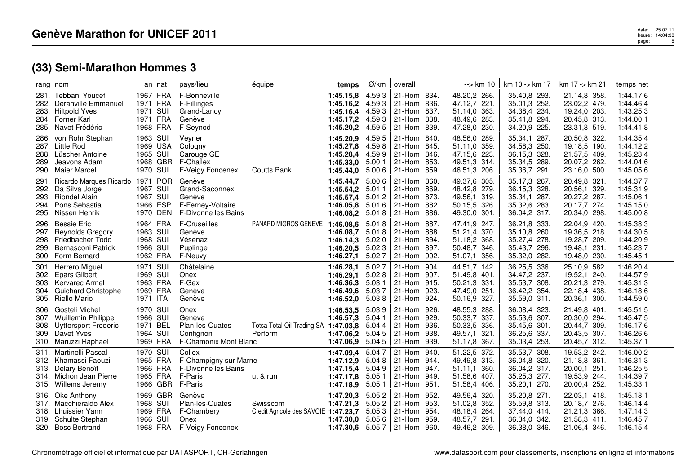|              | rang nom                                                                                                               |                                                          | an nat   | pays/lieu                                                                      | équipe                                           | temps                                                                        | Ø/km                                           | overall                                                       |                              | --> km 10                                                                       | km 10 -> km 17                                                               | km 17 -> km 21                                                               | temps net                                                     |
|--------------|------------------------------------------------------------------------------------------------------------------------|----------------------------------------------------------|----------|--------------------------------------------------------------------------------|--------------------------------------------------|------------------------------------------------------------------------------|------------------------------------------------|---------------------------------------------------------------|------------------------------|---------------------------------------------------------------------------------|------------------------------------------------------------------------------|------------------------------------------------------------------------------|---------------------------------------------------------------|
| 281.         | Tebbani Youcef<br>282. Deranville Emmanuel<br>283. Hiltpold Yves<br>284. Forner Karl<br>285. Navet Frédéric            | 1967 FRA<br>1971 FRA<br>1971 SUI<br>1971 FRA<br>1968 FRA |          | F-Bonneville<br>F-Fillinges<br>Grand-Lancy<br>Genève<br>F-Seynod               |                                                  | 1:45.15,8<br>$1:45.16,2$ 4.59,3<br>1:45.16,4<br>1:45.17,2<br>1:45.20,2       | 4.59,3<br>4.59,3<br>4.59,3<br>4.59,5           | 21-Hom 834.<br>  21-Hom<br>21-Hom 837.<br>21-Hom<br>$ 21-Hom$ | 836.<br>838.<br>839.         | 48.20,2 266.<br>47.12,7 221.<br>51.14,0 363.<br>48.49,6 283.<br>47.28,0 230.    | 35.40,8 293.<br>35.01,3 252.<br>34.38,4 234.<br>35.41,8 294.<br>34.20,9 225. | 21.14,8 358.<br>23.02,2 479.<br>19.24,0 203.<br>20.45,8 313.<br>23.31,3 519. | 1:44.17,6<br>1:44.46,4<br>1:43.25,3<br>1:44.00,1<br>1:44.41,8 |
| 286.         | von Rohr Stephan<br>287. Little Rod<br>288. Lüscher Antoine<br>289. Jeavons Adam<br>290. Maier Marcel                  | 1963 SUI<br>1969 USA<br>1965 SUI<br>1970 SUI             | 1968 GBR | Veyrier<br>Cologny<br>Carouge GE<br><b>F-Challex</b><br>F-Veigy Foncenex       | <b>Coutts Bank</b>                               | 1:45.20,9<br>1:45.27,8<br>1:45.28,4<br>1:45.33.0<br>1:45.44.0                | 4.59,5<br>4.59,8<br>4.59,9<br>5.00,1<br>5.00,6 | 21-Hom<br>21-Hom 845.<br>21-Hom<br>21-Hom 853.<br>$ 21-H$ om  | - 840.<br>846.<br>859.       | 48.56,0 289.<br>51.11,0 359.<br>47.15,6 223.<br>49.51,3 314.<br>46.51,3 206.    | 35.34,1 287.<br>34.58,3 250.<br>36.15,3 328.<br>35.34,5 289.<br>35.36,7 291. | 20.50,8 322.<br>19.18,5 190.<br>21.57,5 409.<br>20.07,2 262.<br>23.16,0 500. | 1:44.35,4<br>1:44.12,2<br>1:45.23,4<br>1:44.04,6<br>1:45.05,6 |
| 291.<br>294. | Ricardo Marques Ricardo 1971 POR<br>292. Da Silva Jorge<br>293. Riondel Alain<br>Pons Sebastia<br>295. Nissen Henrik   | 1967 SUI<br>1967 SUI<br>1966 ESP<br>1970 DEN             |          | Genève<br>Grand-Saconnex<br>Genève<br>F-Ferney-Voltaire<br>F-Divonne les Bains |                                                  | 1:45.44,7<br>1:45.54,2<br>1:45.57,4<br>1:46.05.8 5.01,6<br>1:46.08,2         | 5.00,6<br>5.01,1<br>5.01,2<br>5.01,8           | 21-Hom<br>21-Hom<br>21-Hom 873.<br>$ 21-Hom$<br>$ 21-H$ om    | 860.<br>869.<br>882.<br>886. | 49.37,6 305.<br>48.42,8 279.<br>49.56,1 319.<br>50.15,5 326.<br>49.30,0 301.    | 35.17,3 267.<br>36.15,3 328.<br>35.34,1 287.<br>35.32,6 283.<br>36.04,2 317. | 20.49,8 321.<br>20.56,1 329.<br>20.27,2 287.<br>20.17,7 274.<br>20.34,0 298. | 1:44.37,7<br>1:45.31,9<br>1:45.06,1<br>1:45.15,0<br>1:45.00,8 |
| 296.<br>299. | <b>Bessie Eric</b><br>297. Reynolds Gregory<br>298. Friedbacher Todd<br>Bernasconi Patrick<br>300. Form Bernard        | 1964 FRA<br>1963 SUI<br>1968 SUI<br>1966 SUI<br>1962 FRA |          | F-Cruseilles<br>Genève<br>Vésenaz<br>Puplinge<br>F-Neuvy                       | PANARD MIGROS GENEVE                             | 1:46.08,6<br>1:46.08,7<br>1:46.14.3<br>1:46.20,5<br>1:46.27.1                | 5.01,8<br>5.01.8<br>5.02,0<br>5.02,3<br>5.02,7 | 21-Hom 887.<br>21-Hom 888.<br>21-Hom 894.<br>21-Hom<br>21-Hom | 897.<br>902.                 | 47.41,9 247.<br>51.21,4 370.<br>51.18,2 368.<br>50.48,7 346.<br>51.07,1<br>356. | 36.21,8 333.<br>35.10,8 260.<br>35.27,4 278.<br>35.43,7 296.<br>35.32,0 282. | 22.04,9 420.<br>19.36,5 218.<br>19.28,7 209.<br>19.48,1 231.<br>19.48,0 230. | 1:45.38,3<br>1:44.30,5<br>1:44.20,9<br>1:45.23,7<br>1:45.45.1 |
| 301.         | Herrero Miguel<br>302. Epars Gilbert<br>303. Kervarec Armel<br>304. Guichard Christophe<br>305. Riello Mario           | 1971 SUI<br>1969 SUI<br>1963 FRA<br>1969 FRA<br>1971 ITA |          | Châtelaine<br>Onex<br>F-Gex<br>Genève<br>Genève                                |                                                  | 1:46.28,1<br>1:46.29,1<br>1:46.36.3<br>1:46.49,6 5.03,7<br>1:46.52,0         | 5.02,7<br>5.02,8<br>5.03,1<br>5.03,8           | 21-Hom 904.<br>21-Hom 907.<br>21-Hom 915.<br>21-Hom<br>21-Hom | 923.<br>924.                 | 44.51,7 142.<br>51.49,8 401.<br>50.21,3 331.<br>47.49,0 251.<br>50.16,9 327.    | 36.25,5 336.<br>34.47,2 237.<br>35.53,7 308.<br>36.42,2 354.<br>35.59,0 311. | 25.10,9 582.<br>19.52,1 240.<br>20.21,3 279.<br>22.18,4 438.<br>20.36,1 300. | 1:46.20,4<br>1:44.57,9<br>1:45.31,3<br>1:46.18,6<br>1:44.59,0 |
|              | 306. Gosteli Michel<br>307. Wuillemin Philippe<br>308. Uyttersport Frederic<br>309. Davet Yves<br>310. Maruzzi Raphael | 1970 SUI<br>1966 SUI<br>1971 BEL<br>1964 SUI<br>1969 FRA |          | Onex<br>Genève<br>Plan-les-Ouates<br>Confignon<br>F-Chamonix Mont Blanc        | Totsa Total Oil Trading SA 1:47.03,8<br>Perform  | 1:46.53,5 5.03,9<br>1:46.57.3<br>1:47.06,2 5.04,5<br>1:47.06,9               | 5.04,1<br>5.04,4<br>5.04,5                     | 21-Hom 926.<br>21-Hom 929.<br>21-Hom 936.<br>21-Hom<br>21-Hom | 938.<br>939.                 | 48.55,3 288.<br>50.33,7 337.<br>50.33,5 336.<br>49.57,1 321.<br>51.17,8 367.    | 36.08,4 323.<br>35.53,6 307.<br>35.45,6 301.<br>36.25,6 337.<br>35.03,4 253. | 21.49,8 401.<br>20.30,0 294.<br>20.44,7 309.<br>20.43,5 307.<br>20.45,7 312. | 1:45.51,5<br>1:45.47,5<br>1:46.17,6<br>1:46.26,6<br>1:45.37,1 |
| 313.         | 311. Martinelli Pascal<br>312. Khamassi Faouzi<br>Delary Benoît<br>314. Michon Jean Pierre<br>315. Willems Jeremy      | 1970 SUI<br>1965 FRA<br>1966 FRA<br>1965 FRA<br>1966 GBR |          | Collex<br>F-Champigny sur Marne<br>F-Divonne les Bains<br>F-Paris<br>F-Paris   | ut & run                                         | 1:47.09,4<br>1:47.12,9<br>1:47.15,4<br>1:47.17,8<br>1:47.18,9                | 5.04,7<br>5.04,8<br>5.04,9<br>5.05,1<br>5.05,1 | 21-Hom<br>21-Hom 944.<br>21-Hom<br>21-Hom<br>21-Hom           | 940.<br>947.<br>949.<br>951. | 51.22,5 372.<br>49.49,8 313.<br>360.<br>51.11,1<br>51.58,6 407.<br>51.58,4 406. | 35.53,7 308.<br>36.04,8 320.<br>36.04,2 317.<br>35.25,3 277.<br>35.20,1 270. | 19.53,2 242.<br>21.18,3 361.<br>20.00,1 251.<br>19.53,9 244.<br>20.00,4 252. | 1:46.00,2<br>1:46.31,3<br>1:46.25,5<br>1:44.39,7<br>1:45.33,1 |
|              | 316. Oke Anthony<br>317. Macchieraldo Alex<br>318. Lhuissier Yann<br>319. Schulte Stephan<br>320. Bosc Bertrand        | 1969 GBR<br>1968 SUI<br>1969 FRA<br>1966 SUI<br>1968 FRA |          | Genève<br>Plan-les-Ouates<br>F-Chambery<br>Onex<br>F-Veigy Foncenex            | Swisscom<br>Credit Agricole des SAVOIE 1:47.23,7 | 1:47.20,3<br>1:47.21,3<br>1:47.30.0 5.05,6<br>1:47.30,6 $5.05,7$ 21-Hom 960. | 5.05,2<br>5.05,2<br>5.05,3                     | 21-Hom<br>21-Hom<br>21-Hom<br>$ 21-Hom$                       | 952.<br>953.<br>954.<br>959. | 49.56,4 320.<br>51.02,8 352.<br>48.18.4 264.<br>48.57,7 291.<br>49.46,2 309.    | 35.20,8 271.<br>35.59,8 313.<br>37.44,0 414.<br>36.34,0 342.<br>36.38,0 346. | 22.03,1 418.<br>20.18,7 276.<br>21.21,3 366.<br>21.58,3 411.<br>21.06,4 346. | 1:45.18,1<br>1:46.14.4<br>1:47.14,3<br>1:46.45,7<br>1:46.15,4 |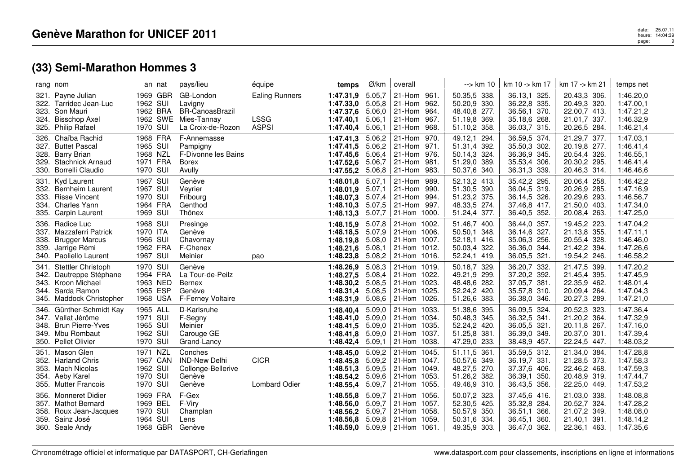|      | rang nom                                                                                                                   |                                                          | an nat   | pays/lieu                                                                          | équipe                                               | temps                                                         | Ø/km                                           | overall                                                                                           | --> km 10                                                                    | km 10 -> km 17                                                               | km 17 -> km 21                                                               | temps net                                                     |
|------|----------------------------------------------------------------------------------------------------------------------------|----------------------------------------------------------|----------|------------------------------------------------------------------------------------|------------------------------------------------------|---------------------------------------------------------------|------------------------------------------------|---------------------------------------------------------------------------------------------------|------------------------------------------------------------------------------|------------------------------------------------------------------------------|------------------------------------------------------------------------------|---------------------------------------------------------------|
|      | 321. Payne Julian<br>322. Tarridec Jean-Luc<br>323. Son Mauri<br>324. Bisschop Axel<br>325. Philip Rafael                  | 1969 GBR<br>1962 SUI<br>1962 BRA<br>1970 SUI             | 1962 SWE | GB-London<br>Lavigny<br><b>BR-CanoasBrazil</b><br>Mies-Tannay<br>La Croix-de-Rozon | <b>Ealing Runners</b><br><b>LSSG</b><br><b>ASPSI</b> | 1:47.31,9<br>1:47.33,0<br>1:47.37,6<br>1:47.40,1<br>1:47.40,4 | 5.05,7<br>5.05,8<br>5.06,0<br>5.06,1<br>5.06,1 | 21-Hom 961.<br>962.<br>21-Hom<br>964.<br>21-Hom<br>967.<br>21-Hom<br>21-Hom<br>968.               | 50.35,5 338.<br>50.20,9 330.<br>48.40,8 277.<br>51.19,8 369.<br>51.10,2 358. | 36.13,1 325.<br>36.22,8 335.<br>36.56,1 370.<br>35.18,6 268.<br>36.03,7 315. | 20.43,3 306.<br>20.49,3 320.<br>22.00,7 413.<br>21.01,7 337.<br>20.26,5 284. | 1:46.20,0<br>1:47.00,1<br>1:47.21,2<br>1:46.32,9<br>1:46.21,4 |
|      | 326. Chaïba Rachid<br>327. Buttet Pascal<br>328. Barry Brian<br>329. Stachnick Arnaud<br>330. Borrelli Claudio             | 1968 FRA<br>1965 SUI<br>1968 NZL<br>1971 FRA<br>1970 SUI |          | F-Annemasse<br>Pampigny<br>F-Divonne les Bains<br><b>Borex</b><br>Avully           |                                                      | 1:47.41,3<br>1:47.41,5<br>1:47.45.6<br>1:47.52.6<br>1:47.55,2 | 5.06,2<br>5.06,2<br>5.06,4<br>5.06,7<br>5.06,8 | 21-Hom 970.<br>21-Hom 971.<br>21-Hom 976.<br>21-Hom<br>981.<br>21-Hom<br>983.                     | 49.12,1 294.<br>51.31,4 392.<br>50.14,3 324.<br>51.29,0 389.<br>50.37,6 340. | 36.59,5 374.<br>35.50,3 302.<br>36.36,9 345.<br>35.53,4 306.<br>36.31,3 339. | 21.29,7 377.<br>20.19,8 277.<br>20.54,4 326.<br>20.30,2 295.<br>20.46,3 314. | 1:47.03,1<br>1:46.41,4<br>1:46.55,1<br>1:46.41,4<br>1:46.46,6 |
|      | 331. Kyd Laurent<br>332. Bernheim Laurent<br>333. Risse Vincent<br>334. Charles Yann<br>335. Carpin Laurent                | 1967 SUI<br>1967 SUI<br>1970 SUI<br>1964 FRA<br>1969 SUI |          | Genève<br>Vevrier<br>Fribourg<br>Genthod<br>Thônex                                 |                                                      | 1:48.01,8<br>1:48.01,9<br>1:48.07,3<br>1:48.10,3<br>1:48.13,3 | 5.07,1<br>5.07,1<br>5.07,4<br>5.07,5<br>5.07,7 | 21-Hom<br>989.<br>990.<br>21-Hom<br>21-Hom 994.<br>21-Hom<br>997.<br>21-Hom 1000.                 | 52.13,2 413.<br>51.30,5 390.<br>51.23,2 375.<br>48.33,5 274.<br>51.24,4 377. | 35.42,2 295.<br>36.04,5 319.<br>36.14,5 326.<br>37.46,8 417.<br>36.40,5 352. | 20.06,4 258.<br>20.26,9 285.<br>20.29,6 293.<br>21.50,0 403.<br>20.08,4 263. | 1:46.42,2<br>1:47.16,9<br>1:46.56,7<br>1:47.34,0<br>1:47.25,0 |
|      | 336. Radice Luc<br>337. Mazzaferri Patrick<br>338. Brugger Marcus<br>339. Jarrige Rémi<br>340. Paoliello Laurent           | 1968 SUI<br>1970 ITA<br>1966 SUI<br>1962 FRA<br>1967 SUI |          | Presinge<br>Genève<br>Chavornay<br>F-Chenex<br>Meinier                             | pao                                                  | 1:48.15,9<br>1:48.18,5<br>1:48.19,8<br>1:48.21,6<br>1:48.23,8 | 5.07,8<br>5.07,9<br>5.08,0<br>5.08,1<br>5.08,2 | 21-Hom 1002.<br>21-Hom 1006.<br>21-Hom 1007.<br>21-Hom 1012.<br>21-Hom 1016.                      | 51.46,7 400.<br>50.50,1 348.<br>52.18,1 416.<br>50.03,4 322.<br>52.24,1 419. | 36.44,0 357.<br>36.14,6 327.<br>35.06,3 256.<br>36.36,0 344.<br>36.05,5 321. | 19.45,2 223.<br>21.13,8 355.<br>20.55,4 328.<br>21.42,2 394.<br>19.54,2 246. | 1:47.04,2<br>1:47.11,1<br>1:46.46,0<br>1:47.26,6<br>1:46.58,2 |
| 341. | <b>Stettler Christoph</b><br>342. Dautreppe Stéphane<br>343. Kroon Michael<br>344. Sarda Ramon<br>345. Maddock Christopher | 1970 SUI<br>1964 FRA<br>1963 NED<br>1965 ESP<br>1968 USA |          | Genève<br>La Tour-de-Peilz<br>Bernex<br>Genève<br>F-Ferney Voltaire                |                                                      | 1:48.26,9<br>1:48.27.5<br>1:48.30,2<br>1:48.31,4<br>1:48.31,9 | 5.08,3<br>5.08,4<br>5.08.5<br>5.08,5<br>5.08,6 | 21-Hom 1019.<br>21-Hom 1022.<br>21-Hom 1023.<br>21-Hom 1025.<br>  21-Hom $1026$ .                 | 50.18,7 329.<br>49.21,9 299.<br>48.48,6 282.<br>52.24,2 420.<br>51.26,6 383. | 36.20,7 332.<br>37.20,2 392.<br>37.05,7 381.<br>35.57,8 310.<br>36.38,0 346. | 21.47,5 399.<br>21.45,4 395.<br>22.35,9 462.<br>20.09,4 264.<br>20.27,3 289. | 1:47.20,2<br>1:47.45,9<br>1:48.01,4<br>1:47.04,3<br>1:47.21,0 |
| 346. | Günther-Schmidt Kay<br>347. Vallat Jérôme<br>348. Brun Pierre-Yves<br>349. Mbu Rombaut<br>350. Pellet Olivier              | 1965 ALL<br>1971 SUI<br>1965 SUI<br>1962 SUI<br>1970 SUI |          | D-Karlsruhe<br>F-Segny<br>Meinier<br>Carouge GE<br>Grand-Lancy                     |                                                      | 1:48.40,4<br>1:48.41,0<br>1:48.41,5<br>1:48.41,8<br>1:48.42,4 | 5.09,0<br>5.09,0<br>5.09,0<br>5.09,0<br>5.09,1 | 21-Hom 1033.<br>21-Hom 1034.<br>21-Hom 1035.<br>21-Hom 1037.<br>21-Hom 1038.                      | 51.38,6 395.<br>50.48,3 345.<br>52.24,2 420.<br>51.25,8 381.<br>47.29,0 233. | 36.09,5 324.<br>36.32,5 341.<br>36.05,5 321.<br>36.39,0 349.<br>38.48,9 457. | 20.52,3 323.<br>21.20,2 364.<br>20.11,8 267.<br>20.37,0 301.<br>22.24,5 447. | 1:47.36,4<br>1:47.32,9<br>1:47.16,0<br>1:47.39,4<br>1:48.03,2 |
|      | 351. Mason Glen<br>352. Harland Chris<br>353. Mach Nicolas<br>354. Aeby Karel<br>355. Mutter Francois                      | 1971 NZL<br>1967 CAN<br>1962 SUI<br>1970 SUI<br>1970 SUI |          | Conches<br><b>IND-New Delhi</b><br>Collonge-Bellerive<br>Genève<br>Genève          | <b>CICR</b><br><b>Lombard Odier</b>                  | 1:48.45,0<br>1:48.45,8<br>1:48.51,3<br>1:48.54,2<br>1:48.55,4 | 5.09,2<br>5.09,2<br>5.09,5<br>5.09,6<br>5.09,7 | 21-Hom 1045.<br>21-Hom 1047.<br>21-Hom 1049.<br>21-Hom 1053.<br>21-Hom 1055.                      | 51.11,5 361.<br>50.57,6 349.<br>48.27,5 270.<br>51.26,2 382.<br>49.46,9 310. | 35.59,5 312.<br>36.19,7 331.<br>37.37,6 406.<br>36.39,1 350.<br>36.43,5 356. | 21.34,0 384.<br>21.28,5 373.<br>22.46,2 468.<br>20.48,9 319.<br>22.25,0 449. | 1:47.28,8<br>1:47.58,3<br>1:47.59,3<br>1:47.44,7<br>1:47.53,2 |
|      | 356. Monneret Didier<br>357. Mathot Bernard<br>358. Roux Jean-Jacques<br>359. Sainz José<br>360. Seale Andy                | 1969 FRA<br>1969 BEL<br>1970 SUI<br>1964 SUI<br>1968 GBR |          | F-Gex<br>F-Viry<br>Champlan<br>Lens<br>Genève                                      |                                                      | 1:48.55,8<br>1:48.56,0<br>1:48.56,2<br>1:48.56,8              | 5.09,7<br>5.09,7<br>5.09,7<br>5.09,8           | 21-Hom 1056.<br>21-Hom 1057.<br>21-Hom 1058.<br>21-Hom 1059.<br>1:48.59.0 $5.09.9$   21-Hom 1061. | 50.07,2 323.<br>52.30,5 425.<br>50.57,9 350.<br>50.31,6 334.<br>49.35,9 303. | 37.45,6 416.<br>35.32,8 284.<br>36.51,1 366.<br>36.45,1 360.<br>36.47,0 362. | 21.03,0 338.<br>20.52,7 324.<br>21.07,2 349.<br>21.40,1 391.<br>22.36,1 463. | 1:48.08.8<br>1:47.28,2<br>1:48.08,0<br>1:48.14,2<br>1:47.35,6 |

date: 25.07.11<br>heure: 14:04:39<br>page: 9 page:9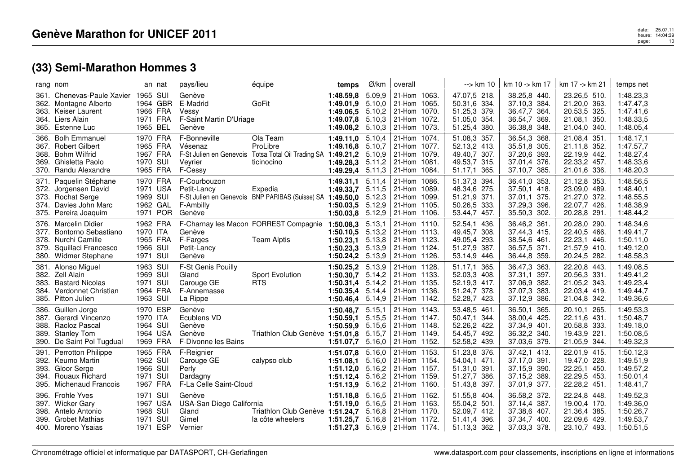|                      | rang nom                                                                                                                    |                                                          | an nat   | pays/lieu                                                                | équipe                                                                     | temps                                                                                      | Ø/km                                           | overall                                                                           | --> km 10                                                                       | km 10 -> km 17                                                               | km 17 -> km 21                                                               | temps net                                                     |
|----------------------|-----------------------------------------------------------------------------------------------------------------------------|----------------------------------------------------------|----------|--------------------------------------------------------------------------|----------------------------------------------------------------------------|--------------------------------------------------------------------------------------------|------------------------------------------------|-----------------------------------------------------------------------------------|---------------------------------------------------------------------------------|------------------------------------------------------------------------------|------------------------------------------------------------------------------|---------------------------------------------------------------|
|                      | 361. Chenevas-Paule Xavier 1965 SUI<br>362. Montagne Alberto<br>363. Keiser Laurent<br>364. Liers Alain<br>365. Estenne Luc | 1964 GBR<br>1966 FRA<br>1971 FRA<br>1965 BEL             |          | Genève<br>E-Madrid<br>Vessy<br>F-Saint Martin D'Uriage<br>Genève         | GoFit                                                                      | 1:48.59,8<br>1:49.01,9<br>1:49.06.5 5.10,2<br>1:49.07,8<br>1:49.08,2                       | 5.09,9<br>5.10,0<br>5.10,3<br>5.10,3           | 21-Hom 1063.<br>21-Hom 1065.<br>21-Hom 1070.<br>21-Hom 1072.<br>21-Hom 1073.      | 47.07,5 218.<br>50.31,6 334.<br>51.25,3 379.<br>51.05,0 354.<br>51.25,4 380.    | 38.25,8 440.<br>37.10,3 384.<br>36.47,7 364.<br>36.54,7 369.<br>36.38,8 348. | 23.26,5 510.<br>21.20,0 363.<br>20.53,5 325.<br>21.08,1 350.<br>21.04,0 340. | 1:48.23,3<br>1:47.47,3<br>1:47.41,6<br>1:48.33,5<br>1:48.05,4 |
| 368.                 | 366. Bolh Emmanuel<br>367. Robert Gilbert<br><b>Bohm Wilfrid</b><br>369. Ghisletta Paolo<br>370. Randu Alexandre            | 1970 FRA<br>1965 FRA<br>1967 FRA<br>1970 SUI<br>1965 FRA |          | F-Bonneville<br>Vésenaz<br>F-St Julien en Genevois<br>Veyrier<br>F-Cessy | Ola Team<br>ProLibre<br>Totsa Total Oil Trading SA 1:49.21,2<br>ticinocino | 1:49.11,0 5.10,4<br>1:49.16,8<br>1:49.28,3<br>1:49.29,4                                    | 5.10,7<br>5.10,9<br>5.11,2<br>5.11,3           | 21-Hom 1074.<br>21-Hom 1077.<br>21-Hom 1079.<br>21-Hom 1081.<br>21-Hom 1084.      | 51.08,3 357.<br>52.13,2 413.<br>49.40,7 307.<br>49.53,7 315.<br>51.17,1 365.    | 36.54,3 368.<br>35.51,8 305.<br>37.20,6 393.<br>37.01,4 376.<br>37.10,7 385. | 21.08,4 351.<br>21.11,8 352.<br>22.19,9 442.<br>22.33,2 457.<br>21.01,6 336. | 1:48.17,1<br>1:47.57,7<br>1:48.27,4<br>1:48.33,6<br>1:48.20,3 |
| 371.<br>372.<br>374. | Paquelin Stéphane<br>Jorgensen David<br>373. Rochat Serge<br>Davies John Marc<br>375. Pereira Joaquim                       | 1970 FRA<br>1971 USA<br>1969 SUI<br>1962 GAL             | 1971 POR | F-Courbouzon<br>Petit-Lancy<br>F-Ambilly<br>Genève                       | Expedia<br>F-St Julien en Genevois BNP PARIBAS (Suisse) SA 1:49.50,0       | 1:49.31,1<br>1:49.33,7<br>$1:50.03,5$ 5.12,9<br>1:50.03,8                                  | 5.11,4<br>5.11,5<br>5.12,3<br>5.12,9           | 21-Hom 1086.<br>21-Hom 1089.<br>21-Hom 1099.<br>21-Hom 1105.<br>21-Hom 1106.      | 51.37,3 394.<br>48.34,6 275.<br>51.21,9 371.<br>50.26,5 333.<br>53.44,7 457.    | 36.41,0 353.<br>37.50,1 418.<br>37.01,1 375.<br>37.29,3 396.<br>35.50,3 302. | 21.12,8 353.<br>23.09,0 489.<br>21.27,0 372.<br>22.07,7 426.<br>20.28,8 291. | 1:48.56,5<br>1:48.40,1<br>1:48.55,5<br>1:48.38,9<br>1:48.44,2 |
| 379.                 | 376. Marcelin Didier<br>377. Bontorno Sebastiano<br>378. Nurchi Camille<br>Squillaci Francesco<br>380. Widmer Stephane      | 1962 FRA<br>1970 ITA<br>1965 FRA<br>1966 SUI<br>1971 SUI |          | Genève<br>F-Farges<br>Petit-Lancy<br>Genève                              | F-Charnay les Macon FORREST Compagnie<br><b>Team Alptis</b>                | 1:50.08,3<br>1:50.10.5<br>1:50.23,1<br>1:50.23,3<br>1:50.24,2 5.13,9                       | 5.13,1<br>5.13,2<br>5.13,8<br>5.13,9           | 21-Hom 1110.<br>21-Hom 1113.<br>21-Hom 1123.<br>21-Hom 1124.<br>$ 21 -$ Hom 1126. | 52.54,1 436.<br>49.45,7 308.<br>49.05,4 293.<br>51.27,9<br>387.<br>53.14,9 446. | 36.46,2 361.<br>37.44,3 415.<br>38.54,6 461.<br>36.57,5 371.<br>36.44,8 359. | 20.28,0 290.<br>22.40,5 466.<br>22.23,1 446.<br>21.57,9 410.<br>20.24,5 282. | 1:48.34,6<br>1:49.41,7<br>1:50.11,0<br>1:49.12,0<br>1:48.58,3 |
| 381.<br>383.<br>384. | Alonso Miguel<br>382. Zell Alain<br><b>Bastard Nicolas</b><br>Verdonnet Christian<br>385. Pitton Julien                     | 1963 SUI<br>1969 SUI<br>1971 SUI<br>1964 FRA<br>1963 SUI |          | F-St Genis Pouilly<br>Gland<br>Carouge GE<br>F-Annemasse<br>La Rippe     | Sport Evolution<br><b>RTS</b>                                              | 1:50.25,2<br>1:50.30,7<br>1:50.31,4<br>1:50.35,4<br>1:50.46,4                              | 5.13,9<br>5.14,2<br>5.14,2<br>5.14,4<br>5.14,9 | 21-Hom 1128.<br>21-Hom 1133.<br>21-Hom 1135.<br>21-Hom 1136.<br>  21-Hom $1142.$  | 51.17,1<br>365.<br>52.03,3 408.<br>52.19,3 417.<br>51.24,7 378.<br>52.28,7 423. | 36.47,3 363.<br>37.31,1 397.<br>37.06,9 382.<br>37.07,3 383.<br>37.12,9 386. | 22.20,8 443.<br>20.56,3 331.<br>21.05,2 343.<br>22.03,4 419.<br>21.04,8 342. | 1:49.08,5<br>1:49.41,2<br>1:49.23,4<br>1:49.44,7<br>1:49.36,6 |
| 386.                 | Guillen Jorge<br>387. Gerardi Vincenzo<br>388. Racloz Pascal<br>389. Stanley Tom<br>390. De Saint Pol Tugdual               | 1970 ESP<br>1970 ITA<br>1964 SUI<br>1964 USA<br>1969 FRA |          | Genève<br>Ecublens VD<br>Genève<br>Genève<br>F-Divonne les Bains         | Triathlon Club Genève 1:51.01,8                                            | 1:50.48,7<br>1:50.59,1<br>1:50.59,9 5.15,6<br>1:51.07,7                                    | 5.15,1<br>5.15,5<br>5.15,7<br>5.16,0           | 21-Hom 1143.<br>21-Hom 1147.<br>21-Hom 1148.<br>21-Hom 1149.<br>21-Hom 1152.      | 53.48,5 461.<br>50.47,1<br>344.<br>52.26,2 422.<br>54.45,7 492.<br>52.58,2 439. | 36.50,1 365.<br>38.00,4 425.<br>37.34,9 401.<br>36.32,2 340.<br>37.03,6 379. | 20.10,1 265.<br>22.11,6 431.<br>20.58,8 333.<br>19.43,9 221.<br>21.05,9 344. | 1:49.53,3<br>1:50.48,7<br>1:49.18,0<br>1:50.08,5<br>1:49.32,3 |
| 391.<br>393.         | <b>Perrotton Philippe</b><br>392. Keumo Martin<br>Gloor Serge<br>394. Rouaux Richard<br>395. Michenaud Francois             | 1965 FRA<br>1962 SUI<br>1966 SUI<br>1971 SUI<br>1967 FRA |          | F-Reignier<br>Carouge GE<br>Perly<br>Dardagny<br>F-La Celle Saint-Cloud  | calypso club                                                               | 1:51.07,8<br>1:51.08.1 5.16.0<br>1:51.12,0 5.16,2<br>1:51.12,4 5.16,2<br>1:51.13,9         | 5.16,0<br>5.16,2                               | 21-Hom 1153.<br>21-Hom 1154.<br>21-Hom 1157.<br>21-Hom 1159.<br>21-Hom 1160.      | 51.23,8 376.<br>54.04,1 471.<br>51.31,0 391.<br>51.27,7 386.<br>51.43,8 397.    | 37.42,1 413.<br>37.17,0 391.<br>37.15,9 390.<br>37.15,2 389.<br>37.01,9 377. | 22.01,9 415.<br>19.47,0 228.<br>22.25,1 450.<br>22.29,5 453.<br>22.28,2 451. | 1:50.12,3<br>1:49.51,9<br>1:49.57,2<br>1:50.01,4<br>1:48.41,7 |
|                      | 396. Frohle Yves<br>397. Wicker Gary<br>398. Antelo Antonio<br>399. Grobet Mathias<br>400. Moreno Ysaias                    | 1971 SUI<br>1967 USA<br>1968 SUI<br>1971 SUI<br>1971 ESP |          | Genève<br>USA-San Diego California<br>Gland<br>Gimel<br>Vernier          | Triathlon Club Genève<br>la côte wheelers                                  | 1:51.18,8 5.16,5<br>1:51.19,0<br>1:51.24,7<br>1:51.25.7<br>1:51.27,3 $5.16,9$ 21-Hom 1174. | 5.16,5<br>5.16,8                               | 21-Hom 1162.<br>21-Hom 1163.<br>21-Hom 1170.<br>$5.16,8$   21-Hom 1172.           | 51.55,8 404.<br>55.04,2 501.<br>52.09,7 412.<br>51.41,4 396.<br>51.13,3 362.    | 36.58,2 372.<br>37.14,4 387.<br>37.38,6 407.<br>37.34,7 400.<br>37.03,3 378. | 22.24,8 448.<br>19.00,4 170.<br>21.36,4 385.<br>22.09,6 429.<br>23.10,7 493. | 1:49.52,3<br>1:49.36,0<br>1:50.26,7<br>1:49.53,7<br>1:50.51,5 |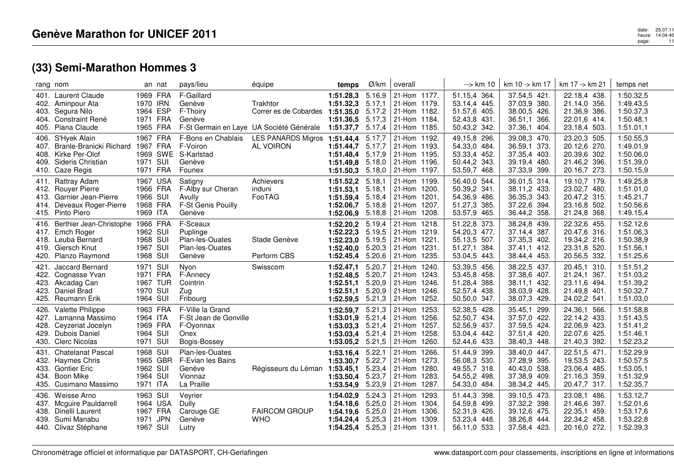|                      | rang nom                                                                                                                    |                                                          | an nat   | pays/lieu                                                                      | équipe                                                                        | temps                                                                         | Ø/km                                           | overall                                                                                           | --> km 10                                                                       | km 10 -> km 17                                                               | km 17 -> km 21                                                               | temps net                                                     |
|----------------------|-----------------------------------------------------------------------------------------------------------------------------|----------------------------------------------------------|----------|--------------------------------------------------------------------------------|-------------------------------------------------------------------------------|-------------------------------------------------------------------------------|------------------------------------------------|---------------------------------------------------------------------------------------------------|---------------------------------------------------------------------------------|------------------------------------------------------------------------------|------------------------------------------------------------------------------|---------------------------------------------------------------|
|                      | 401. Laurent Claude<br>402. Aminpour Ata<br>403. Segura Nilo<br>404. Constraint René<br>405. Piana Claude                   | 1969 FRA<br>1970 IRN<br>1964 ESP<br>1971 FRA<br>1965 FRA |          | F-Gaillard<br>Genève<br>F-Thoiry<br>Genève                                     | Trakhtor<br>Correr es de Cobardes<br>F-St Germain en Laye UA Société Générale | 1:51.28,3<br>1:51.32,3<br>1:51.35.0 5.17,2<br>1:51.36,5<br>1:51.37,7          | 5.16,9<br>5.17,1<br>5.17,3<br>5.17,4           | 21-Hom 1177.<br>21-Hom 1179.<br>21-Hom 1182.<br>21-Hom 1184.<br>21-Hom 1185.                      | 51.15,4 364.<br>53.14,4 445.<br>51.57,6 405.<br>52.43,8 431.<br>50.43,2 342.    | 37.54,5 421.<br>37.03,9 380.<br>38.00,5 426.<br>36.51,1 366.<br>37.36,1 404. | 22.18,4 438.<br>21.14,0 356.<br>21.36,9 386.<br>22.01,6 414.<br>23.18,4 503. | 1:50.32,5<br>1:49.43,5<br>1:50.37,3<br>1:50.48,1<br>1:51.01,1 |
|                      | 406. S'Hyek Alain<br>407. Branle-Branicki Richard<br>408. Kirke Per-Olof<br>409. Sideris Christian<br>410. Caze Regis       | 1967 FRA<br>1967 FRA<br>1971 SUI<br>1971 FRA             |          | F-Bons en Chablais<br>F-Voiron<br>1969 SWE S-Karlstad<br>Genève<br>Founex      | LES PANARDS Migros<br>AL VOIRON                                               | 1:51.44,4<br>1:51.44.7<br>1:51.48.4<br>1:51.49.8<br>1:51.50,3                 | 5.17,7<br>5.17,7<br>5.17,9<br>5.18,0<br>5.18,0 | 21-Hom 1192.<br>21-Hom 1193.<br>21-Hom 1195.<br>21-Hom 1196.<br>21-Hom 1197.                      | 49.15,8 296.<br>54.33,0 484.<br>53.33,4 452.<br>50.44,2 343.<br>53.59,7 468.    | 39.08,3 470.<br>36.59,1 373.<br>37.35,4 403.<br>39.19,4 480.<br>37.33,9 399. | 23.20,3 505.<br>20.12,6 270.<br>20.39.6 302.<br>21.46,2 396.<br>20.16,7 273. | 1:50.55,3<br>1:49.01,9<br>1:50.06,0<br>1:51.39,0<br>1:50.15,9 |
| 411.<br>414.         | Rattray Adam<br>412. Rouyer Pierre<br>413. Garnier Jean-Pierre<br>Deveaux Roger-Pierre<br>415. Pinto Piero                  | 1967 USA<br>1966 FRA<br>1966 SUI<br>1968 FRA<br>1969 ITA |          | Satigny<br>F-Alby sur Cheran<br>Avully<br>F-St Genis Pouilly<br>Genève         | Achievers<br>induni<br>FooTAG                                                 | 1:51.52,2<br>1:51.53,1<br>1:51.59,4<br>1:52.06.7<br>1:52.06,9                 | 5.18,1<br>5.18,1<br>5.18,4<br>5.18,8<br>5.18,8 | 21-Hom 1199.<br>21-Hom 1200.<br>21-Hom 1201.<br>21-Hom 1207.<br>21-Hom 1208.                      | 56.40,0 544.<br>50.39,2 341.<br>54.36,9 486.<br>51.27,3<br>385.<br>53.57,9 465. | 36.01,5 314.<br>38.11,2 433.<br>36.35,3 343.<br>37.22,6 394.<br>36.44,2 358. | 19.10,7 179.<br>23.02,7 480.<br>20.47,2 315.<br>23.16,8 502.<br>21.24,8 368. | 1:49.25,8<br>1:51.01,0<br>1:45.21,7<br>1:50.56,6<br>1:49.15,4 |
|                      | 416. Berthier Jean-Christophe 1966 FRA<br>417. Emch Roger<br>418. Leuba Bernard<br>419. Giersch Knut<br>420. Planzo Raymond | 1962 SUI<br>1968 SUI<br>1967 SUI<br>1968 SUI             |          | F-Sceaux<br>Puplinge<br>Plan-les-Ouates<br>Plan-les-Ouates<br>Genève           | Stade Genève<br>Perform CBS                                                   | 1:52.20,2<br>1:52.22.3<br>1:52.23,0<br>1:52.40,0<br>1:52.45,4                 | 5.19,4<br>5.19.5<br>5.19,5<br>5.20.3<br>5.20,6 | 21-Hom 1218.<br>21-Hom 1219.<br>21-Hom 1221.<br>21-Hom 1231.<br>21-Hom 1235.                      | 51.22,8 373.<br>54.20,3 477.<br>55.13,5 507.<br>51.27,1<br>384.<br>53.04,5 443. | 38.24,8 439.<br>37.14,4 387.<br>37.35,3 402.<br>37.41,1 412.<br>38.44,4 453. | 22.32,6 455.<br>20.47,6 316.<br>19.34,2 216.<br>23.31,8 520.<br>20.56,5 332. | 1:52.12,6<br>1:51.06,3<br>1:50.38,9<br>1:51.56,1<br>1:51.25,6 |
| 421.<br>423.<br>425. | Jaccard Bernard<br>422. Cognasse Yvan<br>423. Akcadag Can<br>Daniel Brad<br>Reumann Erik                                    | 1971 SUI<br>1971 FRA<br>1967 TUR<br>1970 SUI<br>1964 SUI |          | Nyon<br>F-Annecy<br>Cointrin<br>Zug<br>Fribourg                                | Swisscom                                                                      | 1:52.47,1<br>1:52.48,5 5.20,7<br>1:52.51,1<br>1:52.51,1<br>$1:52.59,5$ 5.21,3 | 5.20,7<br>5.20,9<br>5.20,9                     | 21-Hom 1240.<br>21-Hom 1243.<br>21-Hom 1246.<br>21-Hom 1246.<br>21-Hom 1252.                      | 53.39,5 456.<br>53.45,8 458.<br>51.28,4 388.<br>52.57,4 438.<br>50.50,0 347.    | 38.22,5 437.<br>37.38,6 407.<br>38.11,1 432.<br>38.03,9 428.<br>38.07,3 429. | 20.45,1 310.<br>21.24,1 367.<br>23.11,6 494.<br>21.49,8 401.<br>24.02,2 541. | 1:51.51,2<br>1:51.03,2<br>1:51.39,2<br>1:50.32,7<br>1:51.03,0 |
| 426.<br>427.         | Valette Philippe<br>Lamanna Massimo<br>428. Ceyzeriat Jocelyn<br>429. Dubois Daniel<br>430. Clerc Nicolas                   | 1963 FRA<br>1964 ITA<br>1969 FRA<br>1964 SUI<br>1971 SUI |          | F-Ville la Grand<br>F-St Jean de Gonville<br>F-Oyonnax<br>Onex<br>Bogis-Bossey |                                                                               | 1:52.59,7<br>1:53.01,9<br>1:53.03,3<br>1:53.03,4<br>1:53.05.2                 | 5.21,3<br>5.21,4<br>5.21,4<br>5.21,4<br>5.21,5 | 21-Hom 1253.<br>21-Hom 1256.<br>21-Hom 1257.<br>21-Hom 1258.<br>21-Hom 1260.                      | 52.38,5 428.<br>52.50,7 434.<br>52.56,9 437.<br>53.04,4 442.<br>52.44,6 433.    | 35.45,1 299.<br>37.57,0 422.<br>37.59,5 424.<br>37.51,4 420.<br>38.40.3 448. | 24.36,1 566.<br>22.14,2 433.<br>22.06,9 423.<br>22.07,6 425.<br>21.40,3 392. | 1:51.58,8<br>1:51.43,5<br>1:51.41,2<br>1:51.46,1<br>1:52.23,2 |
| 431.                 | <b>Chatelanat Pascal</b><br>432. Haymes Chris<br>433. Gontier Eric<br>434. Boon Mike<br>435. Cusimano Massimo               | 1968 SUI<br>1962 SUI<br>1964 SUI<br>1971 ITA             | 1965 GBR | Plan-les-Ouates<br>F-Evian les Bains<br>Genève<br>Vionnaz<br>La Praille        | Régisseurs du Léman                                                           | 1:53.16,4<br>1:53.30,7<br>1:53.45,1<br>1:53.50,4<br>1:53.54,9                 | 5.22,1<br>5.22,7<br>5.23,4<br>5.23,7<br>5.23,9 | 21-Hom 1266.<br>21-Hom 1273.<br>21-Hom 1280.<br>21-Hom 1283.<br>21-Hom 1287.                      | 51.44,9 399.<br>56.08,3 530.<br>49.55,7 318.<br>54.55,2 498.<br>54.33,0 484.    | 38.40,0 447.<br>37.28,9 395.<br>40.43,0 538.<br>37.38,9 409.<br>38.34,2 445. | 22.51,5 471.<br>19.53,5 243.<br>23.06,4 485.<br>21.16,3 359.<br>20.47,7 317. | 1:52.29,9<br>1:50.57,5<br>1:53.05,1<br>1:51.32,9<br>1:52.35,7 |
|                      | 436. Weisse Arno<br>437. Mcguire Pauldarrell<br>438. Dinelli Laurent<br>439. Sumi Manabu<br>440. Clivaz Stéphane            | 1963 SUI<br>1964 USA<br>1967 FRA<br>1971 JPN<br>1967 SUI |          | Veyrier<br>Dully<br>Carouge GE<br>Genève<br>Lutry                              | <b>FAIRCOM GROUP</b><br><b>WHO</b>                                            | 1:54.02,9<br>1:54.18.6<br>1:54.19.6<br>1:54.24.4 5.25,3                       | 5.24,3<br>5.25,0<br>5.25.0                     | 21-Hom 1293.<br>21-Hom 1304.<br>21-Hom 1306.<br>l 21-Hom 1309.<br>1:54.25,4 $5.25,3$ 21-Hom 1311. | 51.44,3 398.<br>54.59,8 499.<br>52.31,9 426.<br>53.23,4 448.<br>56.11,0 533.    | 39.10,5 473.<br>37.32,2 398.<br>39.12,6 475.<br>38.26,8 444.<br>37.58,4 423. | 23.08.1 486.<br>21.46,6 397.<br>22.35,1 459.<br>22.34,2 458.<br>20.16,0 272. | 1:53.12,7<br>1:52.01,6<br>1:53.17,6<br>1:53.22,8<br>1:52.39,3 |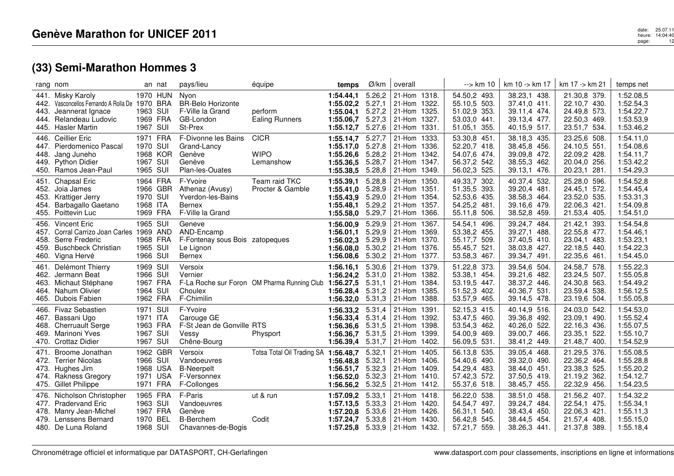|                                      | rang nom                                                                                                                     |                                                          | an nat                           | pays/lieu                                                                      | équipe                                      | temps                                                         | Ø/km                                           | overall                                                                                           | --> km 10                                                                             | km 10 -> km 17                                                               | km 17 -> km 21                                                               | temps net                                                     |
|--------------------------------------|------------------------------------------------------------------------------------------------------------------------------|----------------------------------------------------------|----------------------------------|--------------------------------------------------------------------------------|---------------------------------------------|---------------------------------------------------------------|------------------------------------------------|---------------------------------------------------------------------------------------------------|---------------------------------------------------------------------------------------|------------------------------------------------------------------------------|------------------------------------------------------------------------------|---------------------------------------------------------------|
| 441.<br>442.<br>443.<br>444.<br>445. | Misky Karoly<br>Vasconcellos Fernando A Rolla De 1970 BRA<br>Jeannerat Ignace<br>Relandeau Ludovic<br><b>Hasler Martin</b>   | 1963 SUI<br>1967 SUI                                     | 1970 HUN<br>1969 FRA             | Nyon<br><b>BR-Belo Horizonte</b><br>F-Ville la Grand<br>GB-London<br>St-Prex   | perform<br><b>Ealing Runners</b>            | 1:54.44.1<br>1:55.02.2<br>1:55.04.1<br>1:55.06,7<br>1:55.12,7 | 5.26,2<br>5.27,1<br>5.27,2<br>5.27,3<br>5.27,6 | 21-Hom 1318.<br>21-Hom 1322.<br>21-Hom 1325.<br>21-Hom 1327.<br>21-Hom 1331.                      | 54.50,2 493.<br>55.10,5 503.<br>51.02,9 353.<br>53.03,0 441.<br>51.05,1 355.          | 38.23,1 438.<br>37.41,0 411.<br>39.11.4 474.<br>39.13,4 477.<br>40.15,9 517. | 21.30,8 379.<br>22.10,7 430.<br>24.49,8 573.<br>22.50,3 469.<br>23.51,7 534. | 1:52.08,5<br>1:52.54,3<br>1:54.22,7<br>1:53.53,9<br>1:53.46,2 |
| 448.<br>449.                         | 446. Ceillier Eric<br>447. Pierdomenico Pascal<br>Jang Juneho<br><b>Python Didier</b><br>450. Ramos Jean-Paul                | 1971 FRA<br>1970 SUI<br>1967 SUI<br>1965 SUI             | 1968 KOR                         | F-Divonne les Bains<br>Grand-Lancy<br>Genève<br>Genève<br>Plan-les-Ouates      | <b>CICR</b><br><b>WIPO</b><br>Lemanshow     | 1:55.14,7<br>1:55.17,0<br>1:55.26.6<br>1:55.36,5<br>1:55.38,5 | 5.27,7<br>5.27,8<br>5.28,2<br>5.28,7<br>5.28,8 | 21-Hom 1333.<br>21-Hom 1336.<br>21-Hom 1342.<br>21-Hom 1347.<br>21-Hom 1349.                      | 53.30,8 451.<br>52.20,7 418.<br>54.07,6 474.<br>56.37,2 542.<br>56.02,3 525.          | 38.18,3 435.<br>38.45,8 456.<br>39.09,8 472.<br>38.55,3 462.<br>39.13,1 476. | 23.25,6 508.<br>24.10,5 551.<br>22.09,2 428.<br>20.04,0 256.<br>20.23,1 281. | 1:54.11,0<br>1:54.08,6<br>1:54.11,7<br>1:53.42,2<br>1:54.29,3 |
| 451.<br>454.                         | <b>Chapsal Eric</b><br>452. Joia James<br>453. Krattiger Jerry<br>Barbagallo Gaetano<br>455. Poittevin Luc                   | 1964 FRA<br>1970 SUI<br>1968 ITA<br>1969 FRA             | 1966 GBR                         | F-Yvoire<br>Athenaz (Avusy)<br>Yverdon-les-Bains<br>Bernex<br>F-Ville la Grand | Team raid TKC<br>Procter & Gamble           | 1:55.39,1<br>1:55.41,0<br>1:55.43,9<br>1:55.48,1<br>1:55.58,0 | 5.28,8<br>5.28,9<br>5.29,0<br>5.29,2<br>5.29,7 | 21-Hom 1350.<br>21-Hom 1351.<br>21-Hom 1354.<br>21-Hom 1357.<br>21-Hom 1366.                      | 49.33,7 302.<br>51.35,5 393.<br>52.53,6 435.<br>54.25,2 481.<br>55.11,8 506.          | 40.37,4 532.<br>39.20,4 481.<br>38.58,3 464.<br>39.16,6 479.<br>38.52,8 459. | 25.28,0 596.<br>24.45,1 572.<br>23.52,0 535.<br>22.06,3 421.<br>21.53,4 405. | 1:54.52,8<br>1:54.45,4<br>1:53.31,3<br>1:54.09,8<br>1:54.51,0 |
| 456.<br>459.<br>460.                 | Vincent Eric<br>457. Corral Carrizo Joan Carles 1969 AND<br>458. Serre Frederic<br><b>Buschbeck Christian</b><br>Vigna Hervé | 1965 SUI<br>1968 FRA<br>1965 SUI<br>1966 SUI             |                                  | Geneve<br>AND-Encamp<br>F-Fontenay sous Bois zatopeques<br>Le Lignon<br>Bernex |                                             | 1:56.00,9<br>1:56.01,1<br>1:56.02,3<br>1:56.08,0<br>1:56.08,6 | 5.29,9<br>5.29,9<br>5.29,9<br>5.30,2<br>5.30,2 | 21-Hom 1367.<br>21-Hom 1369.<br>21-Hom 1370.<br>21-Hom 1376.<br>21-Hom 1377.                      | 54.54,1<br>496.<br>53.38,2 455.<br>509.<br>55.17,7<br>55.45,7<br>521.<br>53.58,3 467. | 39.24,7 484.<br>39.27,1 488.<br>37.40,5 410.<br>38.03,8 427.<br>39.34,7 491. | 21.42,1 393.<br>22.55,8 477.<br>23.04,1 483.<br>22.18,5 440.<br>22.35,6 461. | 1:54.54,8<br>1:54.46,1<br>1:53.23,1<br>1:54.22,3<br>1:54.45,0 |
| 461.<br>462.<br>463.<br>464.         | Delémont Thierry<br>Jermann Beat<br>Michaut Stéphane<br>Nahum Olivier<br>465. Dubois Fabien                                  | 1969 SUI<br>1966 SUI<br>1967 FRA<br>1964 SUI<br>1962 FRA |                                  | Versoix<br>Vernier<br>Choulex<br>F-Chimilin                                    | F-La Roche sur Foron OM Pharma Running Club | 1:56.16,1<br>1:56.24,2<br>1:56.27,5<br>1:56.28,4<br>1:56.32,0 | 5.30,6<br>5.31,0<br>5.31,1<br>5.31,2<br>5.31,3 | 21-Hom 1379.<br>21-Hom 1382.<br>21-Hom 1384.<br>21-Hom 1385.<br>21-Hom 1388.                      | 51.22,8 373.<br>53.38,1 454.<br>53.19,5 447.<br>51.52,3 402.<br>53.57,9 465.          | 39.54,6 504.<br>39.21,6 482.<br>38.37,2 446.<br>40.36,7 531.<br>39.14,5 478. | 24.58,7 578.<br>23.24,5 507.<br>24.30,8 563.<br>23.59,4 538.<br>23.19,6 504. | 1:55.22,3<br>1:55.05,8<br>1:54.49,2<br>1:56.12,5<br>1:55.05,8 |
| 466.<br>467.                         | <b>Fivaz Sebastien</b><br>Bassani Ugo<br>468. Cherruault Serge<br>469. Marinoni Yves<br>470. Crottaz Didier                  | 1971 SUI<br>1971 ITA<br>1963 FRA<br>1967 SUI<br>1967 SUI |                                  | F-Yvoire<br>Carouge GE<br>F-St Jean de Gonville RTS<br>Vessy<br>Chêne-Bourg    | Physport                                    | 1:56.33,2<br>1:56.33,4<br>1:56.36,6<br>1:56.36,7<br>1:56.39,4 | 5.31,4<br>5.31,4<br>5.31,5<br>5.31,5<br>5.31,7 | 21-Hom 1391.<br>21-Hom 1392.<br>21-Hom 1398.<br>21-Hom 1399.<br>21-Hom 1402.                      | 52.15,3 415.<br>53.47,5<br>460.<br>53.54,3 462.<br>54.00,9 469.<br>56.09,5 531.       | 40.14,9 516.<br>39.36,8 492.<br>40.26,0 522.<br>39.00,7 466.<br>38.41,2 449. | 24.03,0 542.<br>23.09,1 490.<br>22.16,3 436.<br>23.35,1 522.<br>21.48,7 400. | 1:54.53,0<br>1:55.52,4<br>1:55.07,5<br>1:55.10,7<br>1:54.52,9 |
| 471.<br>473.                         | Broome Jonathan<br>472. Terrier Nicolas<br>Hughes Jim<br>474. Rakness Gregory<br>475. Gillet Philippe                        | 1966 SUI<br>1971 FRA                                     | 1962 GBR<br>1968 USA<br>1971 USA | Versoix<br>Vandoeuvres<br><b>B-Neerpelt</b><br>F-Versonnex<br>F-Collonges      | Totsa Total Oil Trading SA                  | 1:56.48,7<br>1:56.48.8<br>1:56.51,7<br>1:56.52,0<br>1:56.56.2 | 5.32,1<br>5.32,1<br>5.32,3<br>5.32,3<br>5.32,5 | 21-Hom 1405.<br>21-Hom 1406.<br>21-Hom 1409.<br>21-Hom 1410.<br>21-Hom 1412.                      | 56.13,8 535.<br>54.40,6 490.<br>54.29,4 483.<br>57.42,3 572.<br>55.37,6 518.          | 39.05,4 468.<br>39.32,0 490.<br>38.44,0 451.<br>37.50,5 419.<br>38.45,7 455. | 21.29,5 376.<br>22.36,2 464.<br>23.38,3 525.<br>21.19,2 362.<br>22.32,9 456. | 1:55.08.5<br>1:55.28,8<br>1:55.20,2<br>1:54.12,7<br>1:54.23,5 |
| 476.<br>477.<br>478.                 | Nicholson Christopher<br><b>Pradervand Eric</b><br>Manry Jean-Michel<br>479. Lenssens Bernard<br>480. De Luna Roland         | 1965 FRA<br>1963 SUI<br>1967 FRA<br>1970 BEL<br>1968 SUI |                                  | F-Paris<br>Vandoeuvres<br>Genève<br><b>B-Berchem</b><br>Chavannes-de-Bogis     | ut & run<br>Codit                           | 1:57.09.2<br>1:57.13.5<br>1:57.20.8<br>1:57.24.7              | 5.33,1<br>5.33,3<br>5.33.6<br>5.33,8           | 21-Hom 1418.<br>21-Hom 1420.<br>21-Hom 1426.<br>l 21-Hom 1430.<br>1:57.25,8 $5.33,9$ 21-Hom 1432. | 56.22,0 538.<br>54.54,7 497.<br>56.31,1<br>540.<br>56.42,8 545.<br>57.21,7 559.       | 38.51,0 458.<br>39.24,7 484.<br>38.43,4 450.<br>38.44,5 454.<br>38.26,3 441. | 21.56,2 407.<br>22.54,1 475.<br>22.06,3 421.<br>21.57,4 408.<br>21.37,8 389. | 1:54.32,2<br>1:55.34,1<br>1:55.11,3<br>1:55.15.0<br>1:55.18,4 |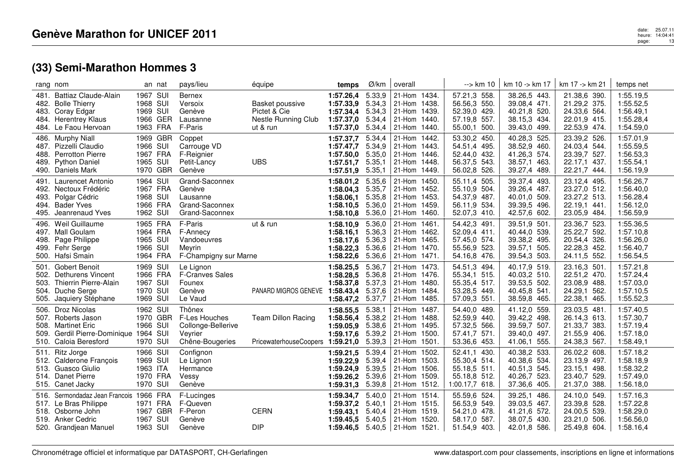| rang nom                                                        |                                                                                                                                     |                                                          | an nat               | pays/lieu                                                                   | équipe                                                             | temps                                                                               | Ø/km                                           | overall                                                                      | --> km 10                                                                          | km 10 -> km 17                                                               | km 17 -> km 21                                                               | temps net                                                     |
|-----------------------------------------------------------------|-------------------------------------------------------------------------------------------------------------------------------------|----------------------------------------------------------|----------------------|-----------------------------------------------------------------------------|--------------------------------------------------------------------|-------------------------------------------------------------------------------------|------------------------------------------------|------------------------------------------------------------------------------|------------------------------------------------------------------------------------|------------------------------------------------------------------------------|------------------------------------------------------------------------------|---------------------------------------------------------------|
| 483. Coray Edgar                                                | 481. Battiaz Claude-Alain<br>482. Bolle Thierry<br>484. Herentrey Klaus<br>484. Le Faou Hervoan                                     | 1967 SUI<br>1968 SUI<br>1969 SUI<br>1963 FRA             | 1966 GER             | <b>Bernex</b><br>Versoix<br>Genève<br>Lausanne<br>F-Paris                   | Basket poussive<br>Pictet & Cie<br>Nestle Running Club<br>ut & run | 1:57.26,4<br>1:57.33,9<br>1:57.34,4 5.34,3<br>1:57.37,0<br>1:57.37,0                | 5.33,9<br>5.34,3<br>5.34,4<br>5.34,4           | 21-Hom 1434.<br>21-Hom 1438.<br>21-Hom 1439.<br>21-Hom 1440.<br>21-Hom 1440. | 57.21,3 558.<br>56.56,3 550.<br>52.39,0 429.<br>57.19,8 557.<br>55.00,1 500.       | 38.26,5 443.<br>39.08,4 471.<br>40.21,8 520.<br>38.15,3 434.<br>39.43,0 499. | 21.38,6 390.<br>21.29,2 375.<br>24.33,6 564.<br>22.01,9 415.<br>22.53,9 474. | 1:55.19,5<br>1:55.52,5<br>1:56.49,1<br>1:55.28,4<br>1:54.59,0 |
| 486. Murphy Niall                                               | 487. Pizzelli Claudio<br>488. Perrotton Pierre<br>489. Python Daniel<br>490. Daniels Mark                                           | 1966 SUI<br>1967 FRA<br>1965 SUI                         | 1969 GBR<br>1970 GBR | Coppet<br>Carrouge VD<br>F-Reignier<br>Petit-Lancy<br>Genève                | <b>UBS</b>                                                         | 1:57.37,7<br>1:57.47,7<br>1:57.50.0<br>1:57.51.7<br>1:57.51,9                       | 5.34,4<br>5.34,9<br>5.35,0<br>5.35.1<br>5.35,1 | 21-Hom 1442.<br>21-Hom 1443.<br>21-Hom 1446.<br>21-Hom 1448.<br>21-Hom 1449. | 53.30,2 450.<br>54.51,4 495.<br>52.44,0 432.<br>56.37,5 543.<br>56.02,8 526.       | 40.28,3 525.<br>38.52,9 460.<br>41.26,3 574.<br>38.57,1 463.<br>39.27,4 489. | 23.39,2 526.<br>24.03,4 544.<br>23.39,7 527.<br>22.17,1 437.<br>22.21,7 444. | 1:57.01,9<br>1:55.59,5<br>1:56.53,3<br>1:55.54,1<br>1:56.19,9 |
| 494. Bader Yves<br>495.                                         | 491. Laurencet Antonio<br>492. Nectoux Frédéric<br>493. Polgar Cédric<br>Jeanrenaud Yves                                            | 1964 SUI<br>1967 FRA<br>1968 SUI<br>1966 FRA<br>1962 SUI |                      | Grand-Saconnex<br>Genève<br>Lausanne<br>Grand-Saconnex<br>Grand-Saconnex    |                                                                    | 1:58.01,2<br>1:58.04,3<br>1:58.06.1<br>1:58.10,5<br>1:58.10,8                       | 5.35,6<br>5.35,7<br>5.35,8<br>5.36,0<br>5.36,0 | 21-Hom 1450.<br>21-Hom 1452.<br>21-Hom 1453.<br>21-Hom 1459.<br>21-Hom 1460. | 55.11,4 505.<br>55.10,9 504.<br>54.37,9 487.<br>534.<br>56.11,9<br>52.07,3 410.    | 39.37,4 493.<br>39.26,4 487.<br>40.01,0 509.<br>39.39,5 496.<br>42.57,6 602. | 23.12,4 495.<br>23.27,0 512.<br>23.27,2 513.<br>22.19,1 441<br>23.05,9 484.  | 1:56.26,7<br>1:56.40,0<br>1:56.28,4<br>1:56.12,0<br>1:56.59,9 |
| 496.<br>497. Mall Goulam<br>499. Fehr Serge<br>500. Hafsi Smain | Weil Guillaume<br>498. Page Philippe                                                                                                | 1965 FRA<br>1964 FRA<br>1965 SUI<br>1966 SUI<br>1964 FRA |                      | F-Paris<br>F-Annecy<br>Vandoeuvres<br>Mevrin<br>F-Champigny sur Marne       | ut & run                                                           | 1:58.10,9<br>1:58.16,1<br>1:58.17,6<br>1:58.22,3<br>1:58.22,6                       | 5.36,0<br>5.36,3<br>5.36.3<br>5.36.6<br>5.36,6 | 21-Hom 1461.<br>21-Hom 1462.<br>21-Hom 1465.<br>21-Hom 1470.<br>21-Hom 1471. | 54.42,3 491.<br>52.09,4 411.<br>57.45,0 574.<br>55.56,9<br>523.<br>54.16,8 476.    | 39.51,9 501.<br>40.44,0 539.<br>39.38,2 495.<br>39.57,1 505.<br>39.54,3 503. | 23.36,7 523.<br>25.22,7 592.<br>20.54,4 326.<br>22.28,3 452.<br>24.11,5 552. | 1:55.36,5<br>1:57.10,8<br>1:56.26,0<br>1:56.40,7<br>1:56.54,5 |
| 501.<br>503.<br>505.                                            | Gobert Benoit<br>502. Dethurens Vincent<br>Thierrin Pierre-Alain<br>504. Duche Serge<br>Jaquiery Stéphane                           | 1969 SUI<br>1966 FRA<br>1967 SUI<br>1970 SUI<br>1969 SUI |                      | Le Lignon<br><b>F-Cranves Sales</b><br>Founex<br>Genève<br>Le Vaud          | PANARD MIGROS GENEVE                                               | 1:58.25,5<br>1:58.28.5 5.36,8<br>1:58.37,8<br>1:58.43,4<br>1:58.47,2                | 5.36,7<br>5.37,3<br>5.37,6<br>5.37,7           | 21-Hom 1473.<br>21-Hom 1476.<br>21-Hom 1480.<br>21-Hom 1484.<br>21-Hom 1485. | 54.51,3 494.<br>55.34,1 515.<br>55.35,4 517.<br>53.28,5 449.<br>57.09,3 551.       | 40.17,9 519.<br>40.03,2 510.<br>39.53,5 502.<br>40.45,8 541.<br>38.59,8 465. | 23.16,3 501.<br>22.51,2 470.<br>23.08,9 488.<br>24.29,1 562.<br>22.38,1 465. | 1:57.21,8<br>1:57.24,4<br>1:57.03,0<br>1:57.10,5<br>1:55.52,3 |
| 506.<br>509.                                                    | <b>Droz Nicolas</b><br>507. Roberts Jason<br>508. Martinet Eric<br>Gerdil Pierre-Dominique 1964 SUI<br>510. Caloia Beresford        | 1962 SUI<br>1966 SUI<br>1970 SUI                         | 1970 GBR             | Thônex<br>F-Les Houches<br>Collonge-Bellerive<br>Veyrier<br>Chêne-Bougeries | <b>Team Dillon Racing</b><br>PricewaterhouseCoopers                | 1:58.55,5<br>1:58.56,4<br>1:59.05,9<br>1:59.17,6<br>1:59.21,0 5.39,3                | 5.38,1<br>5.38,2<br>5.38,6<br>5.39,2           | 21-Hom 1487.<br>21-Hom 1488.<br>21-Hom 1495.<br>21-Hom 1500.<br>21-Hom 1501. | 54.40,0 489.<br>52.59,9 440.<br>57.32,5 566.<br>57.41,7 571.<br>53.36,6 453.       | 41.12,0 559.<br>39.42,2 498.<br>39.59,7 507.<br>39.40,0 497.<br>41.06,1 555. | 23.03,5 481<br>26.14,3 613.<br>21.33,7 383.<br>21.55,9 406.<br>24.38,3 567.  | 1:57.40,5<br>1:57.30,7<br>1:57.19,4<br>1:57.18,0<br>1:58.49,1 |
| 511. Ritz Jorge<br>515. Canet Jacky                             | 512. Calderone François<br>513. Guasco Giulio<br>514. Danet Pierre                                                                  | 1966 SUI<br>1969 SUI<br>1963 ITA<br>1970 FRA<br>1970 SUI |                      | Confignon<br>Le Lignon<br>Hermance<br>Vessy<br>Genève                       |                                                                    | 1:59.21,5<br>1:59.22.9<br>1:59.24,9<br>1:59.26,2<br>1:59.31,3                       | 5.39,4<br>5.39,4<br>5.39,5<br>5.39,6<br>5.39,8 | 21-Hom 1502.<br>21-Hom 1503.<br>21-Hom 1506.<br>21-Hom 1509.<br>21-Hom 1512. | 52.41,1<br>430.<br>55.30,4 514.<br>55.18,5 511.<br>55.18,8 512.<br>1:00.17,7 618.  | 40.38,2 533.<br>40.38,6 534.<br>40.51,3 545.<br>40.26,7 523.<br>37.36,6 405. | 26.02,2 608.<br>23.13,9 497.<br>23.15,1 498.<br>23.40.7 529.<br>21.37,0 388. | 1:57.18,2<br>1:58.18,9<br>1:58.32,2<br>1:57.49,0<br>1:56.18,0 |
|                                                                 | 516. Sermondadaz Jean Francois 1966 FRA<br>517. Le Bras Philippe<br>518. Osborne John<br>519. Anker Cedric<br>520. Grandjean Manuel | 1971 FRA<br>1967 SUI<br>1963 SUI                         | 1967 GBR             | F-Lucinges<br>F-Queven<br>F-Peron<br>Genève<br>Genève                       | <b>CERN</b><br><b>DIP</b>                                          | 1:59.34,7<br>1:59.37,2<br>1:59.43,1<br>1:59.45.5<br>1:59.46,5 $5.40,5$ 21-Hom 1521. | 5.40,0<br>5.40,1<br>5.40.4<br>5.40,5           | 21-Hom 1514.<br>21-Hom 1515.<br>21-Hom 1519.<br>21-Hom 1520.                 | 55.59,6 524.<br>56.53,9 549.<br>54.21,0<br>478.<br>58.17.0<br>587.<br>51.54,9 403. | 39.25,1 486.<br>39.03,5 467.<br>41.21,6 572.<br>38.07,5 430.<br>42.01,8 586. | 24.10,0 549.<br>23.39,8 528.<br>24.00,5 539.<br>23.21,0 506.<br>25.49,8 604. | 1:57.16.3<br>1:57.22,8<br>1:58.29,0<br>1:56.56,0<br>1:58.16,4 |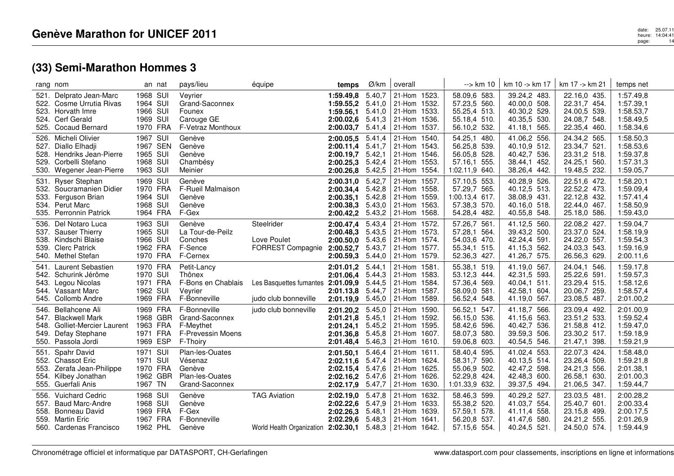|              | rang nom                                                                                                                      | an nat                                                   | pays/lieu                                                                    | équipe                                                                           | temps                                                                                  | Ø/km                                 | overall                                                                          | --> km 10                                                                       | km 10 -> km 17                                                               | km 17 -> km 21                                                               | temps net                                                     |
|--------------|-------------------------------------------------------------------------------------------------------------------------------|----------------------------------------------------------|------------------------------------------------------------------------------|----------------------------------------------------------------------------------|----------------------------------------------------------------------------------------|--------------------------------------|----------------------------------------------------------------------------------|---------------------------------------------------------------------------------|------------------------------------------------------------------------------|------------------------------------------------------------------------------|---------------------------------------------------------------|
| 521.         | Delprato Jean-Marc<br>522. Cosme Urrutia Rivas<br>523. Horvath Imre<br>524. Cerf Gerald<br>525. Cocaud Bernard                | 1968 SUI<br>1964 SUI<br>1966 SUI<br>1969 SUI<br>1970 FRA | Veyrier<br>Grand-Saconnex<br>Founex<br>Carouge GE<br>F-Vetraz Monthoux       |                                                                                  | 1:59.49,8<br>1:59.55,2<br>1:59.56.1 5.41,0<br>2:00.02,6<br>2:00.03,7                   | 5.40,7<br>5.41,0<br>5.41,3<br>5.41,4 | 21-Hom 1523.<br>21-Hom 1532.<br>21-Hom 1533.<br>21-Hom 1536.<br>21-Hom 1537.     | 58.09,6 583.<br>57.23,5 560.<br>55.25,4 513.<br>55.18,4 510.<br>56.10,2 532.    | 39.24,2 483.<br>40.00,0 508.<br>40.30,2 529.<br>40.35,5 530.<br>41.18,1 565. | 22.16,0 435.<br>22.31,7 454.<br>24.00,5 539.<br>24.08,7 548.<br>22.35,4 460. | 1:57.49,8<br>1:57.39,1<br>1:58.53,7<br>1:58.49,5<br>1:58.34,6 |
|              | 526. Micheli Olivier<br>527. Diallo Elhadji<br>528. Hendriks Jean-Pierre<br>529. Corbelli Stefano<br>530. Wegener Jean-Pierre | 1967 SUI<br>1967 SEN<br>1965 SUI<br>1968 SUI<br>1963 SUI | Genève<br>Genève<br>Genève<br>Chambésy<br>Meinier                            |                                                                                  | 2:00.05.5<br>2:00.11,4<br>2:00.19,7 5.42,1<br>2:00.25.3<br>2:00.26.8                   | 5.41,4<br>5.41,7<br>5.42,4<br>5.42,5 | 21-Hom 1540.<br>21-Hom 1543.<br>21-Hom 1546.<br>21-Hom 1553.<br>$ 21$ -Hom 1554. | 54.25,1 480.<br>56.25,8 539.<br>56.05,8 528.<br>57.16,1 555.<br>1:02.11,9 640.  | 41.06,2 556.<br>40.10,9 512.<br>40.42,7 536.<br>38.44,1 452.<br>38.26,4 442. | 24.34,2 565.<br>23.34,7 521.<br>23.31,2 518.<br>24.25,1 560.<br>19.48,5 232. | 1:58.50,3<br>1:58.53,6<br>1:59.37,8<br>1:57.31,3<br>1:59.05,7 |
| 531.         | <b>Ryser Stephan</b><br>532. Soucramanien Didier<br>533. Ferguson Brian<br>534. Perut Marc<br>535. Perronnin Patrick          | 1969 SUI<br>1970 FRA<br>1964 SUI<br>1968 SUI<br>1964 FRA | Genève<br><b>F-Rueil Malmaison</b><br>Genève<br>Genève<br>F-Gex              |                                                                                  | 2:00.31,0<br>2:00.34,4<br>$2:00.35.1$ 5.42,8<br>2:00.38,3 5.43,0<br>2:00.42,2          | 5.42,7<br>5.42,8<br>5.43,2           | 21-Hom 1557.<br>21-Hom 1558.<br>21-Hom 1559.<br>21-Hom 1563.<br>21-Hom 1568.     | 57.10,5 553.<br>57.29,7 565.<br>1:00.13,4 617.<br>57.38,3 570.<br>54.28,4 482.  | 40.28,9 526.<br>40.12,5 513.<br>38.08,9 431.<br>40.16,0 518.<br>40.55,8 548. | 22.51,6 472.<br>22.52,2 473.<br>22.12,8 432.<br>22.44,0 467.<br>25.18,0 586. | 1:58.20,1<br>1:59.09,4<br>1:57.41,4<br>1:58.50,9<br>1:59.43,0 |
|              | 536. Del Notaro Luca<br>537. Sauser Thierry<br>538. Kindschi Blaise<br>539. Clerc Patrick<br>540. Methel Stefan               | 1963 SUI<br>1965 SUI<br>1966 SUI<br>1962 FRA<br>1970 FRA | Genève<br>La Tour-de-Peilz<br>Conches<br>F-Sence<br>F-Cernex                 | Steelrider<br>Love Poulet<br>FORREST Compagnie                                   | 2:00.47,4<br>2:00.48,3 5.43,5<br>$2:00.50,0$ 5.43,6<br>2:00.52,7<br>$2:00.59,3$ 5.44,0 | 5.43,4<br>5.43,7                     | 21-Hom 1572.<br>21-Hom 1573.<br>21-Hom 1574.<br>21-Hom 1577.<br>21-Hom 1579.     | 57.26,7 561.<br>57.28,1<br>564.<br>54.03,6 470.<br>55.34,1 515.<br>52.36,3 427. | 41.12,5 560.<br>39.43,2 500.<br>42.24,4 591.<br>41.15,3 562.<br>41.26,7 575. | 22.08,2 427.<br>23.37,0 524.<br>24.22,0 557.<br>24.03,3 543.<br>26.56,3 629. | 1:59.04,7<br>1:58.19,9<br>1:59.54,3<br>1:59.16,9<br>2:00.11,6 |
| 541.         | Laurent Sebastien<br>542. Schurink Jérôme<br>543. Legou Nicolas<br>544. Vassant Marc<br>545. Collomb Andre                    | 1970 FRA<br>1970 SUI<br>1971 FRA<br>1962 SUI<br>1969 FRA | Petit-Lancy<br>Thônex<br>F-Bons en Chablais<br>Veyrier<br>F-Bonneville       | Les Basquettes fumantes<br>judo club bonneville                                  | 2:01.01,2<br>2:01.06,4 5.44,3<br>2:01.09,9<br>2:01.13,8 5.44,7<br>2:01.19,9            | 5.44,1<br>5.44,5<br>5.45,0           | 21-Hom 1581<br>21-Hom 1583.<br>21-Hom 1584.<br>21-Hom 1587.<br>21-Hom 1589.      | 55.38,1 519.<br>53.12,3 444.<br>57.36,4 569.<br>58.09,0 581.<br>56.52,4 548.    | 41.19,0 567.<br>42.31,5 593.<br>40.04,1 511.<br>42.58,1 604.<br>41.19,0 567. | 24.04,1 546.<br>25.22,6 591.<br>23.29,4 515.<br>20.06,7 259.<br>23.08,5 487. | 1:59.17,8<br>1:59.57,3<br>1:58.12,6<br>1:58.57,4<br>2:01.00,2 |
| 549.         | 546. Bellahcene Ali<br>547. Blackwell Mark<br>548. Golliet-Mercier Laurent<br>Defay Stephane<br>550. Passola Jordi            | 1969 FRA<br>1968 GBR<br>1963 FRA<br>1971 FRA<br>1969 ESP | F-Bonneville<br>Grand-Saconnex<br>F-Meythet<br>F-Prevessin Moens<br>F-Thoiry | judo club bonneville                                                             | 2:01.20,2 5.45,0<br>2:01.21.8<br>$2:01.24,1$ 5.45,2<br>2:01.36,8 5.45,8<br>2:01.48,4   | 5.45,1<br>5.46,3                     | 21-Hom 1590.<br>21-Hom 1592.<br>21-Hom 1595.<br>$ 21-Hom 1607.$<br>21-Hom 1610.  | 56.52,1 547.<br>56.15,0 536.<br>58.42,6 596.<br>58.07,3 580.<br>59.06,8 603.    | 41.18,7 566.<br>41.15,6 563.<br>40.42,7 536.<br>39.59,3 506.<br>40.54,5 546. | 23.09,4 492.<br>23.51,2 533.<br>21.58,8 412.<br>23.30,2 517.<br>21.47,1 398. | 2:01.00,9<br>1:59.52,4<br>1:59.47,0<br>1:59.18,9<br>1:59.21,9 |
|              | 551. Spahr David<br>552. Chassot Eric<br>553. Zerafa Jean-Philippe<br>554. Kilbey Jonathan<br>555. Guerfali Anis              | 1971 SUI<br>1971 SUI<br>1970 FRA<br>1962 GBR<br>1967 TN  | Plan-les-Ouates<br>Vésenaz<br>Genève<br>Plan-les-Ouates<br>Grand-Saconnex    |                                                                                  | 2:01.50.1<br>2:02.11,6 5.47,4<br>2:02.15,4<br>2:02.16,2 5.47,6<br>2:02.17,9            | 5.46,4<br>5.47,6<br>5.47,7           | 21-Hom 1611.<br>21-Hom 1624.<br>21-Hom 1625.<br>21-Hom 1626.<br>21-Hom 1630.     | 58.40,4 595.<br>58.31,7 590.<br>55.06,9 502.<br>52.29,8 424.<br>1:01.33,9 632.  | 41.02,4 553.<br>40.13,5 514.<br>42.47,2 598.<br>42.48,3 600.<br>39.37,5 494. | 22.07,3 424.<br>23.26,4 509.<br>24.21,3 556.<br>26.58,1 630.<br>21.06,5 347. | 1:58.48,0<br>1:59.21,8<br>2:01.38,1<br>2:01.00,3<br>1:59.44,7 |
| 556.<br>557. | <b>Vuichard Cedric</b><br><b>Baud Marc-Andre</b><br>558. Bonneau David<br>559. Martin Eric<br>560. Cardenas Francisco         | 1968 SUI<br>1968 SUI<br>1969 FRA<br>1967 FRA<br>1962 PHL | Genève<br>Genève<br>F-Gex<br>F-Bonneville<br>Genève                          | <b>TAG Aviation</b><br>World Health Organization 2:02.30.1 5.48,3   21-Hom 1642. | 2:02.19.0 5.47,8<br>2:02.22.6<br>2:02.26,3<br>2:02.29,6                                | 5.47.9<br>5.48,1                     | 21-Hom 1632.<br>21-Hom 1633.<br>21-Hom 1639.<br>$5.48.3$ 21-Hom 1641.            | 58.46,3 599.<br>55.38,2 520.<br>57.59,1 578.<br>56.20,8 537.<br>57.15,6 554.    | 40.29,2 527.<br>41.03,7 554.<br>41.11,4 558.<br>41.47,6 580.<br>40.24,5 521. | 23.03,5 481.<br>25.40,7 601.<br>23.15,8 499.<br>24.21,2 555.<br>24.50,0 574. | 2:00.28,2<br>2:00.33,4<br>2:00.17,5<br>2:01.26,9<br>1:59.44,9 |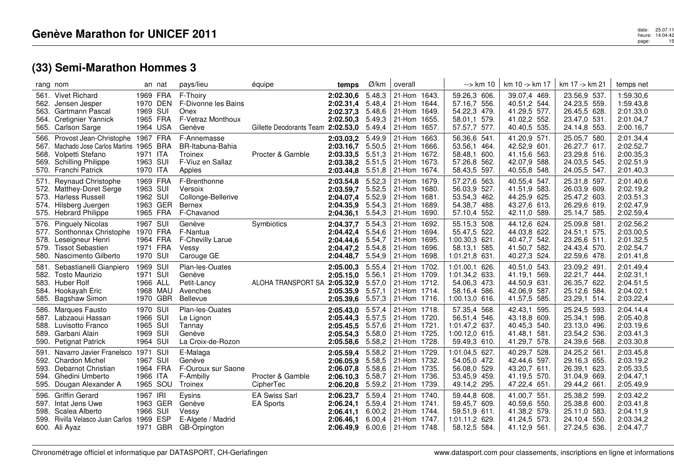|                      | rang nom                                                                                                                                               | an nat                                                   |     | pays/lieu                                                                       | équipe                                   | temps                                                         | Ø/km                                           | overall                                                                               | --> km 10                                                                            | km 10 -> km 17                                                               | km 17 -> km 21                                                               | temps net                                                     |
|----------------------|--------------------------------------------------------------------------------------------------------------------------------------------------------|----------------------------------------------------------|-----|---------------------------------------------------------------------------------|------------------------------------------|---------------------------------------------------------------|------------------------------------------------|---------------------------------------------------------------------------------------|--------------------------------------------------------------------------------------|------------------------------------------------------------------------------|------------------------------------------------------------------------------|---------------------------------------------------------------|
| 563.                 | 561. Vivet Richard<br>562. Jensen Jesper<br>Gartmann Pascal<br>564. Cretignier Yannick<br>565. Carlson Sarge                                           | 1969 FRA<br>1970 DEN<br>1969 SUI<br>1965 FRA<br>1964 USA |     | F-Thoiry<br>F-Divonne les Bains<br>Onex<br>F-Vetraz Monthoux<br>Genève          | Gillette Deodorants Team 2:02.53,0       | 2:02.30,6<br>2:02.31,4<br>2:02.37,3<br>2:02.50,3              | 5.48,3<br>5.48,4<br>5.48,6<br>5.49,3<br>5.49,4 | 21-Hom 1643.<br>21-Hom 1644.<br>21-Hom 1649.<br>21-Hom 1655.<br>21-Hom 1657.          | 59.26,3 606.<br>57.16,7 556.<br>54.22,3 479.<br>58.01,1 579.<br>57.57,7 577.         | 39.07,4 469.<br>40.51,2 544.<br>41.29,5 577.<br>41.02,2 552.<br>40.40,5 535. | 23.56,9 537.<br>24.23,5 559.<br>26.45,5 628.<br>23.47,0 531.<br>24.14,8 553. | 1:59.30,6<br>1:59.43,8<br>2:01.33,0<br>2:01.04,7<br>2:00.16,7 |
| 567.<br>568.<br>569. | 566. Provost Jean-Christophe 1967 FRA<br>Machado Jose Carlos Martins 1965 BRA<br>Volpetti Stefano<br><b>Schilling Philippe</b><br>570. Franchi Patrick | 1971 ITA<br>1963 SUI<br>1970 ITA                         |     | F-Annemasse<br><b>BR-Itabuna-Bahia</b><br>Troinex<br>F-Viuz en Sallaz<br>Apples | Procter & Gamble                         | 2:03.03,2<br>2:03.16,7<br>2:03.33,5<br>2:03.38,2<br>2:03.44,8 | 5.49,9<br>5.50,5<br>5.51,3<br>5.51,5<br>5.51,8 | 21-Hom 1663.<br>21-Hom 1666.<br>21-Hom 1672.<br>21-Hom 1673.<br>21-Hom 1674.          | 56.36,6 541.<br>53.56,1 464.<br>58.48.1 600.<br>57.26,8 562.<br>58.43,5 597.         | 41.20,9 571.<br>42.52,9 601.<br>41.15.6 563.<br>42.07,9 588.<br>40.55,8 548. | 25.05,7 580.<br>26.27,7 617.<br>23.29,8 516.<br>24.03,5 545.<br>24.05,5 547. | 2:01.34,4<br>2:02.52,7<br>2:00.35,3<br>2:02.51,9<br>2:01.40,3 |
| 571.                 | Reynaud Christophe<br>572. Matthey-Doret Serge<br>573. Harless Russell<br>574. Hilsberg Juergen<br>575. Hebrard Philippe                               | 1969 FRA<br>1963 SUI<br>1962 SUI<br>1963 GER<br>1965 FRA |     | F-Brenthonne<br>Versoix<br>Collonge-Bellerive<br>Bernex<br>F-Chavanod           |                                          | 2:03.54,8<br>2:03.59,7<br>2:04.07.4<br>2:04.35.9<br>2:04.36,1 | 5.52,3<br>5.52,5<br>5.52,9<br>5.54,3<br>5.54,3 | 21-Hom 1679.<br>21-Hom 1680.<br>21-Hom 1681.<br>21-Hom 1689.<br>21-Hom 1690.          | 57.27,6 563.<br>56.03,9 527.<br>53.54,3 462.<br>54.38,7 488.<br>57.10,4 552.         | 40.55,4 547.<br>41.51,9 583.<br>44.25,9 625.<br>43.27,6 613.<br>42.11,0 589. | 25.31,8 597.<br>26.03,9 609.<br>25.47,2 603.<br>26.29,6 619.<br>25.14,7 585. | 2:01.40,6<br>2:02.19,2<br>2:03.51,3<br>2:02.47,9<br>2:02.59,4 |
| 579.                 | 576. Pinguely Nicolas<br>577. Sonthonnax Christophe<br>578. Leseigneur Henri<br><b>Tissot Sebastien</b><br>580. Nascimento Gilberto                    | 1967 SUI<br>1970 FRA<br>1964 FRA<br>1971 FRA<br>1970 SUI |     | Genève<br>F-Nantua<br>F-Chevilly Larue<br>Vessy<br>Carouge GE                   | Symbiotics                               | 2:04.37,7<br>2:04.42,4<br>2:04.44,6<br>2:04.47,2<br>2:04.48.7 | 5.54,3<br>5.54,6<br>5.54,7<br>5.54,8<br>5.54,9 | 21-Hom 1692.<br>21-Hom 1694.<br>21-Hom 1695.<br>21-Hom 1696.<br>21-Hom 1698.          | 55.15,3 508.<br>55.47,5 522.<br>1:00.30,3 621.<br>58.13,1<br>585.<br>1:01.21,8 631.  | 44.12,6 624.<br>44.03,8 622.<br>40.47,7 542.<br>41.50,7 582.<br>40.27,3 524. | 25.09,8 581<br>24.51,1 575.<br>23.26,6 511.<br>24.43,4 570.<br>22.59,6 478.  | 2:02.56,2<br>2:03.00,5<br>2:01.32,5<br>2:02.54,7<br>2:01.41,8 |
| 581.<br>583.<br>585. | Sebastianelli Gianpiero<br>582. Tosto Maurizio<br>Huber Rolf<br>584. Hookayah Eric<br><b>Bagshaw Simon</b>                                             | 1969 SUI<br>1971 SUI<br>1966 ALL<br>1968 MAU<br>1970 GBR |     | Plan-les-Ouates<br>Genève<br>Petit-Lancy<br>Avenches<br>Bellevue                | ALOHA TRANSPORT SA                       | 2:05.00,3<br>2:05.15,0<br>2:05.32,9<br>2:05.35,9<br>2:05.39,6 | 5.55,4<br>5.56,1<br>5.57,0<br>5.57,1<br>5.57,3 | 21-Hom 1702.<br>21-Hom 1709.<br>21-Hom 1712.<br>21-Hom 1714.<br>21-Hom 1716.          | 1:01.00,1 626.<br>1:01.34,2 633.<br>54.06,3 473.<br>58.16,4 586.<br>1:00.13,0 616.   | 40.51,0 543.<br>41.19,1 569.<br>44.50,9 631.<br>42.06,9 587.<br>41.57,5 585. | 23.09,2 491.<br>22.21,7 444.<br>26.35,7 622.<br>25.12,6 584.<br>23.29,1 514. | 2:01.49,4<br>2:02.31,1<br>2:04.51,5<br>2:04.02,1<br>2:03.22,4 |
| 586.<br>589.<br>590. | Marques Fausto<br>587. Labzaoui Hassan<br>588. Luvisotto Franco<br>Garbani Alain<br><b>Petignat Patrick</b>                                            | 1970 SUI<br>1966 SUI<br>1965 SUI<br>1969 SUI<br>1964 SUI |     | Plan-les-Ouates<br>Le Lignon<br>Tannay<br>Genève<br>La Croix-de-Rozon           |                                          | 2:05.43,0<br>2:05.44.3<br>2:05.45,5<br>2:05.54,3<br>2:05.58.6 | 5.57,4<br>5.57,5<br>5.57,6<br>5.58,0<br>5.58,2 | 21-Hom 1718.<br>21-Hom 1720.<br>21-Hom 1721.<br>21-Hom 1725.<br>21-Hom 1728.          | 57.35,4 568.<br>56.51,4 546.<br>1:01.47,2 637.<br>1:00.12,0 615.<br>59.49,3 610.     | 42.43,1 595.<br>43.18,8 609.<br>40.45,3 540.<br>41.48,1 581.<br>41.29,7 578. | 25.24,5 593.<br>25.34,1 598.<br>23.13,0 496.<br>23.54,2 536.<br>24.39,6 568. | 2:04.14,4<br>2:05.40,8<br>2:03.19,6<br>2:03.41,3<br>2:03.30,8 |
| 591.<br>593.<br>595. | Navarro Javier Franelsco 1971 SUI<br>592. Chardon Michel<br>Debarnot Christian<br>594. Ghedini Umberto<br>Dougan Alexander A                           | 1967 SUI<br>1964 FRA<br>1966 ITA<br>1965 SOU             |     | E-Malaga<br>Genève<br>F-Ouroux sur Saone<br>F-Ambilly<br>Troinex                | Procter & Gamble<br>CipherTec            | 2:05.59,4<br>2:06.05.9<br>2:06.07,8<br>2:06.10,3<br>2:06.20,8 | 5.58,2<br>5.58,5<br>5.58,6<br>5.58,7<br>5.59,2 | 21-Hom 1729.<br>21-Hom 1732.<br>21-Hom 1735.<br>21-Hom 1736.<br>21-Hom 1739.          | 1:01.04,5 627.<br>54.05,0 472.<br>56.08,0 529.<br>53.45,9 459.<br>49.14,2 295.       | 40.29,7 528.<br>42.44,6 597.<br>43.20,7 611.<br>41.19,5 570.<br>47.22,4 651. | 24.25,2 561.<br>29.16,3 655.<br>26.39,1 623.<br>31.04,9 669.<br>29.44,2 661  | 2:03.45,8<br>2:03.19,2<br>2:05.33,5<br>2:04.47,1<br>2:05.49,9 |
| 596.<br>598.         | <b>Griffin Gerard</b><br>597. Intat Jens Uwe<br>Scalea Alberto<br>599. Rivilla Velasco Juan Carlos 1969 ESP<br>600. Ali Ayaz                           | 1967 IRI<br>1963 GER<br>1966<br>1971 GBR                 | SUI | Eysins<br>Genève<br>Vessy<br>E-Algete / Madrid<br>GB-Orpington                  | <b>EA Swiss Sarl</b><br><b>EA Sports</b> | 2:06.23,7<br>2:06.24,1<br>2:06.41,1<br>2:06.46.1<br>2:06.49,9 | 5.59,4<br>5.59,4<br>6.00,2<br>6.00,4           | 21-Hom 1740.<br>21-Hom 1741.<br>21-Hom 1744.<br>21-Hom 1747.<br>$6.00,6$ 21-Hom 1748. | 59.44,8 608.<br>59.45,7 609.<br>59.51,9<br>611.<br>1:01.11,2<br>629.<br>58.12,5 584. | 41.00,7 551.<br>40.59,6 550.<br>41.38,2 579.<br>41.24,5 573.<br>41.12,9 561. | 25.38,2 599.<br>25.38,8 600.<br>25.11,0 583.<br>24.10,4 550.<br>27.24,5 636. | 2:03.42,2<br>2:03.41,8<br>2:04.11,9<br>2:03.34,2<br>2:04.47,7 |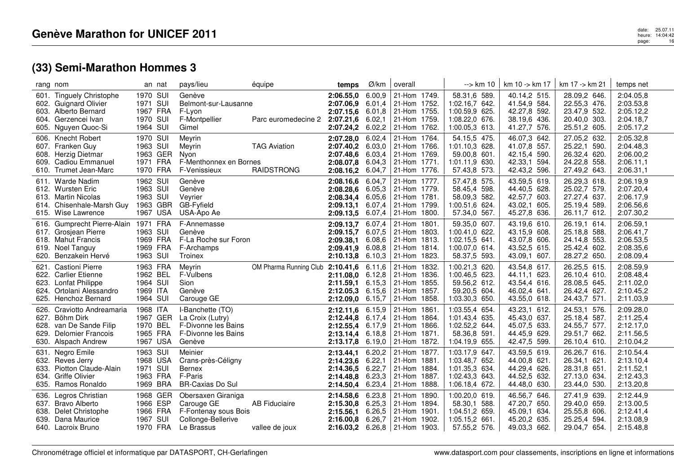| rang nom                     |                                                                                                                           |                                                          | an nat   | pays/lieu                                                                                    | équipe                                   | temps                                                                  | Ø/km                                           | overall                                                                                              | --> km 10                                                                                 | km 10 -> km 17                                                               | km 17 -> km 21                                                               | temps net                                                     |
|------------------------------|---------------------------------------------------------------------------------------------------------------------------|----------------------------------------------------------|----------|----------------------------------------------------------------------------------------------|------------------------------------------|------------------------------------------------------------------------|------------------------------------------------|------------------------------------------------------------------------------------------------------|-------------------------------------------------------------------------------------------|------------------------------------------------------------------------------|------------------------------------------------------------------------------|---------------------------------------------------------------|
| 601.                         | <b>Tinguely Christophe</b><br>602. Guignard Olivier<br>603. Alberto Bernard<br>604. Gerzencei Ivan<br>605. Nguyen Quoc-Si | 1970 SUI<br>1971 SUI<br>1967 FRA<br>1970 SUI<br>1964 SUI |          | Genève<br>Belmont-sur-Lausanne<br>F-Lyon<br>F-Montpellier<br>Gimel                           | Parc euromedecine 2                      | 2:06.55.0<br>2:07.06.9<br>2:07.15,6<br>2:07.21,6<br>2:07.24,2          | 6.00.9<br>6.01,4<br>6.01.8<br>6.02,1<br>6.02,2 | 21-Hom 1749.<br>21-Hom 1752.<br>21-Hom 1755.<br>21-Hom 1759.<br>21-Hom 1762.                         | 58.31,6 589.<br>1:02.16,7 642.<br>1:00.59,9 625.<br>1:08.22,0 676.<br>1:00.05,3 613.      | 40.14,2 515.<br>41.54,9 584.<br>42.27,8 592.<br>38.19,6 436.<br>41.27,7 576. | 28.09,2 646.<br>22.55,3 476.<br>23.47,9 532.<br>20.40,0 303.<br>25.51,2 605. | 2:04.05,8<br>2:03.53,8<br>2:05.12,2<br>2:04.18,7<br>2:05.17,2 |
| 609.                         | 606. Knecht Robert<br>607. Franken Guy<br>608. Herzig Dietmar<br><b>Cadiou Emmanuel</b><br>610. Trumet Jean-Marc          | 1970 SUI<br>1963 SUI<br>1971 FRA<br>1970 FRA             | 1963 GER | Meyrin<br>Meyrin<br>Nyon<br>F-Menthonnex en Bornes<br>F-Venissieux                           | <b>TAG Aviation</b><br><b>RAIDSTRONG</b> | 2:07.28,0<br>2:07.40,2<br>2:07.48.6<br>2:08.07,8<br>2:08.16,2          | 6.02,4<br>6.03,0<br>6.03,4<br>6.04.3<br>6.04,7 | 21-Hom 1764.<br>21-Hom 1766.<br>21-Hom 1769.<br>21-Hom 1771.<br>21-Hom 1776.                         | 54.15,5 475.<br>1:01.10,3 628.<br>59.00,8 601.<br>630.<br>1:01.11,9<br>57.43,8 573.       | 46.07,3 642.<br>41.07,8 557.<br>42.15,4 590.<br>42.33,1 594.<br>42.43,2 596. | 27.05,2 632.<br>25.22,1 590.<br>26.32,4 620.<br>24.22,8 558.<br>27.49,2 643. | 2:05.32,8<br>2:04.48,3<br>2:06.00,2<br>2:06.11,1<br>2:06.31,1 |
|                              | 611. Warde Nadim<br>612. Wursten Eric<br>613. Martin Nicolas<br>614. Chisenhale-Marsh Guy<br>615. Wise Lawrence           | 1962 SUI<br>1963 SUI<br>1963 SUI<br>1963 GBR             | 1967 USA | Genève<br>Genève<br>Veyrier<br>GB-Fyfield<br>USA-Apo Ae                                      |                                          | 2:08.16,6<br>2:08.28,6<br>2:08.34.4<br>2:09.13.1<br>2:09.13,5          | 6.04,7<br>6.05.3<br>6.05.6<br>6.07,4<br>6.07,4 | 21-Hom 1777.<br>21-Hom 1779.<br>21-Hom 1781.<br>21-Hom 1799.<br>21-Hom 1800.                         | 57.47,8 575.<br>58.45,4 598.<br>58.09,3 582.<br>1:00.51,6 624.<br>57.34,0 567.            | 43.59,5 619.<br>44.40,5 628.<br>42.57,7 603.<br>43.02,1 605.<br>45.27,8 636. | 26.29,3 618.<br>25.02,7 579.<br>27.27,4 637.<br>25.19,4 589.<br>26.11,7 612. | 2:06.19,9<br>2:07.20,4<br>2:06.17,9<br>2:06.56,6<br>2:07.30,2 |
| 619.<br>620.                 | 616. Gumprecht Pierre-Alain 1971 FRA<br>617. Grosjean Pierre<br>618. Mahut Francis<br>Noel Tanguy<br>Benzakein Hervé      | 1963 SUI<br>1969 FRA<br>1969 FRA<br>1963 SUI             |          | F-Annemasse<br>Genève<br>F-La Roche sur Foron<br>F-Archamps<br>Troinex                       |                                          | 2:09.13,7<br>2:09.15,7<br>2:09.38,1<br>2:09.41,9<br>$2:10.13,8$ 6.10,3 | 6.07,4<br>6.07.5<br>6.08.6<br>6.08.8           | 21-Hom 1801.<br>21-Hom 1803.<br>21-Hom 1813.<br>21-Hom 1814.<br>21-Hom 1823.                         | 59.35,0 607.<br>1:00.41,0 622.<br>1:02.15,5<br>641.<br>1:00.07.0<br>614.<br>58.37,5 593.  | 43.19,6 610.<br>43.15,9 608.<br>43.07,8 606.<br>43.52,5 615.<br>43.09,1 607. | 26.19,1 614.<br>25.18,8 588.<br>24.14,8 553.<br>25.42,4 602.<br>28.27,2 650. | 2:06.59,1<br>2:06.41,7<br>2:06.53,5<br>2:08.35,6<br>2:08.09,4 |
| 621.<br>623.<br>624.<br>625. | <b>Castioni Pierre</b><br>622. Carlier Etienne<br><b>Lonfat Philippe</b><br>Ortolani Alessandro<br><b>Henchoz Bernard</b> | 1963 FRA<br>1962 BEL<br>1964 SUI<br>1969 ITA<br>1964 SUI |          | Meyrin<br>F-Vulbens<br><b>Sion</b><br>Genève<br>Carouge GE                                   | OM Pharma Running Club                   | 2:10.41,6<br>2:11.08.0 6.12.8<br>2:11.59.1<br>2:12.05.3<br>2:12.09,0   | 6.11,6<br>6.15,3<br>6.15,6<br>6.15,7           | 21-Hom 1832.<br>21-Hom 1836.<br>21-Hom 1855.<br>21-Hom 1857.<br>21-Hom 1858.                         | 1:00.21,3 620.<br>1:00.46,5 623.<br>59.56,2 612.<br>59.20,5 604.<br>1:03.30,3 650.        | 43.54,8 617.<br>44.11,1 623.<br>43.54,4 616.<br>46.02,4 641.<br>43.55,0 618. | 26.25,5 615.<br>26.10,4 610.<br>28.08,5 645.<br>26.42,4 627.<br>24.43,7 571. | 2:08.59,9<br>2:08.48,4<br>2:11.02,0<br>2:10.45,2<br>2:11.03,9 |
| 626.<br>627.<br>628.<br>629. | Craviotto Andreamaria<br>Böhm Dirk<br>van De Sande Filip<br><b>Delomier Francois</b><br>630. Alspach Andrew               | 1968 ITA<br>1970 BEL<br>1965 FRA<br>1967 USA             | 1967 GER | I-Banchette (TO)<br>La Croix (Lutry)<br>F-Divonne les Bains<br>F-Divonne les Bains<br>Genève |                                          | 2:12.11,6<br>2:12.44.8<br>2:12.55,4<br>2:13.14.4<br>2:13.17,8          | 6.15,9<br>6.17,4<br>6.17,9<br>6.18,8<br>6.19,0 | 21-Hom 1861<br>21-Hom 1864.<br>21-Hom 1866.<br>21-Hom 1871.<br>21-Hom 1872.                          | 1:03.55,4 654.<br>1:01.43,4 635.<br>1:02.52,2 644.<br>58.36,8 591.<br>1:04.19,9 655.      | 43.23,1 612.<br>45.43,0 637.<br>45.07,5 633.<br>44.45,9 629.<br>42.47,5 599. | 24.53,1 576.<br>25.18,4 587.<br>24.55,7 577.<br>29.51,7 662.<br>26.10,4 610. | 2:09.28,0<br>2:11.25,4<br>2:12.17,0<br>2:11.56,5<br>2:10.04,2 |
| 631.<br>632.<br>633.<br>634. | Negro Emile<br>Reves Jerry<br>Piotton Claude-Alain<br>Griffe Olivier<br>635. Ramos Ronaldo                                | 1963 SUI<br>1968 USA<br>1971 SUI<br>1963 FRA<br>1969 BRA |          | Meinier<br>Crans-près-Céligny<br><b>Bernex</b><br>F-Paris<br><b>BR-Caxias Do Sul</b>         |                                          | 2:13.44,1<br>2:14.23.6<br>2:14.36,5<br>2:14.48.8<br>2:14.50,4          | 6.20,2<br>6.22,1<br>6.22,7<br>6.23,3<br>6.23,4 | 21-Hom 1877.<br>21-Hom 1881<br>21-Hom 1884.<br>21-Hom 1887.<br>21-Hom 1888.                          | 1:03.17,9<br>647.<br>1:03.48,7 652.<br>1:01.35,3 634.<br>1:02.43,3 643.<br>1:06.18,4 672. | 43.59,5 619.<br>44.00,8 621.<br>44.29,4 626.<br>44.52,5 632.<br>44.48,0 630. | 26.26,7 616.<br>26.34,1 621.<br>28.31,8 651.<br>27.13,0 634.<br>23.44,0 530. | 2:10.54,4<br>2:13.10,4<br>2:11.52,1<br>2:12.43,3<br>2:13.20,8 |
| 636.<br>637.<br>638.         | Legros Christian<br><b>Bravo Alberto</b><br>Delet Christophe<br>639. Dana Maurice<br>640. Lacroix Bruno                   | 1966 ESP<br>1966 FRA<br>1967 SUI<br>1970 FRA             | 1968 GER | Obersaxen Giraniga<br>Carouge GE<br>F-Fontenay sous Bois<br>Collonge-Bellerive<br>Le Brassus | <b>AB Fiduciaire</b><br>vallee de joux   | 2:14.58,6<br>2:15.30,8<br>2:15.56,1<br>2:16.00.8                       | 6.23,8<br>6.25,3<br>6.26,5<br>6.26,7           | 21-Hom 1890.<br>21-Hom 1894.<br>21-Hom 1901.<br>21-Hom 1902.<br><b>2:16.03,2</b> 6.26,8 21-Hom 1903. | 1:00.20,0 619.<br>58.30,1 588.<br>1:04.51,2 659.<br>1:05.15,2 661.<br>57.55,2 576.        | 46.56,7 646.<br>47.20,7 650.<br>45.09,1 634.<br>45.20,2 635.<br>49.03,3 662. | 27.41,9 639.<br>29.40,0 659.<br>25.55,8 606.<br>25.25,4 594.<br>29.04,7 654. | 2:12.44,9<br>2:13.00,5<br>2:12.41,4<br>2:13.08.9<br>2:15.48,8 |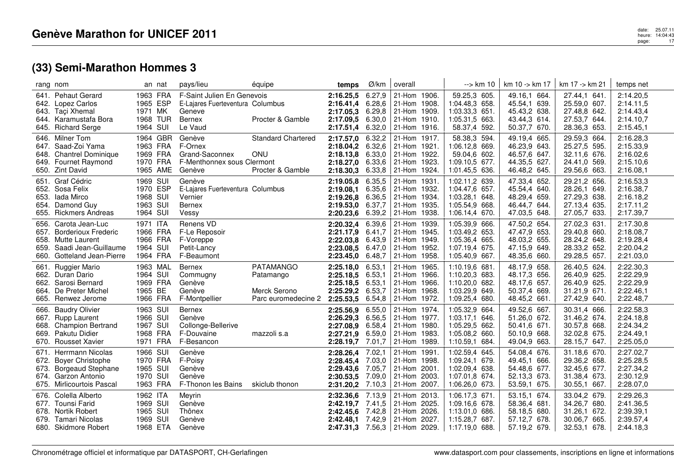|                      | rang nom                                                                                                                  | an nat                                                   | pays/lieu                                                                                     | équipe                                                               | temps                                                                       | Ø/km                                           | overall                                                                                              | --> km 10                                                                                 | km 10 -> km 17                                                               | km 17 -> km 21                                                               | temps net                                                     |
|----------------------|---------------------------------------------------------------------------------------------------------------------------|----------------------------------------------------------|-----------------------------------------------------------------------------------------------|----------------------------------------------------------------------|-----------------------------------------------------------------------------|------------------------------------------------|------------------------------------------------------------------------------------------------------|-------------------------------------------------------------------------------------------|------------------------------------------------------------------------------|------------------------------------------------------------------------------|---------------------------------------------------------------|
|                      | 641. Pehaut Gerard<br>642. Lopez Carlos<br>643. Taçi Xhemal<br>644. Karamustafa Bora<br>645. Richard Serge                | 1963 FRA<br>1965 ESP<br>1971 MK<br>1968 TUR<br>1964 SUI  | F-Saint Julien En Genevois<br>E-Lajares Fuerteventura Columbus<br>Geneve<br>Bernex<br>Le Vaud | Procter & Gamble                                                     | 2:16.25,5<br>2:16.41,4 6.28,6<br>2:17.05.3 6.29,8<br>2:17.09,5<br>2:17.51,4 | 6.27,9<br>6.30,0<br>6.32,0                     | 21-Hom 1906.<br>21-Hom 1908.<br>21-Hom 1909.<br>21-Hom 1910.<br>21-Hom 1916.                         | 59.25,3 605.<br>1:04.48,3 658.<br>1:03.33,3 651.<br>1:05.31,5 663.<br>58.37,4 592.        | 49.16,1 664.<br>45.54,1 639.<br>45.43,2 638.<br>43.44,3 614.<br>50.37,7 670. | 27.44,1 641<br>25.59,0 607.<br>27.48,8 642.<br>27.53,7 644.<br>28.36,3 653.  | 2:14.20,5<br>2:14.11,5<br>2:14.43,4<br>2:14.10,7<br>2:15.45,1 |
|                      | 646. Milner Tom<br>647. Saad-Zoi Yama<br>648. Chantrel Dominique<br>649. Fournet Raymond<br>650. Zint David               | 1964 GBR<br>1963 FRA<br>1969 FRA<br>1970 FRA<br>1965 AME | Genève<br>F-Ornex<br>Grand-Saconnex<br>F-Menthonnex sous Clermont<br>Genève                   | <b>Standard Chartered</b><br>ONU<br>Procter & Gamble                 | 2:17.57,0 6.32,2<br>2:18.04,2 6.32,6<br>2:18.13.8<br>2:18.27,0<br>2:18.30,3 | 6.33,0<br>6.33,6<br>6.33,8                     | 21-Hom 1917.<br>21-Hom 1921.<br>21-Hom 1922.<br>21-Hom 1923.<br>21-Hom 1924.                         | 58.38,3 594.<br>1:06.12,8 669.<br>59.04.6 602.<br>1:09.10,5<br>677.<br>1:01.45,5 636.     | 49.19,4 665.<br>46.23,9 643.<br>46.57,6 647.<br>44.35,5 627.<br>46.48,2 645. | 29.59,3 664.<br>25.27,5 595.<br>32.11,6 676.<br>24.41,0 569.<br>29.56,6 663. | 2:16.28,3<br>2:15.33,9<br>2:16.02,6<br>2:15.10,6<br>2:16.08,1 |
|                      | 651. Graf Cédric<br>652. Sosa Felix<br>653. Iada Mirco<br>654. Damond Guy<br>655. Rickmers Andreas                        | 1969 SUI<br>1970 ESP<br>1968 SUI<br>1963 SUI<br>1964 SUI | Genève<br>E-Lajares Fuerteventura Columbus<br>Vernier<br><b>Bernex</b><br>Vessy               |                                                                      | 2:19.05,8<br>2:19.08,1 6.35,6<br>2:19.26.8<br>2:19.53,0 6.37,7<br>2:20.23,6 | 6.35,5<br>6.36,5<br>6.39,2                     | 21-Hom 1931<br>21-Hom 1932.<br>21-Hom 1934.<br>21-Hom 1935.<br>21-Hom 1938.                          | 1:02.11,2 639.<br>1:04.47,6 657.<br>1:03.28,1 648.<br>1:05.54,9<br>668.<br>1:06.14,4 670. | 47.33,4 652.<br>45.54,4 640.<br>48.29,4 659.<br>46.44,7 644.<br>47.03,5 648. | 29.21,2 656.<br>28.26,1 649.<br>27.29,3 638.<br>27.13,4 635.<br>27.05,7 633. | 2:16.53,3<br>2:16.38,7<br>2:16.18,2<br>2:17.11,2<br>2:17.39,7 |
| 656.<br>659.         | Carota Jean-Luc<br>657. Borderioux Frederic<br>658. Mutte Laurent<br>Saadi Jean-Guillaume<br>660. Gotteland Jean-Pierre   | 1971 ITA<br>1966 FRA<br>1966 FRA<br>1964 SUI<br>1964 FRA | Renens VD<br>F-Le Reposoir<br>F-Voreppe<br>Petit-Lancy<br>F-Beaumont                          |                                                                      | 2:20.32,4<br>2:21.17,9 6.41,7<br>2:22.03,8<br>2:23.08,5<br>2:23.45,0 6.48,7 | 6.39,6<br>6.43,9<br>6.47,0                     | 21-Hom 1939.<br>21-Hom 1945.<br>21-Hom 1949.<br>21-Hom 1952.<br>21-Hom 1958.                         | 1:05.39,9 666.<br>1:03.49,2 653.<br>1:05.36,4 665.<br>1:07.19,4 675.<br>1:05.40,9 667.    | 47.50,2 654.<br>47.47,9 653.<br>48.03,2 655.<br>47.15,9 649.<br>48.35,6 660. | 27.02,3 631.<br>29.40,8 660.<br>28.24,2 648.<br>28.33,2 652.<br>29.28,5 657. | 2:17.30,8<br>2:18.08,7<br>2:19.28,4<br>2:20.04,2<br>2:21.03,0 |
| 661.                 | Ruggier Mario<br>662. Duran Dario<br>662. Sarosi Bernard<br>664. De Preter Michel<br>665. Renwez Jerome                   | 1963 MAL<br>1964 SUI<br>1969 FRA<br>1965 BE<br>1966 FRA  | <b>Bernex</b><br>Commugny<br>Genève<br>Genève<br>F-Montpellier                                | <b>PATAMANGO</b><br>Patamango<br>Merck Serono<br>Parc euromedecine 2 | 2:25.18,0<br>2:25.18,5 6.53,1<br>2:25.18,5<br>2:25.29,2<br>2:25.53,5        | 6.53,1<br>6.53,1<br>6.53,7<br>6.54,8           | 21-Hom 1965.<br>21-Hom 1966.<br>21-Hom 1966.<br>21-Hom 1968.<br>21-Hom 1972.                         | 1:10.19,6 681.<br>1:10.20,3 683.<br>1:10.20,0 682.<br>1:03.29,9 649.<br>1:09.25,4 680.    | 48.17,9 658.<br>48.17,3 656.<br>48.17,6 657.<br>50.37,4 669.<br>48.45,2 661. | 26.40,5 624.<br>26.40,9 625.<br>26.40,9 625.<br>31.21,9 671.<br>27.42,9 640. | 2:22.30,3<br>2:22.29,9<br>2:22.29,9<br>2:22.46,1<br>2:22.48,7 |
| 666.<br>668.<br>669. | <b>Baudry Olivier</b><br>667. Rupp Laurent<br><b>Champion Bertrand</b><br>Pakutu Didier<br>670. Rousset Xavier            | 1963 SUI<br>1966 SUI<br>1967 SUI<br>1968 FRA<br>1971 FRA | <b>Bernex</b><br>Genève<br>Collonge-Bellerive<br>F-Douvaine<br>F-Besancon                     | mazzoli s.a                                                          | 2:25.56,9<br>2:26.29,3<br>2:27.08,9<br>2:27.21,9<br>2:28.19,7               | 6.55,0<br>6.56,5<br>6.58,4<br>6.59,0<br>7.01,7 | 21-Hom 1974.<br>21-Hom 1977.<br>21-Hom 1980.<br>21-Hom 1983.<br>21-Hom 1989.                         | 1:05.32,9 664.<br>1:03.17,1 646.<br>1:05.29,5 662.<br>1:05.08,2 660.<br>1:10.59,1 684.    | 49.52,6 667.<br>51.26,0 672.<br>50.41,6 671.<br>50.10,9 668.<br>49.04,9 663. | 30.31,4 666.<br>31.46,2 674.<br>30.57,8 668.<br>32.02,8 675.<br>28.15,7 647. | 2:22.58,3<br>2:24.18,8<br>2:24.34,2<br>2:24.49,1<br>2:25.05,0 |
| 671.<br>673.         | Herrmann Nicolas<br>672. Boyer Christophe<br><b>Borgeaud Stephane</b><br>674. Garzon Antonio<br>675. Mirlicourtois Pascal | 1966 SUI<br>1970 FRA<br>1965 SUI<br>1970 SUI<br>1963 FRA | Genève<br>F-Poisy<br>Genève<br>Genève<br>F-Thonon les Bains                                   | skiclub thonon                                                       | 2:28.26,4<br>2:28.45,4<br>2:29.43,6<br>2:30.53,5<br>2:31.20,2               | 7.02,1<br>7.03,0<br>7.05,7<br>7.09,0<br>7.10,3 | 21-Hom 1991.<br>21-Hom 1998.<br>21-Hom 2001.<br>21-Hom 2003.<br>21-Hom 2007.                         | 1:02.59,4 645.<br>1:09.24,1 679.<br>1:02.09,4 638.<br>1:07.01,8 674.<br>1:06.26,0 673.    | 54.08.4 676.<br>49.45.1 666.<br>54.48,6 677.<br>52.13,3 673.<br>53.59,1 675. | 31.18,6 670.<br>29.36,2 658.<br>32.45,6 677.<br>31.38,4 673.<br>30.55,1 667. | 2:27.02,7<br>2:25.28,5<br>2:27.34,2<br>2:30.12,9<br>2:28.07,0 |
|                      | 676. Colella Alberto<br>677. Tounsi Farid<br>678. Nortik Robert<br>679. Tamari Nicolas<br>680. Skidmore Robert            | 1962 ITA<br>1969 SUI<br>1965 SUI<br>1969 SUI<br>1968 ETA | Meyrin<br>Genève<br>Thônex<br>Genève<br>Genève                                                |                                                                      | 2:32.36.6<br>2:42.19.7<br>2:42.45.6<br>2:42.48,1 7.42,9                     | 7.13,9<br>7.41,5<br>7.42,8                     | 21-Hom 2013.<br>21-Hom 2025.<br>21-Hom 2026.<br>21-Hom 2027.<br><b>2:47.31,3</b> 7.56,3 21-Hom 2029. | 1:06.17,3 671.<br>1:09.16,6 678.<br>1:13.01,0<br>686.<br>1:15.28,7 687.<br>1:17.19,0 688. | 53.15.1 674.<br>58.36,4 681.<br>58.18,5 680.<br>57.12,7 678.<br>57.19,2 679. | 33.04,2 679.<br>34.26,7 680.<br>31.26,1 672.<br>30.06,7 665.<br>32.53,1 678. | 2:29.26,3<br>2:41.36,5<br>2:39.39,1<br>2:39.57,4<br>2:44.18,3 |